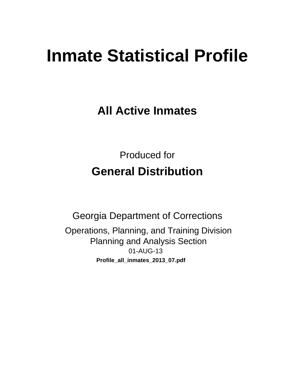# **Inmate Statistical Profile**

**All Active Inmates** 

**Produced for General Distribution** 

**Georgia Department of Corrections** Operations, Planning, and Training Division **Planning and Analysis Section** 01-AUG-13 Profile\_all\_inmates\_2013\_07.pdf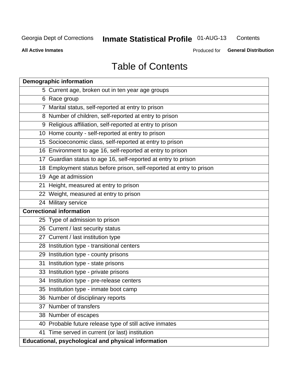#### **Inmate Statistical Profile 01-AUG-13** Contents

**All Active Inmates** 

Produced for General Distribution

# **Table of Contents**

|    | <b>Demographic information</b>                                       |
|----|----------------------------------------------------------------------|
|    | 5 Current age, broken out in ten year age groups                     |
|    | 6 Race group                                                         |
|    | 7 Marital status, self-reported at entry to prison                   |
|    | 8 Number of children, self-reported at entry to prison               |
|    | 9 Religious affiliation, self-reported at entry to prison            |
|    | 10 Home county - self-reported at entry to prison                    |
|    | 15 Socioeconomic class, self-reported at entry to prison             |
|    | 16 Environment to age 16, self-reported at entry to prison           |
|    | 17 Guardian status to age 16, self-reported at entry to prison       |
|    | 18 Employment status before prison, self-reported at entry to prison |
|    | 19 Age at admission                                                  |
|    | 21 Height, measured at entry to prison                               |
|    | 22 Weight, measured at entry to prison                               |
|    | 24 Military service                                                  |
|    | <b>Correctional information</b>                                      |
|    | 25 Type of admission to prison                                       |
|    | 26 Current / last security status                                    |
|    | 27 Current / last institution type                                   |
|    | 28 Institution type - transitional centers                           |
|    | 29 Institution type - county prisons                                 |
| 31 | Institution type - state prisons                                     |
|    | 33 Institution type - private prisons                                |
|    | 34 Institution type - pre-release centers                            |
|    | 35 Institution type - inmate boot camp                               |
|    | 36 Number of disciplinary reports                                    |
|    | 37 Number of transfers                                               |
|    | 38 Number of escapes                                                 |
|    | 40 Probable future release type of still active inmates              |
|    | 41 Time served in current (or last) institution                      |
|    | Educational, psychological and physical information                  |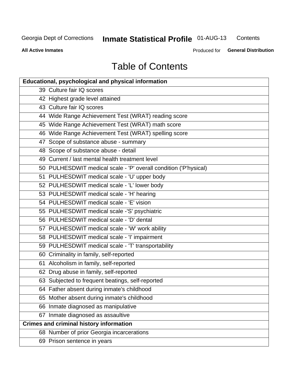#### **Inmate Statistical Profile 01-AUG-13** Contents

**All Active Inmates** 

Produced for General Distribution

# **Table of Contents**

| <b>Educational, psychological and physical information</b>       |
|------------------------------------------------------------------|
| 39 Culture fair IQ scores                                        |
| 42 Highest grade level attained                                  |
| 43 Culture fair IQ scores                                        |
| 44 Wide Range Achievement Test (WRAT) reading score              |
| 45 Wide Range Achievement Test (WRAT) math score                 |
| 46 Wide Range Achievement Test (WRAT) spelling score             |
| 47 Scope of substance abuse - summary                            |
| 48 Scope of substance abuse - detail                             |
| 49 Current / last mental health treatment level                  |
| 50 PULHESDWIT medical scale - 'P' overall condition ('P'hysical) |
| 51 PULHESDWIT medical scale - 'U' upper body                     |
| 52 PULHESDWIT medical scale - 'L' lower body                     |
| 53 PULHESDWIT medical scale - 'H' hearing                        |
| 54 PULHESDWIT medical scale - 'E' vision                         |
| 55 PULHESDWIT medical scale -'S' psychiatric                     |
| 56 PULHESDWIT medical scale - 'D' dental                         |
| 57 PULHESDWIT medical scale - 'W' work ability                   |
| 58 PULHESDWIT medical scale - 'I' impairment                     |
| 59 PULHESDWIT medical scale - 'T' transportability               |
| 60 Criminality in family, self-reported                          |
| 61 Alcoholism in family, self-reported                           |
| 62 Drug abuse in family, self-reported                           |
| 63 Subjected to frequent beatings, self-reported                 |
| 64 Father absent during inmate's childhood                       |
| 65 Mother absent during inmate's childhood                       |
| 66 Inmate diagnosed as manipulative                              |
| 67 Inmate diagnosed as assaultive                                |
| <b>Crimes and criminal history information</b>                   |
| 68 Number of prior Georgia incarcerations                        |
| 69 Prison sentence in years                                      |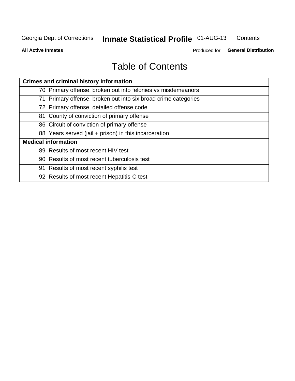#### **Inmate Statistical Profile 01-AUG-13** Contents

**All Active Inmates** 

Produced for General Distribution

# **Table of Contents**

| <b>Crimes and criminal history information</b>                 |
|----------------------------------------------------------------|
| 70 Primary offense, broken out into felonies vs misdemeanors   |
| 71 Primary offense, broken out into six broad crime categories |
| 72 Primary offense, detailed offense code                      |
| 81 County of conviction of primary offense                     |
| 86 Circuit of conviction of primary offense                    |
| 88 Years served (jail + prison) in this incarceration          |
| <b>Medical information</b>                                     |
| 89 Results of most recent HIV test                             |
| 90 Results of most recent tuberculosis test                    |
| 91 Results of most recent syphilis test                        |
| 92 Results of most recent Hepatitis-C test                     |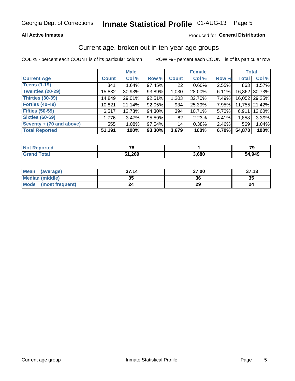### **All Active Inmates**

### Produced for General Distribution

# Current age, broken out in ten-year age groups

COL % - percent each COUNT is of its particular column

|                            |              | <b>Male</b> |        |              | <b>Female</b> |       |              | <b>Total</b>  |
|----------------------------|--------------|-------------|--------|--------------|---------------|-------|--------------|---------------|
| <b>Current Age</b>         | <b>Count</b> | Col %       | Row %  | <b>Count</b> | Col %         | Row % | <b>Total</b> | Col %         |
| <b>Teens (1-19)</b>        | 841          | 1.64%       | 97.45% | 22           | $0.60\%$      | 2.55% | 863          | 1.57%         |
| <b>Twenties (20-29)</b>    | 15,832       | 30.93%      | 93.89% | 1,030        | 28.00%        | 6.11% | 16,862       | 30.73%        |
| <b>Thirties (30-39)</b>    | 14,849       | 29.01%      | 92.51% | 1,203        | 32.70%        | 7.49% |              | 16,052 29.25% |
| <b>Forties (40-49)</b>     | 10,821       | 21.14%      | 92.05% | 934          | 25.39%        | 7.95% |              | 11,755 21.42% |
| <b>Fifties (50-59)</b>     | 6,517        | 12.73%      | 94.30% | 394          | 10.71%        | 5.70% | 6.911        | 12.60%        |
| <b>Sixties (60-69)</b>     | 1,776        | 3.47%       | 95.59% | 82           | 2.23%         | 4.41% | 1,858        | 3.39%         |
| Seventy $+$ (70 and above) | 555          | 1.08%       | 97.54% | 14           | 0.38%         | 2.46% | 569          | 1.04%         |
| <b>Total Reported</b>      | 51,191       | 100%        | 93.30% | 3,679        | 100%          | 6.70% | 54,870       | 100%          |

| <b>Not Repo</b><br><b>Enorted</b> | 70   |       | 70     |
|-----------------------------------|------|-------|--------|
| Total                             | ,269 | 3,680 | 54,949 |

| Mean<br>(average)       | 37.14    | 37.00 | 37.13 |
|-------------------------|----------|-------|-------|
| Median (middle)         | つん<br>vu | 36    | 35    |
| Mode<br>(most frequent) | 24       | 29    |       |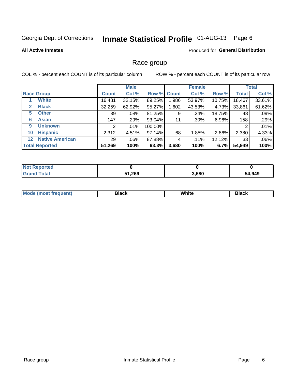# Inmate Statistical Profile 01-AUG-13 Page 6

### **All Active Inmates**

### Produced for General Distribution

### Race group

COL % - percent each COUNT is of its particular column

|                   |                        |              | <b>Male</b> |             |       | <b>Female</b> |        |              | <b>Total</b> |
|-------------------|------------------------|--------------|-------------|-------------|-------|---------------|--------|--------------|--------------|
| <b>Race Group</b> |                        | <b>Count</b> | Col %       | Row % Count |       | Col %         | Row %  | <b>Total</b> | Col %        |
|                   | <b>White</b>           | 16,481       | 32.15%      | 89.25%      | .986  | 53.97%        | 10.75% | 18,467       | 33.61%       |
| $\mathbf{2}$      | <b>Black</b>           | 32,259       | 62.92%      | 95.27%      | .602  | 43.53%        | 4.73%  | 33,861       | 61.62%       |
| 5                 | <b>Other</b>           | 39           | .08%        | 81.25%      | 9     | .24%          | 18.75% | 48           | .09%         |
| 6                 | <b>Asian</b>           | 147          | .29%        | 93.04%      | 11    | $.30\%$       | 6.96%  | 158          | .29%         |
| 9                 | <b>Unknown</b>         | 2            | .01%        | 100.00%     |       |               |        | 2            | .01%         |
| 10                | <b>Hispanic</b>        | 2,312        | 4.51%       | 97.14%      | 68    | 1.85%         | 2.86%  | 2,380        | 4.33%        |
| 12 <sup>2</sup>   | <b>Native American</b> | 29           | .06%        | 87.88%      | 4     | $.11\%$       | 12.12% | 33           | .06%         |
|                   | <b>Total Reported</b>  | 51,269       | 100%        | 93.3%       | 3,680 | 100%          | 6.7%   | 54,949       | 100%         |

| Reported<br>∴NOt       |        |       |        |
|------------------------|--------|-------|--------|
| <b>Total</b><br>'Grano | 51,269 | 3,680 | 54,949 |

| M.<br>____ | . | ------- |
|------------|---|---------|
|            |   |         |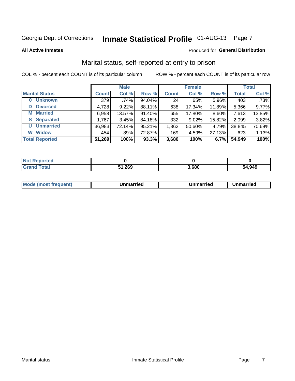# Inmate Statistical Profile 01-AUG-13 Page 7

#### **All Active Inmates**

#### Produced for General Distribution

# Marital status, self-reported at entry to prison

COL % - percent each COUNT is of its particular column

|                        |              | <b>Male</b> |        |              | <b>Female</b> |        |              | <b>Total</b> |
|------------------------|--------------|-------------|--------|--------------|---------------|--------|--------------|--------------|
| <b>Marital Status</b>  | <b>Count</b> | Col %       | Row %  | <b>Count</b> | Col %         | Row %  | <b>Total</b> | Col %        |
| <b>Unknown</b><br>0    | 379          | .74%        | 94.04% | 24           | .65%          | 5.96%  | 403          | .73%         |
| <b>Divorced</b><br>D   | 4,728        | 9.22%       | 88.11% | 638          | 17.34%        | 11.89% | 5,366        | 9.77%        |
| <b>Married</b><br>M    | 6,958        | 13.57%      | 91.40% | 655          | 17.80%        | 8.60%  | 7,613        | 13.85%       |
| <b>Separated</b><br>S. | 1,767        | 3.45%       | 84.18% | 332          | 9.02%         | 15.82% | 2,099        | 3.82%        |
| <b>Unmarried</b><br>U  | 36,983       | 72.14%      | 95.21% | 1,862        | 50.60%        | 4.79%  | 38,845       | 70.69%       |
| <b>Widow</b><br>W      | 454          | .89%        | 72.87% | 169          | 4.59%         | 27.13% | 623          | 1.13%        |
| <b>Total Reported</b>  | 51,269       | 100%        | 93.3%  | 3,680        | 100%          | 6.7%   | 54,949       | 100%         |

| <b>orted</b><br>I NOT I   |      |       |        |
|---------------------------|------|-------|--------|
| $\sim$<br>. Gr $\epsilon$ | ,269 | 3.680 | 54.949 |

| <b>Mode (most frequent)</b><br>Unmarried<br>Unmarried<br>Jnmarried |
|--------------------------------------------------------------------|
|--------------------------------------------------------------------|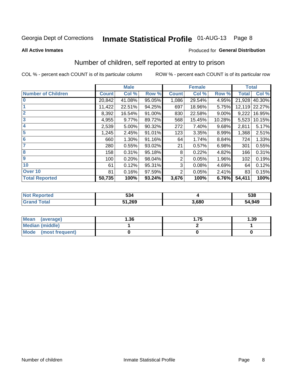# Inmate Statistical Profile 01-AUG-13 Page 8

#### **All Active Inmates**

#### Produced for General Distribution

# Number of children, self reported at entry to prison

COL % - percent each COUNT is of its particular column

|                           |              | <b>Male</b> |        | <b>Female</b> |        |        | <b>Total</b> |        |
|---------------------------|--------------|-------------|--------|---------------|--------|--------|--------------|--------|
| <b>Number of Children</b> | <b>Count</b> | Col %       | Row %  | <b>Count</b>  | Col %  | Row %  | <b>Total</b> | Col %  |
| $\bf{0}$                  | 20,842       | 41.08%      | 95.05% | 1,086         | 29.54% | 4.95%  | 21,928       | 40.30% |
|                           | 11,422       | 22.51%      | 94.25% | 697           | 18.96% | 5.75%  | 12,119       | 22.27% |
| $\overline{2}$            | 8,392        | 16.54%      | 91.00% | 830           | 22.58% | 9.00%  | 9,222        | 16.95% |
| 3                         | 4,955        | 9.77%       | 89.72% | 568           | 15.45% | 10.28% | 5,523        | 10.15% |
| 4                         | 2,539        | 5.00%       | 90.32% | 272           | 7.40%  | 9.68%  | 2,811        | 5.17%  |
| 5                         | 1,245        | 2.45%       | 91.01% | 123           | 3.35%  | 8.99%  | 1,368        | 2.51%  |
| 6                         | 660          | 1.30%       | 91.16% | 64            | 1.74%  | 8.84%  | 724          | 1.33%  |
| 7                         | 280          | 0.55%       | 93.02% | 21            | 0.57%  | 6.98%  | 301          | 0.55%  |
| 8                         | 158          | 0.31%       | 95.18% | 8             | 0.22%  | 4.82%  | 166          | 0.31%  |
| $\boldsymbol{9}$          | 100          | 0.20%       | 98.04% | 2             | 0.05%  | 1.96%  | 102          | 0.19%  |
| 10                        | 61           | 0.12%       | 95.31% | 3             | 0.08%  | 4.69%  | 64           | 0.12%  |
| Over 10                   | 81           | 0.16%       | 97.59% | 2             | 0.05%  | 2.41%  | 83           | 0.15%  |
| <b>Total Reported</b>     | 50,735       | 100%        | 93.24% | 3,676         | 100%   | 6.76%  | 54,411       | 100%   |

| w. | E91<br><b>JJ4</b> |       | 538           |
|----|-------------------|-------|---------------|
|    | 51,269            | 3.680 | 54,949<br>54. |

| <b>Mean</b><br>(average)       | 1.36 | . 75 | 1.39 |
|--------------------------------|------|------|------|
| Median (middle)                |      |      |      |
| <b>Mode</b><br>(most frequent) |      |      |      |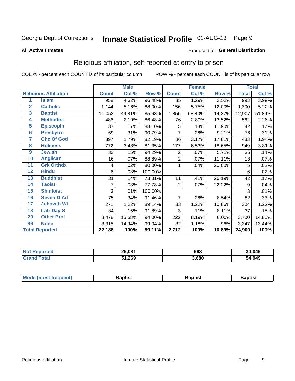# Inmate Statistical Profile 01-AUG-13 Page 9

#### **All Active Inmates**

### Produced for General Distribution

# Religious affiliation, self-reported at entry to prison

COL % - percent each COUNT is of its particular column

|                  |                              |              | <b>Male</b> |         | <b>Female</b>  |        |        | <b>Total</b> |        |
|------------------|------------------------------|--------------|-------------|---------|----------------|--------|--------|--------------|--------|
|                  | <b>Religious Affiliation</b> | <b>Count</b> | Col %       | Row %   | <b>Count</b>   | Col %  | Row %  | <b>Total</b> | Col %  |
| 1                | <b>Islam</b>                 | 958          | 4.32%       | 96.48%  | 35             | 1.29%  | 3.52%  | 993          | 3.99%  |
| $\overline{2}$   | <b>Catholic</b>              | 1,144        | 5.16%       | 88.00%  | 156            | 5.75%  | 12.00% | 1,300        | 5.22%  |
| 3                | <b>Baptist</b>               | 11,052       | 49.81%      | 85.63%  | 1,855          | 68.40% | 14.37% | 12,907       | 51.84% |
| 4                | <b>Methodist</b>             | 486          | 2.19%       | 86.48%  | 76             | 2.80%  | 13.52% | 562          | 2.26%  |
| 5                | <b>EpiscopIn</b>             | 37           | .17%        | 88.10%  | 5              | .18%   | 11.90% | 42           | .17%   |
| $6\overline{6}$  | <b>Presbytrn</b>             | 69           | .31%        | 90.79%  | 7              | .26%   | 9.21%  | 76           | .31%   |
| 7                | <b>Chc Of God</b>            | 397          | 1.79%       | 82.19%  | 86             | 3.17%  | 17.81% | 483          | 1.94%  |
| 8                | <b>Holiness</b>              | 772          | 3.48%       | 81.35%  | 177            | 6.53%  | 18.65% | 949          | 3.81%  |
| $\boldsymbol{9}$ | <b>Jewish</b>                | 33           | .15%        | 94.29%  | $\overline{2}$ | .07%   | 5.71%  | 35           | .14%   |
| 10               | <b>Anglican</b>              | 16           | .07%        | 88.89%  | $\overline{2}$ | .07%   | 11.11% | 18           | .07%   |
| 11               | <b>Grk Orthdx</b>            | 4            | .02%        | 80.00%  | 1              | .04%   | 20.00% | 5            | .02%   |
| 12               | <b>Hindu</b>                 | 6            | .03%        | 100.00% |                |        |        | 6            | .02%   |
| 13               | <b>Buddhist</b>              | 31           | .14%        | 73.81%  | 11             | .41%   | 26.19% | 42           | .17%   |
| 14               | <b>Taoist</b>                | 7            | .03%        | 77.78%  | 2              | .07%   | 22.22% | 9            | .04%   |
| 15               | <b>Shintoist</b>             | 3            | .01%        | 100.00% |                |        |        | 3            | .01%   |
| 16               | <b>Seven D Ad</b>            | 75           | .34%        | 91.46%  | $\overline{7}$ | .26%   | 8.54%  | 82           | .33%   |
| 17               | <b>Jehovah Wt</b>            | 271          | 1.22%       | 89.14%  | 33             | 1.22%  | 10.86% | 304          | 1.22%  |
| 18               | <b>Latr Day S</b>            | 34           | .15%        | 91.89%  | 3              | .11%   | 8.11%  | 37           | .15%   |
| 20               | <b>Other Prot</b>            | 3,478        | 15.68%      | 94.00%  | 222            | 8.19%  | 6.00%  | 3,700        | 14.86% |
| 96               | <b>None</b>                  | 3,315        | 14.94%      | 99.04%  | 32             | 1.18%  | .96%   | 3,347        | 13.44% |
|                  | <b>Total Reported</b>        | 22,188       | 100%        | 89.11%  | $\sqrt{2,712}$ | 100%   | 10.89% | 24,900       | 100%   |

|                 | 29.081<br>-- | 968   | 30,049 |  |
|-----------------|--------------|-------|--------|--|
| $\sim$ 4 $\sim$ | 51,269<br>E4 | 3.680 | 54,949 |  |

| Mode (most frequent) | <b>3aptist</b> | 3aptist | <b>Baptist</b> |
|----------------------|----------------|---------|----------------|
|                      |                |         |                |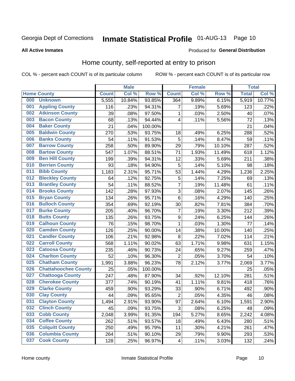# Inmate Statistical Profile 01-AUG-13 Page 10

### **All Active Inmates**

#### Produced for General Distribution

### Home county, self-reported at entry to prison

COL % - percent each COUNT is of its particular column

|     |                             |              | <b>Male</b> |         |                         | <b>Female</b>       |        | <b>Total</b> |        |
|-----|-----------------------------|--------------|-------------|---------|-------------------------|---------------------|--------|--------------|--------|
|     | <b>Home County</b>          | <b>Count</b> | Col %       | Row %   | <b>Count</b>            | Col %               | Row %  | <b>Total</b> | Col %  |
| 000 | <b>Unknown</b>              | 5,555        | 10.84%      | 93.85%  | 364                     | 9.89%               | 6.15%  | 5,919        | 10.77% |
| 001 | <b>Appling County</b>       | 116          | .23%        | 94.31%  | 7                       | .19%                | 5.69%  | 123          | .22%   |
| 002 | <b>Atkinson County</b>      | 39           | .08%        | 97.50%  | 1                       | .03%                | 2.50%  | 40           | .07%   |
| 003 | <b>Bacon County</b>         | 68           | .13%        | 94.44%  | 4                       | .11%                | 5.56%  | 72           | .13%   |
| 004 | <b>Baker County</b>         | 21           | .04%        | 100.00% |                         |                     |        | 21           | .04%   |
| 005 | <b>Baldwin County</b>       | 270          | .53%        | 93.75%  | 18                      | .49%                | 6.25%  | 288          | .52%   |
| 006 | <b>Banks County</b>         | 54           | .11%        | 91.53%  | 5                       | .14%                | 8.47%  | 59           | .11%   |
| 007 | <b>Barrow County</b>        | 258          | .50%        | 89.90%  | 29                      | .79%                | 10.10% | 287          | .52%   |
| 008 | <b>Bartow County</b>        | 547          | 1.07%       | 88.51%  | 71                      | 1.93%               | 11.49% | 618          | 1.12%  |
| 009 | <b>Ben Hill County</b>      | 199          | .39%        | 94.31%  | 12                      | .33%                | 5.69%  | 211          | .38%   |
| 010 | <b>Berrien County</b>       | 93           | .18%        | 94.90%  | 5                       | .14%                | 5.10%  | 98           | .18%   |
| 011 | <b>Bibb County</b>          | 1,183        | 2.31%       | 95.71%  | 53                      | 1.44%               | 4.29%  | 1,236        | 2.25%  |
| 012 | <b>Bleckley County</b>      | 64           | .12%        | 92.75%  | 5                       | .14%                | 7.25%  | 69           | .13%   |
| 013 | <b>Brantley County</b>      | 54           | .11%        | 88.52%  | $\overline{7}$          | .19%                | 11.48% | 61           | .11%   |
| 014 | <b>Brooks County</b>        | 142          | .28%        | 97.93%  | $\overline{3}$          | .08%                | 2.07%  | 145          | .26%   |
| 015 | <b>Bryan County</b>         | 134          | .26%        | 95.71%  | $6\phantom{1}6$         | .16%                | 4.29%  | 140          | .25%   |
| 016 | <b>Bulloch County</b>       | 354          | .69%        | 92.19%  | 30                      | .82%                | 7.81%  | 384          | .70%   |
| 017 | <b>Burke County</b>         | 205          | .40%        | 96.70%  | $\overline{7}$          | .19%                | 3.30%  | 212          | .39%   |
| 018 | <b>Butts County</b>         | 135          | .26%        | 93.75%  | $\boldsymbol{9}$        | .24%                | 6.25%  | 144          | .26%   |
| 019 | <b>Calhoun County</b>       | 76           | .15%        | 98.70%  | $\mathbf{1}$            | .03%                | 1.30%  | 77           | .14%   |
| 020 | <b>Camden County</b>        | 126          | .25%        | 90.00%  | 14                      | .38%                | 10.00% | 140          | .25%   |
| 021 | <b>Candler County</b>       | 106          | .21%        | 92.98%  | 8                       | .22%                | 7.02%  | 114          | .21%   |
| 022 | <b>Carroll County</b>       | 568          | 1.11%       | 90.02%  | 63                      | 1.71%               | 9.98%  | 631          | 1.15%  |
| 023 | <b>Catoosa County</b>       | 235          | .46%        | 90.73%  | 24                      | .65%                | 9.27%  | 259          | .47%   |
| 024 | <b>Charlton County</b>      | 52           | .10%        | 96.30%  | $\overline{2}$          | .05%                | 3.70%  | 54           | .10%   |
| 025 | <b>Chatham County</b>       | 1,991        | 3.88%       | 96.23%  | 78                      | 2.12%               | 3.77%  | 2,069        | 3.77%  |
| 026 | <b>Chattahoochee County</b> | 25           | .05%        | 100.00% |                         |                     |        | 25           | .05%   |
| 027 | <b>Chattooga County</b>     | 247          | .48%        | 87.90%  | 34                      | .92%                | 12.10% | 281          | .51%   |
| 028 | <b>Cherokee County</b>      | 377          | .74%        | 90.19%  | 41                      | $\overline{1.11\%}$ | 9.81%  | 418          | .76%   |
| 029 | <b>Clarke County</b>        | 459          | .90%        | 93.29%  | 33                      | .90%                | 6.71%  | 492          | .90%   |
| 030 | <b>Clay County</b>          | 44           | .09%        | 95.65%  | $\overline{2}$          | .05%                | 4.35%  | 46           | .08%   |
| 031 | <b>Clayton County</b>       | 1,494        | 2.91%       | 93.90%  | 97                      | 2.64%               | 6.10%  | 1,591        | 2.90%  |
| 032 | <b>Clinch County</b>        | 45           | .09%        | 93.75%  | 3                       | .08%                | 6.25%  | 48           | .09%   |
| 033 | <b>Cobb County</b>          | 2,048        | 3.99%       | 91.35%  | 194                     | 5.27%               | 8.65%  | 2,242        | 4.08%  |
| 034 | <b>Coffee County</b>        | 262          | .51%        | 93.57%  | 18                      | .49%                | 6.43%  | 280          | .51%   |
| 035 | <b>Colquitt County</b>      | 250          | .49%        | 95.79%  | 11                      | .30%                | 4.21%  | 261          | .47%   |
| 036 | <b>Columbia County</b>      | 264          | .51%        | 90.10%  | 29                      | .79%                | 9.90%  | 293          | .53%   |
| 037 | <b>Cook County</b>          | 128          | .25%        | 96.97%  | $\overline{\mathbf{4}}$ | .11%                | 3.03%  | 132          | .24%   |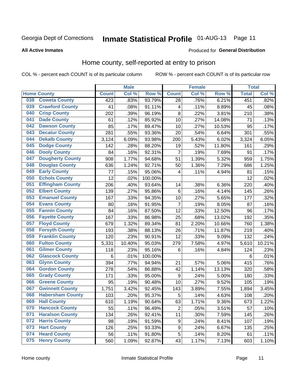# Inmate Statistical Profile 01-AUG-13 Page 11

**All Active Inmates** 

### **Produced for General Distribution**

### Home county, self-reported at entry to prison

COL % - percent each COUNT is of its particular column

|     |                         | <b>Male</b>  |        | <b>Female</b>    |                  |       | <b>Total</b> |              |        |
|-----|-------------------------|--------------|--------|------------------|------------------|-------|--------------|--------------|--------|
|     | <b>Home County</b>      | <b>Count</b> | Col %  | Row <sup>%</sup> | <b>Count</b>     | Col % | Row %        | <b>Total</b> | Col %  |
| 038 | <b>Coweta County</b>    | 423          | .83%   | 93.79%           | 28               | .76%  | 6.21%        | 451          | .82%   |
| 039 | <b>Crawford County</b>  | 41           | .08%   | 91.11%           | 4                | .11%  | 8.89%        | 45           | .08%   |
| 040 | <b>Crisp County</b>     | 202          | .39%   | 96.19%           | 8                | .22%  | 3.81%        | 210          | .38%   |
| 041 | <b>Dade County</b>      | 61           | .12%   | 85.92%           | 10               | .27%  | 14.08%       | 71           | .13%   |
| 042 | <b>Dawson County</b>    | 85           | .17%   | 89.47%           | 10               | .27%  | 10.53%       | 95           | .17%   |
| 043 | <b>Decatur County</b>   | 281          | .55%   | 93.36%           | 20               | .54%  | 6.64%        | 301          | .55%   |
| 044 | <b>Dekalb County</b>    | 3,124        | 6.09%  | 93.98%           | 200              | 5.43% | 6.02%        | 3,324        | 6.05%  |
| 045 | <b>Dodge County</b>     | 142          | .28%   | 88.20%           | 19               | .52%  | 11.80%       | 161          | .29%   |
| 046 | <b>Dooly County</b>     | 84           | .16%   | 92.31%           | $\overline{7}$   | .19%  | 7.69%        | 91           | .17%   |
| 047 | <b>Dougherty County</b> | 908          | 1.77%  | 94.68%           | 51               | 1.39% | 5.32%        | 959          | 1.75%  |
| 048 | <b>Douglas County</b>   | 636          | 1.24%  | 92.71%           | 50               | 1.36% | 7.29%        | 686          | 1.25%  |
| 049 | <b>Early County</b>     | 77           | .15%   | 95.06%           | 4                | .11%  | 4.94%        | 81           | .15%   |
| 050 | <b>Echols County</b>    | 12           | .02%   | 100.00%          |                  |       |              | 12           | .02%   |
| 051 | <b>Effingham County</b> | 206          | .40%   | 93.64%           | 14               | .38%  | 6.36%        | 220          | .40%   |
| 052 | <b>Elbert County</b>    | 139          | .27%   | 95.86%           | $\,6$            | .16%  | 4.14%        | 145          | .26%   |
| 053 | <b>Emanuel County</b>   | 167          | .33%   | 94.35%           | 10               | .27%  | 5.65%        | 177          | .32%   |
| 054 | <b>Evans County</b>     | 80           | .16%   | 91.95%           | $\overline{7}$   | .19%  | 8.05%        | 87           | .16%   |
| 055 | <b>Fannin County</b>    | 84           | .16%   | 87.50%           | 12               | .33%  | 12.50%       | 96           | .17%   |
| 056 | <b>Fayette County</b>   | 167          | .33%   | 86.98%           | 25               | .68%  | 13.02%       | 192          | .35%   |
| 057 | <b>Floyd County</b>     | 679          | 1.32%  | 89.34%           | 81               | 2.20% | 10.66%       | 760          | 1.38%  |
| 058 | <b>Forsyth County</b>   | 193          | .38%   | 88.13%           | 26               | .71%  | 11.87%       | 219          | .40%   |
| 059 | <b>Franklin County</b>  | 120          | .23%   | 90.91%           | 12               | .33%  | 9.09%        | 132          | .24%   |
| 060 | <b>Fulton County</b>    | 5,331        | 10.40% | 95.03%           | 279              | 7.58% | 4.97%        | 5,610        | 10.21% |
| 061 | <b>Gilmer County</b>    | 118          | .23%   | 95.16%           | 6                | .16%  | 4.84%        | 124          | .23%   |
| 062 | <b>Glascock County</b>  | 6            | .01%   | 100.00%          |                  |       |              | $\,6$        | .01%   |
| 063 | <b>Glynn County</b>     | 394          | .77%   | 94.94%           | 21               | .57%  | 5.06%        | 415          | .76%   |
| 064 | <b>Gordon County</b>    | 278          | .54%   | 86.88%           | 42               | 1.14% | 13.13%       | 320          | .58%   |
| 065 | <b>Grady County</b>     | 171          | .33%   | 95.00%           | $\boldsymbol{9}$ | .24%  | 5.00%        | 180          | .33%   |
| 066 | <b>Greene County</b>    | 95           | .19%   | 90.48%           | 10               | .27%  | 9.52%        | 105          | .19%   |
| 067 | <b>Gwinnett County</b>  | 1,751        | 3.42%  | 92.45%           | 143              | 3.89% | 7.55%        | 1,894        | 3.45%  |
| 068 | <b>Habersham County</b> | 103          | .20%   | 95.37%           | 5                | .14%  | 4.63%        | 108          | .20%   |
| 069 | <b>Hall County</b>      | 610          | 1.19%  | 90.64%           | 63               | 1.71% | $9.36\%$     | 673          | 1.22%  |
| 070 | <b>Hancock County</b>   | 55           | .11%   | 96.49%           | $\overline{2}$   | .05%  | 3.51%        | 57           | .10%   |
| 071 | <b>Haralson County</b>  | 134          | .26%   | 92.41%           | 11               | .30%  | 7.59%        | 145          | .26%   |
| 072 | <b>Harris County</b>    | 98           | .19%   | 91.59%           | $\boldsymbol{9}$ | .24%  | 8.41%        | 107          | .19%   |
| 073 | <b>Hart County</b>      | 126          | .25%   | 93.33%           | $\boldsymbol{9}$ | .24%  | 6.67%        | 135          | .25%   |
| 074 | <b>Heard County</b>     | 56           | .11%   | 91.80%           | 5                | .14%  | 8.20%        | 61           | .11%   |
| 075 | <b>Henry County</b>     | 560          | 1.09%  | 92.87%           | 43               | 1.17% | 7.13%        | 603          | 1.10%  |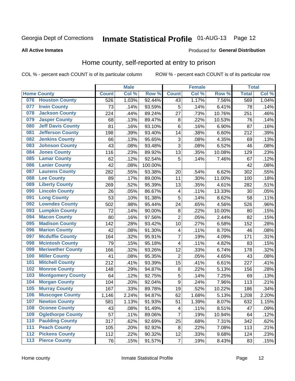# Inmate Statistical Profile 01-AUG-13 Page 12

### **All Active Inmates**

#### Produced for General Distribution

### Home county, self-reported at entry to prison

COL % - percent each COUNT is of its particular column

|     |                          |              | <b>Male</b> |                  |                  | <b>Female</b> |        | <b>Total</b> |       |
|-----|--------------------------|--------------|-------------|------------------|------------------|---------------|--------|--------------|-------|
|     | <b>Home County</b>       | <b>Count</b> | Col %       | Row <sup>%</sup> | <b>Count</b>     | Col %         | Row %  | <b>Total</b> | Col % |
|     | 076 Houston County       | 526          | 1.03%       | 92.44%           | 43               | 1.17%         | 7.56%  | 569          | 1.04% |
| 077 | <b>Irwin County</b>      | 73           | .14%        | 93.59%           | 5                | .14%          | 6.41%  | 78           | .14%  |
| 078 | <b>Jackson County</b>    | 224          | .44%        | 89.24%           | 27               | .73%          | 10.76% | 251          | .46%  |
| 079 | <b>Jasper County</b>     | 68           | .13%        | 89.47%           | 8                | .22%          | 10.53% | 76           | .14%  |
| 080 | <b>Jeff Davis County</b> | 81           | .16%        | 93.10%           | 6                | .16%          | 6.90%  | 87           | .16%  |
| 081 | <b>Jefferson County</b>  | 198          | .39%        | 93.40%           | 14               | .38%          | 6.60%  | 212          | .39%  |
| 082 | <b>Jenkins County</b>    | 66           | .13%        | 95.65%           | 3                | .08%          | 4.35%  | 69           | .13%  |
| 083 | <b>Johnson County</b>    | 43           | .08%        | 93.48%           | 3                | .08%          | 6.52%  | 46           | .08%  |
| 084 | <b>Jones County</b>      | 116          | .23%        | 89.92%           | 13               | .35%          | 10.08% | 129          | .23%  |
| 085 | <b>Lamar County</b>      | 62           | .12%        | 92.54%           | 5                | .14%          | 7.46%  | 67           | .12%  |
| 086 | <b>Lanier County</b>     | 42           | .08%        | 100.00%          |                  |               |        | 42           | .08%  |
| 087 | <b>Laurens County</b>    | 282          | .55%        | 93.38%           | 20               | .54%          | 6.62%  | 302          | .55%  |
| 088 | <b>Lee County</b>        | 89           | .17%        | 89.00%           | 11               | .30%          | 11.00% | 100          | .18%  |
| 089 | <b>Liberty County</b>    | 269          | .52%        | 95.39%           | 13               | .35%          | 4.61%  | 282          | .51%  |
| 090 | <b>Lincoln County</b>    | 26           | .05%        | 86.67%           | 4                | .11%          | 13.33% | 30           | .05%  |
| 091 | <b>Long County</b>       | 53           | .10%        | 91.38%           | 5                | .14%          | 8.62%  | 58           | .11%  |
| 092 | <b>Lowndes County</b>    | 502          | .98%        | 95.44%           | 24               | .65%          | 4.56%  | 526          | .96%  |
| 093 | <b>Lumpkin County</b>    | 72           | .14%        | 90.00%           | $\bf 8$          | .22%          | 10.00% | 80           | .15%  |
| 094 | <b>Macon County</b>      | 80           | .16%        | 97.56%           | $\overline{2}$   | .05%          | 2.44%  | 82           | .15%  |
| 095 | <b>Madison County</b>    | 142          | .28%        | 93.42%           | 10               | .27%          | 6.58%  | 152          | .28%  |
| 096 | <b>Marion County</b>     | 42           | .08%        | 91.30%           | 4                | .11%          | 8.70%  | 46           | .08%  |
| 097 | <b>Mcduffie County</b>   | 164          | .32%        | 95.91%           | $\overline{7}$   | .19%          | 4.09%  | 171          | .31%  |
| 098 | <b>Mcintosh County</b>   | 79           | .15%        | 95.18%           | 4                | .11%          | 4.82%  | 83           | .15%  |
| 099 | <b>Meriwether County</b> | 166          | .32%        | 93.26%           | 12               | .33%          | 6.74%  | 178          | .32%  |
| 100 | <b>Miller County</b>     | 41           | .08%        | 95.35%           | $\mathbf 2$      | .05%          | 4.65%  | 43           | .08%  |
| 101 | <b>Mitchell County</b>   | 212          | .41%        | 93.39%           | 15               | .41%          | 6.61%  | 227          | .41%  |
| 102 | <b>Monroe County</b>     | 148          | .29%        | 94.87%           | 8                | .22%          | 5.13%  | 156          | .28%  |
| 103 | <b>Montgomery County</b> | 64           | .12%        | 92.75%           | 5                | .14%          | 7.25%  | 69           | .13%  |
| 104 | <b>Morgan County</b>     | 104          | .20%        | 92.04%           | $\boldsymbol{9}$ | .24%          | 7.96%  | 113          | .21%  |
| 105 | <b>Murray County</b>     | 167          | .33%        | 89.78%           | 19               | .52%          | 10.22% | 186          | .34%  |
| 106 | <b>Muscogee County</b>   | 1,146        | 2.24%       | 94.87%           | 62               | 1.68%         | 5.13%  | 1,208        | 2.20% |
| 107 | <b>Newton County</b>     | 581          | 1.13%       | 91.93%           | 51               | 1.39%         | 8.07%  | 632          | 1.15% |
| 108 | <b>Oconee County</b>     | 43           | .08%        | 91.49%           | 4                | .11%          | 8.51%  | 47           | .09%  |
| 109 | <b>Oglethorpe County</b> | 57           | .11%        | 89.06%           | $\overline{7}$   | .19%          | 10.94% | 64           | .12%  |
| 110 | <b>Paulding County</b>   | 317          | .62%        | 92.69%           | 25               | .68%          | 7.31%  | 342          | .62%  |
| 111 | <b>Peach County</b>      | 105          | .20%        | 92.92%           | 8                | .22%          | 7.08%  | 113          | .21%  |
| 112 | <b>Pickens County</b>    | 112          | .22%        | 90.32%           | 12               | .33%          | 9.68%  | 124          | .23%  |
| 113 | <b>Pierce County</b>     | 76           | .15%        | 91.57%           | $\overline{7}$   | .19%          | 8.43%  | 83           | .15%  |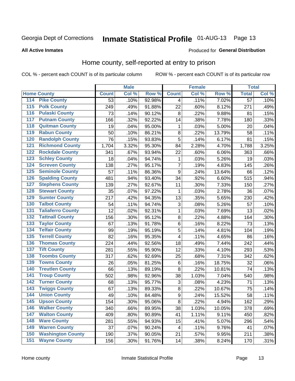# Inmate Statistical Profile 01-AUG-13 Page 13

#### **All Active Inmates**

#### Produced for General Distribution

### Home county, self-reported at entry to prison

COL % - percent each COUNT is of its particular column

|                                 |              | <b>Male</b> |        |                | <b>Female</b> |        | <b>Total</b>    |       |
|---------------------------------|--------------|-------------|--------|----------------|---------------|--------|-----------------|-------|
| <b>Home County</b>              | <b>Count</b> | Col %       | Row %  | <b>Count</b>   | Col %         | Row %  | <b>Total</b>    | Col % |
| 114<br><b>Pike County</b>       | 53           | .10%        | 92.98% | 4              | .11%          | 7.02%  | $\overline{57}$ | .10%  |
| <b>Polk County</b><br>115       | 249          | .49%        | 91.88% | 22             | .60%          | 8.12%  | 271             | .49%  |
| <b>Pulaski County</b><br>116    | 73           | .14%        | 90.12% | 8              | .22%          | 9.88%  | 81              | .15%  |
| <b>Putnam County</b><br>117     | 166          | .32%        | 92.22% | 14             | .38%          | 7.78%  | 180             | .33%  |
| 118<br><b>Quitman County</b>    | 19           | .04%        | 95.00% | 1              | .03%          | 5.00%  | 20              | .04%  |
| <b>Rabun County</b><br>119      | 50           | .10%        | 86.21% | 8              | .22%          | 13.79% | 58              | .11%  |
| <b>Randolph County</b><br>120   | 76           | .15%        | 93.83% | 5              | .14%          | 6.17%  | 81              | .15%  |
| <b>Richmond County</b><br>121   | 1,704        | 3.32%       | 95.30% | 84             | 2.28%         | 4.70%  | 1,788           | 3.25% |
| <b>Rockdale County</b><br>122   | 341          | .67%        | 93.94% | 22             | .60%          | 6.06%  | 363             | .66%  |
| <b>Schley County</b><br>123     | 18           | .04%        | 94.74% | $\mathbf{1}$   | .03%          | 5.26%  | 19              | .03%  |
| <b>Screven County</b><br>124    | 138          | .27%        | 95.17% | $\overline{7}$ | .19%          | 4.83%  | 145             | .26%  |
| <b>Seminole County</b><br>125   | 57           | .11%        | 86.36% | 9              | .24%          | 13.64% | 66              | .12%  |
| <b>Spalding County</b><br>126   | 481          | .94%        | 93.40% | 34             | .92%          | 6.60%  | 515             | .94%  |
| <b>Stephens County</b><br>127   | 139          | .27%        | 92.67% | 11             | .30%          | 7.33%  | 150             | .27%  |
| <b>Stewart County</b><br>128    | 35           | .07%        | 97.22% | 1              | .03%          | 2.78%  | 36              | .07%  |
| <b>Sumter County</b><br>129     | 217          | .42%        | 94.35% | 13             | .35%          | 5.65%  | 230             | .42%  |
| <b>Talbot County</b><br>130     | 54           | .11%        | 94.74% | 3              | .08%          | 5.26%  | 57              | .10%  |
| <b>Taliaferro County</b><br>131 | 12           | .02%        | 92.31% | 1              | .03%          | 7.69%  | 13              | .02%  |
| <b>Tattnall County</b><br>132   | 156          | .30%        | 95.12% | $\bf 8$        | .22%          | 4.88%  | 164             | .30%  |
| <b>Taylor County</b><br>133     | 67           | .13%        | 91.78% | 6              | .16%          | 8.22%  | 73              | .13%  |
| <b>Telfair County</b><br>134    | 99           | .19%        | 95.19% | 5              | .14%          | 4.81%  | 104             | .19%  |
| <b>Terrell County</b><br>135    | 82           | .16%        | 95.35% | 4              | .11%          | 4.65%  | 86              | .16%  |
| <b>Thomas County</b><br>136     | 224          | .44%        | 92.56% | 18             | .49%          | 7.44%  | 242             | .44%  |
| <b>Tift County</b><br>137       | 281          | .55%        | 95.90% | 12             | .33%          | 4.10%  | 293             | .53%  |
| <b>Toombs County</b><br>138     | 317          | .62%        | 92.69% | 25             | .68%          | 7.31%  | 342             | .62%  |
| <b>Towns County</b><br>139      | 26           | .05%        | 81.25% | 6              | .16%          | 18.75% | 32              | .06%  |
| <b>Treutlen County</b><br>140   | 66           | .13%        | 89.19% | 8              | .22%          | 10.81% | 74              | .13%  |
| <b>Troup County</b><br>141      | 502          | .98%        | 92.96% | 38             | 1.03%         | 7.04%  | 540             | .98%  |
| <b>Turner County</b><br>142     | 68           | .13%        | 95.77% | $\sqrt{3}$     | .08%          | 4.23%  | 71              | .13%  |
| <b>Twiggs County</b><br>143     | 67           | .13%        | 89.33% | 8              | .22%          | 10.67% | 75              | .14%  |
| <b>Union County</b><br>144      | 49           | .10%        | 84.48% | $\overline{9}$ | .24%          | 15.52% | 58              | .11%  |
| 145<br><b>Upson County</b>      | 154          | .30%        | 95.06% | 8              | .22%          | 4.94%  | 162             | .29%  |
| <b>Walker County</b><br>146     | 340          | .66%        | 89.95% | 38             | 1.03%         | 10.05% | 378             | .69%  |
| <b>Walton County</b><br>147     | 409          | .80%        | 90.89% | 41             | 1.11%         | 9.11%  | 450             | .82%  |
| <b>Ware County</b><br>148       | 281          | .55%        | 94.93% | 15             | .41%          | 5.07%  | 296             | .54%  |
| <b>Warren County</b><br>149     | 37           | .07%        | 90.24% | 4              | .11%          | 9.76%  | 41              | .07%  |
| <b>Washington County</b><br>150 | 190          | .37%        | 90.05% | 21             | .57%          | 9.95%  | 211             | .38%  |
| <b>Wayne County</b><br>151      | 156          | .30%        | 91.76% | 14             | .38%          | 8.24%  | 170             | .31%  |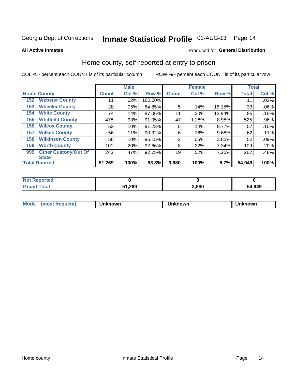# Inmate Statistical Profile 01-AUG-13 Page 14

**All Active Inmates** 

### Produced for General Distribution

### Home county, self-reported at entry to prison

COL % - percent each COUNT is of its particular column

|     |                             |              | <b>Male</b> |         |              | <b>Female</b> |        | <b>Total</b> |         |
|-----|-----------------------------|--------------|-------------|---------|--------------|---------------|--------|--------------|---------|
|     | <b>Home County</b>          | <b>Count</b> | Col %       | Row %   | <b>Count</b> | Col %         | Row %  | <b>Total</b> | Col %   |
| 152 | <b>Webster County</b>       | 11           | .02%        | 100.00% |              |               |        | 11           | .02%    |
| 153 | <b>Wheeler County</b>       | 28           | .05%        | 84.85%  | 5            | .14%          | 15.15% | 33           | .06%    |
| 154 | <b>White County</b>         | 74           | .14%        | 87.06%  | 11           | .30%          | 12.94% | 85           | .15%    |
| 155 | <b>Whitfield County</b>     | 478          | .93%        | 91.05%  | 47           | 1.28%         | 8.95%  | 525          | $.96\%$ |
| 156 | <b>Wilcox County</b>        | 52           | .10%        | 91.23%  | 5            | .14%          | 8.77%  | 57           | .10%    |
| 157 | <b>Wilkes County</b>        | 56           | .11%        | 90.32%  | 6            | .16%          | 9.68%  | 62           | .11%    |
| 158 | <b>Wilkinson County</b>     | 50           | .10%        | 96.15%  | 2            | .05%          | 3.85%  | 52           | .09%    |
| 159 | <b>Worth County</b>         | 101          | .20%        | 92.66%  | 8            | .22%          | 7.34%  | 109          | .20%    |
| 999 | <b>Other Custody/Out Of</b> | 243          | .47%        | 92.75%  | 19           | .52%          | 7.25%  | 262          | .48%    |
|     | <b>State</b>                |              |             |         |              |               |        |              |         |
|     | <b>Total Rported</b>        | 51,269       | 100%        | 93.3%   | 3,680        | 100%          | 6.7%   | 54,949       | 100%    |

| <b>Not</b><br>Reported |               |       |        |
|------------------------|---------------|-------|--------|
| <b>Total</b>           | 51,269<br>E4. | 3.680 | 54,949 |

| Mode<br><b>Tequent)</b><br>ns | nown | mown | เทown |
|-------------------------------|------|------|-------|
|                               |      |      |       |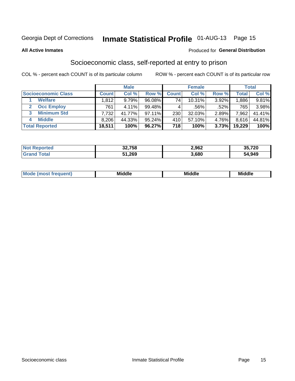# Inmate Statistical Profile 01-AUG-13 Page 15

#### **All Active Inmates**

#### Produced for General Distribution

# Socioeconomic class, self-reported at entry to prison

COL % - percent each COUNT is of its particular column

|                         |              | <b>Male</b> |           |              | <b>Female</b> |       |        | <b>Total</b> |
|-------------------------|--------------|-------------|-----------|--------------|---------------|-------|--------|--------------|
| Socioeconomic Class     | <b>Count</b> | Col %       | Row %     | <b>Count</b> | Col %         | Row % | Total  | Col %        |
| <b>Welfare</b>          | .812         | 9.79%       | 96.08%    | 74           | $10.31\%$     | 3.92% | 1,886  | $9.81\%$     |
| <b>Occ Employ</b>       | 761          | 4.11%       | 99.48%    |              | .56%          | .52%  | 765    | 3.98%        |
| <b>Minimum Std</b><br>3 | 7,732        | 41.77%      | $97.11\%$ | 230          | $32.03\%$     | 2.89% | 7,962. | 41.41%       |
| <b>Middle</b><br>4      | 8,206        | 44.33%      | 95.24%    | 410          | 57.10%        | 4.76% | 8,616  | 44.81%       |
| <b>Total Reported</b>   | 18,511       | 100%        | 96.27%    | 718          | 100%          | 3.73% | 19,229 | 100%         |

| <b>Not Reported</b> | 32,758 | 2,962 | 35,720 |
|---------------------|--------|-------|--------|
| Total               | 51,269 | 3,680 | 54,949 |

|  | M | <b>Middle</b><br>_____ | <b>Middle</b><br>____ | ____ |
|--|---|------------------------|-----------------------|------|
|--|---|------------------------|-----------------------|------|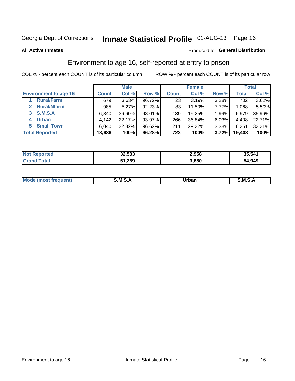# Inmate Statistical Profile 01-AUG-13 Page 16

**All Active Inmates** 

#### Produced for General Distribution

# Environment to age 16, self-reported at entry to prison

COL % - percent each COUNT is of its particular column

|                                    |              | <b>Male</b> |        |              | <b>Female</b> |          |              | <b>Total</b> |
|------------------------------------|--------------|-------------|--------|--------------|---------------|----------|--------------|--------------|
| <b>Environment to age 16</b>       | <b>Count</b> | Col%        | Row %  | <b>Count</b> | Col %         | Row %    | <b>Total</b> | Col %        |
| <b>Rural/Farm</b>                  | 679          | 3.63%       | 96.72% | 23           | 3.19%         | 3.28%    | 702          | $3.62\%$     |
| <b>Rural/Nfarm</b><br>$\mathbf{2}$ | 985          | 5.27%       | 92.23% | 83           | 11.50%        | 7.77%    | 1,068        | 5.50%        |
| <b>S.M.S.A</b><br>$3^{\circ}$      | 6,840        | 36.60%      | 98.01% | 139          | 19.25%        | 1.99%    | 6,979        | 35.96%       |
| <b>Urban</b><br>4                  | 4,142        | 22.17%      | 93.97% | 266          | 36.84%        | $6.03\%$ | 4,408        | 22.71%       |
| <b>Small Town</b><br>5.            | 6,040        | 32.32%      | 96.62% | 211          | 29.22%        | 3.38%    | 6,251        | 32.21%       |
| <b>Total Reported</b>              | 18,686       | 100%        | 96.28% | 722          | 100%          | 3.72%    | 19,408       | 100%         |

| <b>Not Reported</b> | 32,583 | 2,958 | 35,541 |
|---------------------|--------|-------|--------|
| <b>Grand Total</b>  | 51,269 | 3,680 | 54,949 |

| Mo | .M.'<br>. . | <b>Jrhan</b><br>_____ | м s |
|----|-------------|-----------------------|-----|
|    |             |                       |     |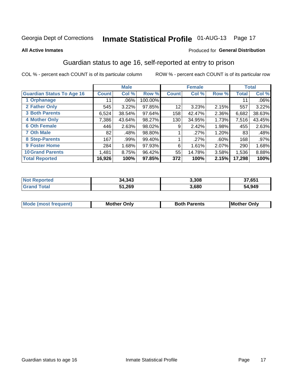# Inmate Statistical Profile 01-AUG-13 Page 17

#### **All Active Inmates**

### Produced for General Distribution

# Guardian status to age 16, self-reported at entry to prison

COL % - percent each COUNT is of its particular column

|                                  |              | <b>Male</b> |         |              | <b>Female</b> |       |              | <b>Total</b> |
|----------------------------------|--------------|-------------|---------|--------------|---------------|-------|--------------|--------------|
| <b>Guardian Status To Age 16</b> | <b>Count</b> | Col %       | Row %   | <b>Count</b> | Col %         | Row % | <b>Total</b> | Col %        |
| 1 Orphanage                      | 11           | $.06\%$     | 100.00% |              |               |       | 11           | .06%         |
| 2 Father Only                    | 545          | 3.22%       | 97.85%  | 12           | 3.23%         | 2.15% | 557          | 3.22%        |
| <b>3 Both Parents</b>            | 6,524        | 38.54%      | 97.64%  | 158          | 42.47%        | 2.36% | 6,682        | 38.63%       |
| <b>4 Mother Only</b>             | 7,386        | 43.64%      | 98.27%  | 130          | 34.95%        | 1.73% | 7,516        | 43.45%       |
| <b>6 Oth Female</b>              | 446          | 2.63%       | 98.02%  | 9            | 2.42%         | 1.98% | 455          | 2.63%        |
| <b>7 Oth Male</b>                | 82           | .48%        | 98.80%  |              | .27%          | 1.20% | 83           | .48%         |
| 8 Step-Parents                   | 167          | .99%        | 99.40%  |              | .27%          | .60%  | 168          | $.97\%$      |
| 9 Foster Home                    | 284          | 1.68%       | 97.93%  | 6            | 1.61%         | 2.07% | 290          | 1.68%        |
| <b>10 Grand Parents</b>          | 1,481        | 8.75%       | 96.42%  | 55           | 14.78%        | 3.58% | 1,536        | 8.88%        |
| <b>Total Reported</b>            | 16,926       | 100%        | 97.85%  | 372          | 100%          | 2.15% | 17,298       | 100%         |

| <b>Not</b><br>* Reported | 34,343 | 3,308 | 37,651 |
|--------------------------|--------|-------|--------|
| Total                    | 51,269 | 3,680 | 54,949 |

| <b>Mode (most frequent)</b> | วทIv<br>- -<br>MΩ | <b>Roth</b><br>ີ <sup>ລ</sup> າrents | l Mc<br>Only<br>- - |
|-----------------------------|-------------------|--------------------------------------|---------------------|
|                             |                   |                                      |                     |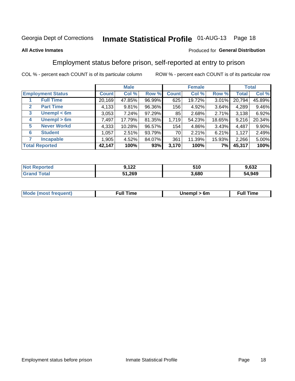# Inmate Statistical Profile 01-AUG-13 Page 18

### **All Active Inmates**

### Produced for General Distribution

# Employment status before prison, self-reported at entry to prison

COL % - percent each COUNT is of its particular column

|                                  |              | <b>Male</b> |        |              | <b>Female</b> |        |        | <b>Total</b> |
|----------------------------------|--------------|-------------|--------|--------------|---------------|--------|--------|--------------|
| <b>Employment Status</b>         | <b>Count</b> | Col %       | Row %  | <b>Count</b> | Col %         | Row %  | Total  | Col %        |
| <b>Full Time</b>                 | 20,169       | 47.85%      | 96.99% | 625          | 19.72%        | 3.01%  | 20,794 | 45.89%       |
| <b>Part Time</b><br>$\mathbf{2}$ | 4,133        | 9.81%       | 96.36% | 156          | 4.92%         | 3.64%  | 4,289  | 9.46%        |
| Unempl $<$ 6m<br>3               | 3,053        | 7.24%       | 97.29% | 85           | 2.68%         | 2.71%  | 3,138  | 6.92%        |
| Unempl > 6m<br>4                 | 7,497        | 17.79%      | 81.35% | 1,719        | 54.23%        | 18.65% | 9,216  | 20.34%       |
| <b>Never Workd</b><br>5          | 4,333        | 10.28%      | 96.57% | 154          | 4.86%         | 3.43%  | 4,487  | 9.90%        |
| <b>Student</b><br>6              | 1,057        | 2.51%       | 93.79% | 70           | 2.21%         | 6.21%  | 1,127  | 2.49%        |
| <b>Incapable</b>                 | 1,905        | 4.52%       | 84.07% | 361          | 11.39%        | 15.93% | 2,266  | 5.00%        |
| <b>Total Reported</b>            | 42,147       | 100%        | 93%    | 3,170        | 100%          | 7%     | 45,317 | 100%         |

| orteo<br>NO | <b>ممد</b><br>144 | 510<br>J I U | $\sim$ 000 $\sim$<br>ാ∠ |
|-------------|-------------------|--------------|-------------------------|
| $\sim$ 10   | 51,269            | 3.680        | 54,949                  |

| <b>Mode (most frequent)</b> | full "<br>the contract of the contract of the contract of the contract of the contract of the contract of the contract of | 6m | ïme<br>้นเ<br>the contract of the contract of the contract of the contract of the contract of the contract of the contract of |
|-----------------------------|---------------------------------------------------------------------------------------------------------------------------|----|-------------------------------------------------------------------------------------------------------------------------------|
|                             |                                                                                                                           |    |                                                                                                                               |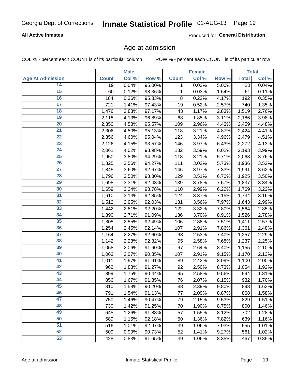### **All Active Inmates**

Produced for General Distribution

### Age at admission

COL % - percent each COUNT is of its particular column

|                         |                    | <b>Male</b> |        |              | Female |       |              | <b>Total</b> |
|-------------------------|--------------------|-------------|--------|--------------|--------|-------|--------------|--------------|
| <b>Age At Admission</b> | <b>Count</b>       | Col %       | Row %  | <b>Count</b> | Col %  | Row % | <b>Total</b> | Col %        |
| 14                      | 19                 | 0.04%       | 95.00% | 1            | 0.03%  | 5.00% | 20           | 0.04%        |
| 15                      | 60                 | 0.12%       | 98.36% | $\mathbf 1$  | 0.03%  | 1.64% | 61           | 0.11%        |
| 16                      | 184                | 0.36%       | 95.83% | 8            | 0.22%  | 4.17% | 192          | 0.35%        |
| $\overline{17}$         | 721                | 1.41%       | 97.43% | 19           | 0.52%  | 2.57% | 740          | 1.35%        |
| $\overline{18}$         | 1,476              | 2.88%       | 97.17% | 43           | 1.17%  | 2.83% | 1,519        | 2.76%        |
| 19                      | 2,118              | 4.13%       | 96.89% | 68           | 1.85%  | 3.11% | 2,186        | 3.98%        |
| $\overline{20}$         | 2,350              | 4.58%       | 95.57% | 109          | 2.96%  | 4.43% | 2,459        | 4.48%        |
| $\overline{21}$         | 2,306              | 4.50%       | 95.13% | 118          | 3.21%  | 4.87% | 2,424        | 4.41%        |
| $\overline{22}$         | 2,356              | 4.60%       | 95.04% | 123          | 3.34%  | 4.96% | 2,479        | 4.51%        |
| 23                      | 2,126              | 4.15%       | 93.57% | 146          | 3.97%  | 6.43% | 2,272        | 4.13%        |
| $\overline{24}$         | 2,061              | 4.02%       | 93.98% | 132          | 3.59%  | 6.02% | 2,193        | 3.99%        |
| 25                      | 1,950              | 3.80%       | 94.29% | 118          | 3.21%  | 5.71% | 2,068        | 3.76%        |
| $\overline{26}$         | 1,825              | 3.56%       | 94.27% | 111          | 3.02%  | 5.73% | 1,936        | 3.52%        |
| $\overline{27}$         | 1,845              | 3.60%       | 92.67% | 146          | 3.97%  | 7.33% | 1,991        | 3.62%        |
| 28                      | 1,796              | 3.50%       | 93.30% | 129          | 3.51%  | 6.70% | 1,925        | 3.50%        |
| 29                      | 1,698              | 3.31%       | 92.43% | 139          | 3.78%  | 7.57% | 1,837        | 3.34%        |
| 30                      | 1,659              | 3.24%       | 93.78% | 110          | 2.99%  | 6.22% | 1,769        | 3.22%        |
| $\overline{31}$         | 1,610              | 3.14%       | 92.85% | 124          | 3.37%  | 7.15% | 1,734        | 3.16%        |
| 32                      | 1,512              | 2.95%       | 92.03% | 131          | 3.56%  | 7.97% | 1,643        | 2.99%        |
| 33                      | 1,442              | 2.81%       | 92.20% | 122          | 3.32%  | 7.80% | 1,564        | 2.85%        |
| 34                      | 1,390              | 2.71%       | 91.09% | 136          | 3.70%  | 8.91% | 1,526        | 2.78%        |
| 35                      | 1,305              | 2.55%       | 92.49% | 106          | 2.88%  | 7.51% | 1,411        | 2.57%        |
| 36                      | 1,254              | 2.45%       | 92.14% | 107          | 2.91%  | 7.86% | 1,361        | 2.48%        |
| $\overline{37}$         | $\overline{1,}164$ | 2.27%       | 92.60% | 93           | 2.53%  | 7.40% | 1,257        | 2.29%        |
| 38                      | 1,142              | 2.23%       | 92.32% | 95           | 2.58%  | 7.68% | 1,237        | 2.25%        |
| 39                      | 1,058              | 2.06%       | 91.60% | 97           | 2.64%  | 8.40% | 1,155        | 2.10%        |
| 40                      | 1,063              | 2.07%       | 90.85% | 107          | 2.91%  | 9.15% | 1,170        | 2.13%        |
| 41                      | 1,011              | 1.97%       | 91.91% | 89           | 2.42%  | 8.09% | 1,100        | 2.00%        |
| 42                      | 962                | 1.88%       | 91.27% | 92           | 2.50%  | 8.73% | 1,054        | 1.92%        |
| 43                      | 899                | 1.75%       | 90.44% | 95           | 2.58%  | 9.56% | 994          | 1.81%        |
| 44                      | 856                | 1.67%       | 91.85% | 76           | 2.07%  | 8.15% | 932          | 1.70%        |
| 45                      | 810                | 1.58%       | 90.20% | 88           | 2.39%  | 9.80% | 898          | 1.63%        |
| 46                      | 791                | 1.54%       | 91.13% | 77           | 2.09%  | 8.87% | 868          | 1.58%        |
| 47                      | 750                | 1.46%       | 90.47% | 79           | 2.15%  | 9.53% | 829          | 1.51%        |
| 48                      | 730                | 1.42%       | 91.25% | 70           | 1.90%  | 8.75% | 800          | 1.46%        |
| 49                      | 645                | 1.26%       | 91.88% | 57           | 1.55%  | 8.12% | 702          | 1.28%        |
| 50                      | 589                | 1.15%       | 92.18% | 50           | 1.36%  | 7.82% | 639          | 1.16%        |
| 51                      | 516                | 1.01%       | 92.97% | 39           | 1.06%  | 7.03% | 555          | 1.01%        |
| 52                      | 509                | 0.99%       | 90.73% | 52           | 1.41%  | 9.27% | 561          | 1.02%        |
| 53                      | 428                | 0.83%       | 91.65% | 39           | 1.06%  | 8.35% | 467          | 0.85%        |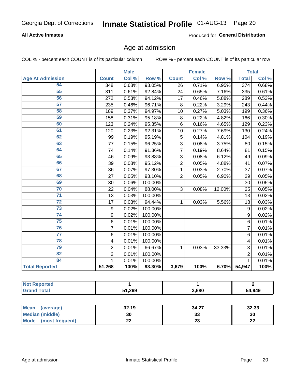### **All Active Inmates**

Produced for General Distribution

### Age at admission

COL % - percent each COUNT is of its particular column

|                         |                         | <b>Male</b> |         |                | <b>Female</b> |        |                 | <b>Total</b> |
|-------------------------|-------------------------|-------------|---------|----------------|---------------|--------|-----------------|--------------|
| <b>Age At Admission</b> | <b>Count</b>            | Col %       | Row %   | <b>Count</b>   | Col %         | Row %  | <b>Total</b>    | Col %        |
| 54                      | 348                     | 0.68%       | 93.05%  | 26             | 0.71%         | 6.95%  | 374             | 0.68%        |
| $\overline{55}$         | 311                     | 0.61%       | 92.84%  | 24             | 0.65%         | 7.16%  | 335             | 0.61%        |
| 56                      | 272                     | 0.53%       | 94.12%  | 17             | 0.46%         | 5.88%  | 289             | 0.53%        |
| 57                      | 235                     | 0.46%       | 96.71%  | 8              | 0.22%         | 3.29%  | 243             | 0.44%        |
| 58                      | 189                     | 0.37%       | 94.97%  | 10             | 0.27%         | 5.03%  | 199             | 0.36%        |
| 59                      | 158                     | 0.31%       | 95.18%  | 8              | 0.22%         | 4.82%  | 166             | 0.30%        |
| 60                      | 123                     | 0.24%       | 95.35%  | 6              | 0.16%         | 4.65%  | 129             | 0.23%        |
| 61                      | 120                     | 0.23%       | 92.31%  | 10             | 0.27%         | 7.69%  | 130             | 0.24%        |
| 62                      | 99                      | 0.19%       | 95.19%  | 5              | 0.14%         | 4.81%  | 104             | 0.19%        |
| 63                      | 77                      | 0.15%       | 96.25%  | 3              | 0.08%         | 3.75%  | 80              | 0.15%        |
| 64                      | 74                      | 0.14%       | 91.36%  | $\overline{7}$ | 0.19%         | 8.64%  | 81              | 0.15%        |
| 65                      | 46                      | 0.09%       | 93.88%  | 3              | 0.08%         | 6.12%  | 49              | 0.09%        |
| 66                      | 39                      | 0.08%       | 95.12%  | $\overline{2}$ | 0.05%         | 4.88%  | 41              | 0.07%        |
| 67                      | 36                      | 0.07%       | 97.30%  | $\mathbf{1}$   | 0.03%         | 2.70%  | 37              | 0.07%        |
| 68                      | 27                      | 0.05%       | 93.10%  | $\overline{2}$ | 0.05%         | 6.90%  | 29              | 0.05%        |
| 69                      | 30                      | 0.06%       | 100.00% |                |               |        | $\overline{30}$ | 0.05%        |
| 70                      | 22                      | 0.04%       | 88.00%  | $\overline{3}$ | 0.08%         | 12.00% | 25              | 0.05%        |
| $\overline{71}$         | 13                      | 0.03%       | 100.00% |                |               |        | 13              | 0.02%        |
| $\overline{72}$         | 17                      | 0.03%       | 94.44%  | 1              | 0.03%         | 5.56%  | 18              | 0.03%        |
| $\overline{73}$         | 9                       | 0.02%       | 100.00% |                |               |        | 9               | 0.02%        |
| 74                      | 9                       | 0.02%       | 100.00% |                |               |        | $\overline{9}$  | 0.02%        |
| $\overline{75}$         | 6                       | 0.01%       | 100.00% |                |               |        | 6               | 0.01%        |
| 76                      | $\overline{7}$          | 0.01%       | 100.00% |                |               |        | $\overline{7}$  | 0.01%        |
| $\overline{77}$         | 6                       | 0.01%       | 100.00% |                |               |        | 6               | 0.01%        |
| 78                      | $\overline{\mathbf{4}}$ | 0.01%       | 100.00% |                |               |        | 4               | 0.01%        |
| 79                      | $\overline{2}$          | 0.01%       | 66.67%  | $\mathbf{1}$   | 0.03%         | 33.33% | 3               | 0.01%        |
| 82                      | $\overline{2}$          | 0.01%       | 100.00% |                |               |        | $\overline{2}$  | 0.01%        |
| 84                      | $\mathbf{1}$            | 0.01%       | 100.00% |                |               |        | $\mathbf{1}$    | 0.01%        |
| <b>Total Reported</b>   | 51,268                  | 100%        | 93.30%  | 3,679          | 100%          | 6.70%  | 54,947          | 100%         |

| тео<br>'N (  |        |       |        |
|--------------|--------|-------|--------|
| <b>cotal</b> | 51,269 | 3,680 | 54,949 |

| <b>Mean</b><br>(average) | 32.19 | 34.27    | 32.33     |
|--------------------------|-------|----------|-----------|
| Median (middle)          | 30    | ົ<br>აა  | 30        |
| Mode<br>(most frequent)  | ∸∸    | ^^<br>23 | ne.<br>LL |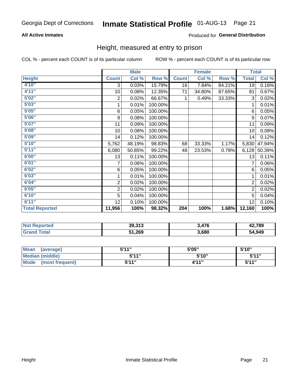### **All Active Inmates**

### Produced for General Distribution

### Height, measured at entry to prison

COL % - percent each COUNT is of its particular column

|                       |                         | <b>Male</b>               |         |                  | <b>Female</b> |        | <b>Total</b>   |        |
|-----------------------|-------------------------|---------------------------|---------|------------------|---------------|--------|----------------|--------|
| <b>Height</b>         | <b>Count</b>            | $\overline{\text{Col}}$ % | Row %   | <b>Count</b>     | Col %         | Row %  | <b>Total</b>   | Col %  |
| 4'10''                | 3                       | 0.03%                     | 15.79%  | 16               | 7.84%         | 84.21% | 19             | 0.16%  |
| 4'11''                | 10                      | 0.08%                     | 12.35%  | 71               | 34.80%        | 87.65% | 81             | 0.67%  |
| 5'02''                | 2                       | 0.02%                     | 66.67%  | 1                | 0.49%         | 33.33% | 3              | 0.02%  |
| 5'03"                 | 1                       | 0.01%                     | 100.00% |                  |               |        | 1              | 0.01%  |
| 5'05''                | 6                       | 0.05%                     | 100.00% |                  |               |        | 6              | 0.05%  |
| 5'06''                | 9                       | 0.08%                     | 100.00% |                  |               |        | 9              | 0.07%  |
| 5'07''                | 11                      | 0.09%                     | 100.00% |                  |               |        | 11             | 0.09%  |
| 5'08''                | 10                      | 0.08%                     | 100.00% |                  |               |        | 10             | 0.08%  |
| 5'09''                | 14                      | 0.12%                     | 100.00% |                  |               |        | 14             | 0.12%  |
| 5'10''                | 5,762                   | 48.19%                    | 98.83%  | 68               | 33.33%        | 1.17%  | 5,830          | 47.94% |
| 5'11''                | 6,080                   | 50.85%                    | 99.22%  | 48               | 23.53%        | 0.78%  | 6,128          | 50.39% |
| 6'00''                | 13                      | 0.11%                     | 100.00% |                  |               |        | 13             | 0.11%  |
| 6'01''                | 7                       | 0.06%                     | 100.00% |                  |               |        |                | 0.06%  |
| 6'02"                 | 6                       | 0.05%                     | 100.00% |                  |               |        | 6              | 0.05%  |
| 6'03''                | 1                       | 0.01%                     | 100.00% |                  |               |        | 1              | 0.01%  |
| 6'04''                | $\overline{\mathbf{c}}$ | 0.02%                     | 100.00% |                  |               |        | $\overline{c}$ | 0.02%  |
| 6'05''                | $\overline{2}$          | 0.02%                     | 100.00% |                  |               |        | $\overline{2}$ | 0.02%  |
| 6'10''                | 5                       | 0.04%                     | 100.00% |                  |               |        | 5              | 0.04%  |
| 6'11''                | 12                      | 0.10%                     | 100.00% |                  |               |        | 12             | 0.10%  |
| <b>Total Reported</b> | 11,956                  | 100%                      | 98.32%  | $\overline{204}$ | 100%          | 1.68%  | 12,160         | 100%   |

| <b>Not</b><br><b>Reported</b> | 39,313 | A7C   | 42,789 |
|-------------------------------|--------|-------|--------|
| ™otai                         | 51,269 | 3,680 | 54,949 |

| <b>Mean</b><br>(average)       | 5'11" | 5'05" | 5'10" |
|--------------------------------|-------|-------|-------|
| Median (middle)                | 5'11" | 5'10" | 544"  |
| <b>Mode</b><br>(most frequent) | 5'11" | 4'11" | 5'11" |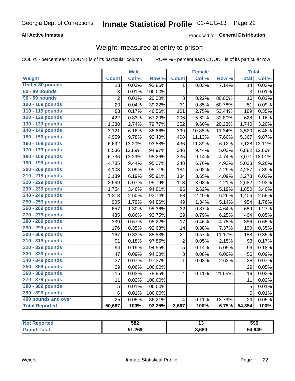### **All Active Inmates**

### Produced for General Distribution

# Weight, measured at entry to prison

COL % - percent each COUNT is of its particular column

|                        |                 | <b>Male</b> |                  |                         | <b>Female</b> |        | <b>Total</b>    |        |
|------------------------|-----------------|-------------|------------------|-------------------------|---------------|--------|-----------------|--------|
| <b>Weight</b>          | <b>Count</b>    | Col %       | Row <sup>%</sup> | <b>Count</b>            | Col %         | Row %  | <b>Total</b>    | Col%   |
| <b>Under 80 pounds</b> | $\overline{13}$ | 0.03%       | 92.86%           | $\mathbf 1$             | 0.03%         | 7.14%  | $\overline{14}$ | 0.03%  |
| 80 - 89 pounds         | 3               | 0.01%       | 100.00%          |                         |               |        | 3               | 0.01%  |
| 90 - 99 pounds         | $\overline{2}$  | 0.01%       | 20.00%           | 8                       | 0.22%         | 80.00% | 10              | 0.02%  |
| 100 - 109 pounds       | 20              | 0.04%       | 39.22%           | $\overline{31}$         | 0.85%         | 60.78% | 51              | 0.09%  |
| 110 - 119 pounds       | 88              | 0.17%       | 46.56%           | 101                     | 2.75%         | 53.44% | 189             | 0.35%  |
| 120 - 129 pounds       | 422             | 0.83%       | 67.20%           | 206                     | 5.62%         | 32.80% | 628             | 1.16%  |
| 130 - 139 pounds       | 1,388           | 2.74%       | 79.77%           | 352                     | 9.60%         | 20.23% | 1,740           | 3.20%  |
| 140 - 149 pounds       | 3,121           | 6.16%       | 88.66%           | 399                     | 10.88%        | 11.34% | 3,520           | 6.48%  |
| 150 - 159 pounds       | 4,959           | 9.78%       | 92.40%           | 408                     | 11.13%        | 7.60%  | 5,367           | 9.87%  |
| 160 - 169 pounds       | 6,692           | 13.20%      | 93.88%           | 436                     | 11.89%        | 6.12%  | 7,128           | 13.11% |
| 170 - 179 pounds       | 6,536           | 12.89%      | 94.97%           | 346                     | 9.44%         | 5.03%  | 6,882           | 12.66% |
| 180 - 189 pounds       | 6,736           | 13.29%      | 95.26%           | 335                     | 9.14%         | 4.74%  | 7,071           | 13.01% |
| 190 - 199 pounds       | 4,785           | 9.44%       | 95.07%           | 248                     | 6.76%         | 4.93%  | 5,033           | 9.26%  |
| 200 - 209 pounds       | 4,103           | 8.09%       | 95.71%           | 184                     | 5.02%         | 4.29%  | 4,287           | 7.89%  |
| 210 - 219 pounds       | 3,139           | 6.19%       | 95.91%           | 134                     | 3.65%         | 4.09%  | 3,273           | 6.02%  |
| 220 - 229 pounds       | 2,569           | 5.07%       | 95.79%           | 113                     | 3.08%         | 4.21%  | 2,682           | 4.93%  |
| 230 - 239 pounds       | 1,754           | 3.46%       | 94.81%           | 96                      | 2.62%         | 5.19%  | 1,850           | 3.40%  |
| 240 - 249 pounds       | 1,318           | 2.60%       | 93.74%           | 88                      | 2.40%         | 6.26%  | 1,406           | 2.59%  |
| 250 - 259 pounds       | 905             | 1.79%       | 94.86%           | 49                      | 1.34%         | 5.14%  | 954             | 1.76%  |
| 260 - 269 pounds       | 657             | 1.30%       | 95.36%           | 32                      | 0.87%         | 4.64%  | 689             | 1.27%  |
| 270 - 279 pounds       | 435             | 0.86%       | 93.75%           | 29                      | 0.79%         | 6.25%  | 464             | 0.85%  |
| 280 - 289 pounds       | 339             | 0.67%       | 95.22%           | 17                      | 0.46%         | 4.78%  | 356             | 0.65%  |
| 290 - 299 pounds       | 176             | 0.35%       | 92.63%           | 14                      | 0.38%         | 7.37%  | 190             | 0.35%  |
| 300 - 309 pounds       | 167             | 0.33%       | 88.83%           | 21                      | 0.57%         | 11.17% | 188             | 0.35%  |
| 310 - 319 pounds       | 91              | 0.18%       | 97.85%           | $\overline{c}$          | 0.05%         | 2.15%  | 93              | 0.17%  |
| 320 - 329 pounds       | 94              | 0.19%       | 94.95%           | 5                       | 0.14%         | 5.05%  | 99              | 0.18%  |
| 330 - 339 pounds       | 47              | 0.09%       | 94.00%           | 3                       | 0.08%         | 6.00%  | 50              | 0.09%  |
| 340 - 349 pounds       | 37              | 0.07%       | 97.37%           | $\mathbf{1}$            | 0.03%         | 2.63%  | 38              | 0.07%  |
| 350 - 359 pounds       | 29              | 0.06%       | 100.00%          |                         |               |        | 29              | 0.05%  |
| 360 - 369 pounds       | 15              | 0.03%       | 78.95%           | $\overline{4}$          | 0.11%         | 21.05% | 19              | 0.03%  |
| 370 - 379 pounds       | 11              | 0.02%       | 100.00%          |                         |               |        | 11              | 0.02%  |
| 380 - 389 pounds       | 5               | 0.01%       | 100.00%          |                         |               |        | 5               | 0.01%  |
| 390 - 399 pounds       | 6               | 0.01%       | 100.00%          |                         |               |        | $6\phantom{1}6$ | 0.01%  |
| 400 pounds and over    | 25              | 0.05%       | 86.21%           | $\overline{\mathbf{4}}$ | 0.11%         | 13.79% | 29              | 0.05%  |
| <b>Total Reported</b>  | 50,687          | 100%        | 93.25%           | 3,667                   | 100%          | 6.75%  | 54,354          | 100%   |

| NOI<br>тео | 582    |       | 595    |
|------------|--------|-------|--------|
|            | 51,269 | 3.680 | 54,949 |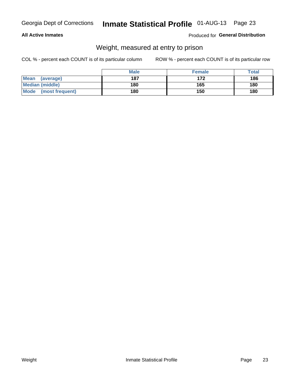### **All Active Inmates**

### Produced for General Distribution

# Weight, measured at entry to prison

COL % - percent each COUNT is of its particular column

|                          | <b>Male</b> | <b>Female</b> | Total |
|--------------------------|-------------|---------------|-------|
| <b>Mean</b><br>(average) | 187         | 172           | 186   |
| <b>Median (middle)</b>   | 180         | 165           | 180   |
| Mode<br>(most frequent)  | 180         | 150           | 180   |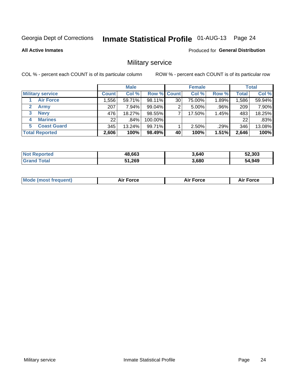# Inmate Statistical Profile 01-AUG-13 Page 24

**All Active Inmates** 

**Produced for General Distribution** 

# Military service

COL % - percent each COUNT is of its particular column

|                             | <b>Male</b>  |          |                    | <b>Female</b> |        |          | <b>Total</b> |        |
|-----------------------------|--------------|----------|--------------------|---------------|--------|----------|--------------|--------|
| <b>Military service</b>     | <b>Count</b> | Col %    | <b>Row % Count</b> |               | Col %  | Row %    | <b>Total</b> | Col %  |
| <b>Air Force</b>            | 1,556        | 59.71%   | 98.11%             | 30            | 75.00% | $1.89\%$ | .586         | 59.94% |
| $\mathbf{2}$<br><b>Army</b> | 207          | $7.94\%$ | 99.04%             | 2             | 5.00%  | .96%     | 209          | 7.90%  |
| <b>Navy</b><br>3            | 476          | 18.27%   | 98.55%             |               | 17.50% | 1.45%    | 483          | 18.25% |
| <b>Marines</b><br>4         | 22           | .84%     | 100.00%            |               |        |          | 22           | .83%   |
| <b>Coast Guard</b><br>5.    | 345          | 13.24%   | 99.71%             |               | 2.50%  | .29%     | 346          | 13.08% |
| <b>Total Reported</b>       | 2,606        | 100%     | 98.49%             | 40            | 100%   | 1.51%    | 2,646        | 100%   |

| <b>Not Reported</b> | 48,663 | 3,640 | 52,303 |
|---------------------|--------|-------|--------|
| Total               | 51,269 | 3,680 | 54,949 |

| Mc | - - - - | <b>Force</b><br>. | . |
|----|---------|-------------------|---|
|    |         |                   |   |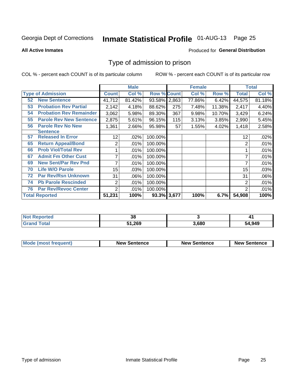# Inmate Statistical Profile 01-AUG-13 Page 25

### **All Active Inmates**

#### Produced for General Distribution

# Type of admission to prison

COL % - percent each COUNT is of its particular column

|    |                                |                 | <b>Male</b> |                    |       | <b>Female</b> |        |                | <b>Total</b> |
|----|--------------------------------|-----------------|-------------|--------------------|-------|---------------|--------|----------------|--------------|
|    | <b>Type of Admission</b>       | <b>Count</b>    | Col %       | <b>Row % Count</b> |       | Col %         | Row %  | <b>Total</b>   | Col %        |
| 52 | <b>New Sentence</b>            | 41,712          | 81.42%      | 93.58%             | 2,863 | 77.86%        | 6.42%  | 44,575         | 81.18%       |
| 53 | <b>Probation Rev Partial</b>   | 2,142           | 4.18%       | 88.62%             | 275   | 7.48%         | 11.38% | 2,417          | 4.40%        |
| 54 | <b>Probation Rev Remainder</b> | 3,062           | 5.98%       | 89.30%             | 367   | 9.98%         | 10.70% | 3,429          | 6.24%        |
| 55 | <b>Parole Rev New Sentence</b> | 2,875           | 5.61%       | 96.15%             | 115   | 3.13%         | 3.85%  | 2,990          | 5.45%        |
| 56 | <b>Parole Rev No New</b>       | 1,361           | 2.66%       | 95.98%             | 57    | 1.55%         | 4.02%  | 1,418          | 2.58%        |
|    | <b>Sentence</b>                |                 |             |                    |       |               |        |                |              |
| 57 | <b>Released In Error</b>       | 12 <sub>2</sub> | .02%        | 100.00%            |       |               |        | 12             | .02%         |
| 65 | <b>Return Appeal/Bond</b>      | $\overline{2}$  | .01%        | 100.00%            |       |               |        | 2              | .01%         |
| 66 | <b>Prob Viol/Total Rev</b>     |                 | .01%        | 100.00%            |       |               |        |                | .01%         |
| 67 | <b>Admit Fm Other Cust</b>     | 7               | .01%        | 100.00%            |       |               |        |                | .01%         |
| 69 | <b>New Sent/Par Rev Pnd</b>    | 7               | .01%        | 100.00%            |       |               |        |                | .01%         |
| 70 | <b>Life W/O Parole</b>         | 15              | .03%        | 100.00%            |       |               |        | 15             | .03%         |
| 72 | <b>Par Rev/Rsn Unknown</b>     | 31              | .06%        | 100.00%            |       |               |        | 31             | .06%         |
| 74 | <b>Pb Parole Rescinded</b>     | $\overline{2}$  | .01%        | 100.00%            |       |               |        | 2              | .01%         |
| 76 | <b>Par Rev/Revoc Center</b>    | 2               | .01%        | 100.00%            |       |               |        | $\overline{2}$ | .01%         |
|    | <b>Total Reported</b>          | 51,231          | 100%        | 93.3% 3,677        |       | 100%          | 6.7%   | 54,908         | 100%         |

| NOI<br>rteo | o c<br>vu |      |        |
|-------------|-----------|------|--------|
|             | 51,269    | .680 | 54,949 |

| Mode (most frequent) | <b>New Sentence</b> | <b>New Sentence</b> | <b>New Sentence</b> |
|----------------------|---------------------|---------------------|---------------------|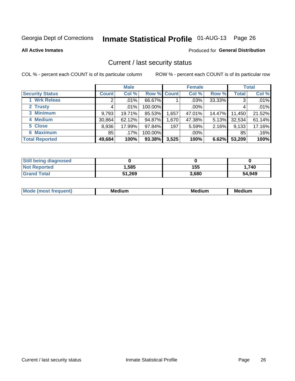# Inmate Statistical Profile 01-AUG-13 Page 26

**All Active Inmates** 

#### Produced for General Distribution

### Current / last security status

COL % - percent each COUNT is of its particular column

|                        |              | <b>Male</b> |             |       | <b>Female</b> |          |              | <b>Total</b> |
|------------------------|--------------|-------------|-------------|-------|---------------|----------|--------------|--------------|
| <b>Security Status</b> | <b>Count</b> | Col %       | Row % Count |       | Col %         | Row %    | <b>Total</b> | Col %        |
| 1 Wrk Releas           | 2            | $.01\%$     | 66.67%      |       | $.03\%$       | 33.33%   | 3            | .01%         |
| 2 Trusty               |              | .01%        | 100.00%     |       | $.00\%$       |          | 4            | .01%         |
| 3 Minimum              | 9,793        | 19.71%      | 85.53%      | 1,657 | 47.01%        | 14.47%   | 11,450       | 21.52%       |
| 4 Medium               | 30,864       | 62.12%      | 94.87%      | 1,670 | 47.38%        | $5.13\%$ | 32,534       | 61.14%       |
| 5 Close                | 8,936        | 17.99%      | 97.84%      | 197   | 5.59%         | $2.16\%$ | 9,133        | 17.16%       |
| <b>6 Maximum</b>       | 85           | .17%        | 100.00%     |       | $.00\%$       |          | 85           | .16%         |
| <b>Total Reported</b>  | 49,684       | 100%        | 93.38%      | 3,525 | 100%          | 6.62%    | 53,209       | 100%         |

| <b>Still being diagnosed</b> |        |       |        |
|------------------------------|--------|-------|--------|
| <b>Not Reported</b>          | .585   | 155   | 1,740  |
| <b>Grand Total</b>           | 51,269 | 3,680 | 54,949 |

| <b>Mo</b><br>ети | M.<br>. .<br>dium | M٢<br>. | <br><b>Medium</b> |
|------------------|-------------------|---------|-------------------|
|                  |                   |         |                   |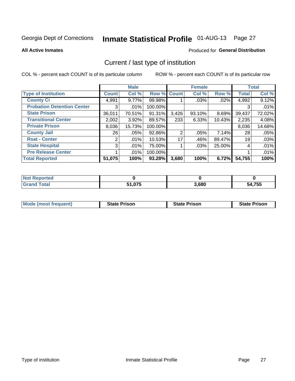# Inmate Statistical Profile 01-AUG-13 Page 27

**All Active Inmates** 

### Produced for General Distribution

# Current / last type of institution

COL % - percent each COUNT is of its particular column

|                                   |              | <b>Male</b> |         |                | <b>Female</b> |          |              | <b>Total</b> |
|-----------------------------------|--------------|-------------|---------|----------------|---------------|----------|--------------|--------------|
| <b>Type of Institution</b>        | <b>Count</b> | Col %       |         | Row % Count    | Col %         | Row %    | <b>Total</b> | Col %        |
| <b>County Ci</b>                  | 4,991        | 9.77%       | 99.98%  |                | .03%          | .02%     | 4,992        | 9.12%        |
| <b>Probation Detention Center</b> | 3            | .01%        | 100.00% |                |               |          | 3            | .01%         |
| <b>State Prison</b>               | 36,011       | 70.51%      | 91.31%  | 3,426          | $93.10\%$     | 8.69%    | 39,437       | 72.02%       |
| <b>Transitional Center</b>        | 2,002        | 3.92%       | 89.57%  | 233            | 6.33%         | 10.43%   | 2,235        | 4.08%        |
| <b>Private Prison</b>             | 8,036        | 15.73%      | 100.00% |                |               |          | 8,036        | 14.68%       |
| <b>County Jail</b>                | 26           | .05%        | 92.86%  | $\overline{2}$ | .05%          | $7.14\%$ | 28           | .05%         |
| <b>Rsat - Center</b>              | 2            | .01%        | 10.53%  | 17             | .46%          | 89.47%   | 19           | .03%         |
| <b>State Hospital</b>             | 3            | .01%        | 75.00%  |                | $.03\%$       | 25.00%   | 4            | .01%         |
| <b>Pre Release Center</b>         |              | .01%        | 100.00% |                |               |          |              | .01%         |
| <b>Total Reported</b>             | 51,075       | 100%        | 93.28%  | 3,680          | 100%          | 6.72%    | 54,755       | 100%         |

| borted<br><b>NOT</b> |        |       |        |
|----------------------|--------|-------|--------|
| <b>otal</b>          | 075. ، | 3,680 | 54,755 |

| <b>Mode (most frequent)</b> | <b>State Prison</b> | <b>State Prison</b> | <b>State Prison</b> |
|-----------------------------|---------------------|---------------------|---------------------|
|                             |                     |                     |                     |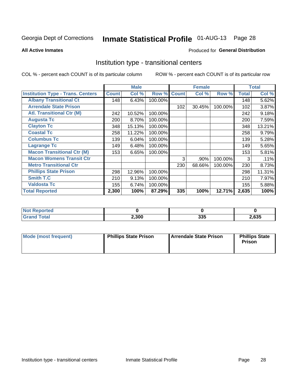# Inmate Statistical Profile 01-AUG-13 Page 28

#### **All Active Inmates**

### **Produced for General Distribution**

### Institution type - transitional centers

COL % - percent each COUNT is of its particular column

|                                          |              | <b>Male</b> |         |              | <b>Female</b> |         |              | <b>Total</b> |
|------------------------------------------|--------------|-------------|---------|--------------|---------------|---------|--------------|--------------|
| <b>Institution Type - Trans. Centers</b> | <b>Count</b> | Col %       | Row %   | <b>Count</b> | Col %         | Row %   | <b>Total</b> | Col %        |
| <b>Albany Transitional Ct</b>            | 148          | 6.43%       | 100.00% |              |               |         | 148          | 5.62%        |
| <b>Arrendale State Prison</b>            |              |             |         | 102          | 30.45%        | 100.00% | 102          | 3.87%        |
| <b>Atl. Transitional Ctr (M)</b>         | 242          | 10.52%      | 100.00% |              |               |         | 242          | 9.18%        |
| <b>Augusta Tc</b>                        | 200          | 8.70%       | 100.00% |              |               |         | 200          | 7.59%        |
| <b>Clayton Tc</b>                        | 348          | 15.13%      | 100.00% |              |               |         | 348          | 13.21%       |
| <b>Coastal Tc</b>                        | 258          | 11.22%      | 100.00% |              |               |         | 258          | 9.79%        |
| <b>Columbus Tc</b>                       | 139          | 6.04%       | 100.00% |              |               |         | 139          | 5.28%        |
| <b>Lagrange Tc</b>                       | 149          | 6.48%       | 100.00% |              |               |         | 149          | 5.65%        |
| <b>Macon Transitional Ctr (M)</b>        | 153          | 6.65%       | 100.00% |              |               |         | 153          | 5.81%        |
| <b>Macon Womens Transit Ctr</b>          |              |             |         | 3            | .90%          | 100.00% | 3            | .11%         |
| <b>Metro Transitional Ctr</b>            |              |             |         | 230          | 68.66%        | 100.00% | 230          | 8.73%        |
| <b>Phillips State Prison</b>             | 298          | 12.96%      | 100.00% |              |               |         | 298          | 11.31%       |
| Smith T.C                                | 210          | 9.13%       | 100.00% |              |               |         | 210          | 7.97%        |
| <b>Valdosta Tc</b>                       | 155          | 6.74%       | 100.00% |              |               |         | 155          | 5.88%        |
| <b>Total Reported</b>                    | 2,300        | 100%        | 87.29%  | 335          | 100%          | 12.71%  | 2,635        | 100%         |

| <b>orted</b><br>. |       |                   |       |
|-------------------|-------|-------------------|-------|
| <b>ota</b>        | 2,300 | <b>OOE</b><br>ാാം | .,635 |

| Mode (most frequent) | <b>Phillips State Prison</b> | Arrendale State Prison | <b>Phillips State</b><br><b>Prison</b> |
|----------------------|------------------------------|------------------------|----------------------------------------|
|                      |                              |                        |                                        |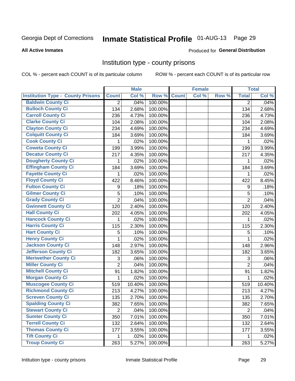# Inmate Statistical Profile 01-AUG-13 Page 29

#### **All Active Inmates**

#### Produced for General Distribution

### Institution type - county prisons

COL % - percent each COUNT is of its particular column

|                                          |                | <b>Male</b> |         |              | <b>Female</b> |       |                | <b>Total</b> |
|------------------------------------------|----------------|-------------|---------|--------------|---------------|-------|----------------|--------------|
| <b>Institution Type - County Prisons</b> | <b>Count</b>   | Col %       | Row %   | <b>Count</b> | Col %         | Row % | <b>Total</b>   | Col %        |
| <b>Baldwin County Ci</b>                 | $\overline{2}$ | .04%        | 100.00% |              |               |       | $\overline{2}$ | .04%         |
| <b>Bulloch County Ci</b>                 | 134            | 2.68%       | 100.00% |              |               |       | 134            | 2.68%        |
| <b>Carroll County Ci</b>                 | 236            | 4.73%       | 100.00% |              |               |       | 236            | 4.73%        |
| <b>Clarke County Ci</b>                  | 104            | 2.08%       | 100.00% |              |               |       | 104            | 2.08%        |
| <b>Clayton County Ci</b>                 | 234            | 4.69%       | 100.00% |              |               |       | 234            | 4.69%        |
| <b>Colquitt County Ci</b>                | 184            | 3.69%       | 100.00% |              |               |       | 184            | 3.69%        |
| <b>Cook County Ci</b>                    | 1              | .02%        | 100.00% |              |               |       | 1              | .02%         |
| <b>Coweta County Ci</b>                  | 199            | 3.99%       | 100.00% |              |               |       | 199            | 3.99%        |
| <b>Decatur County Ci</b>                 | 217            | 4.35%       | 100.00% |              |               |       | 217            | 4.35%        |
| <b>Dougherty County Ci</b>               | 1              | .02%        | 100.00% |              |               |       | 1              | .02%         |
| <b>Effingham County Ci</b>               | 184            | 3.69%       | 100.00% |              |               |       | 184            | 3.69%        |
| <b>Fayette County Ci</b>                 | 1              | .02%        | 100.00% |              |               |       | 1              | .02%         |
| <b>Floyd County Ci</b>                   | 422            | 8.46%       | 100.00% |              |               |       | 422            | 8.45%        |
| <b>Fulton County Ci</b>                  | 9              | .18%        | 100.00% |              |               |       | 9              | .18%         |
| <b>Gilmer County Ci</b>                  | 5              | .10%        | 100.00% |              |               |       | 5              | .10%         |
| <b>Grady County Ci</b>                   | $\overline{2}$ | .04%        | 100.00% |              |               |       | $\overline{2}$ | .04%         |
| <b>Gwinnett County Ci</b>                | 120            | 2.40%       | 100.00% |              |               |       | 120            | 2.40%        |
| <b>Hall County Ci</b>                    | 202            | 4.05%       | 100.00% |              |               |       | 202            | 4.05%        |
| <b>Hancock County Ci</b>                 | 1              | .02%        | 100.00% |              |               |       | 1              | .02%         |
| <b>Harris County Ci</b>                  | 115            | 2.30%       | 100.00% |              |               |       | 115            | 2.30%        |
| <b>Hart County Ci</b>                    | 5              | .10%        | 100.00% |              |               |       | 5              | .10%         |
| <b>Henry County Ci</b>                   | 1              | .02%        | 100.00% |              |               |       | 1              | .02%         |
| <b>Jackson County Ci</b>                 | 148            | 2.97%       | 100.00% |              |               |       | 148            | 2.96%        |
| <b>Jefferson County Ci</b>               | 182            | 3.65%       | 100.00% |              |               |       | 182            | 3.65%        |
| <b>Meriwether County Ci</b>              | 3              | .06%        | 100.00% |              |               |       | 3              | .06%         |
| <b>Miller County Ci</b>                  | $\overline{2}$ | .04%        | 100.00% |              |               |       | $\overline{2}$ | .04%         |
| <b>Mitchell County Ci</b>                | 91             | 1.82%       | 100.00% |              |               |       | 91             | 1.82%        |
| <b>Morgan County Ci</b>                  | 1              | .02%        | 100.00% |              |               |       | 1              | .02%         |
| <b>Muscogee County Ci</b>                | 519            | 10.40%      | 100.00% |              |               |       | 519            | 10.40%       |
| <b>Richmond County Ci</b>                | 213            | 4.27%       | 100.00% |              |               |       | 213            | 4.27%        |
| <b>Screven County Ci</b>                 | 135            | 2.70%       | 100.00% |              |               |       | 135            | 2.70%        |
| <b>Spalding County Ci</b>                | 382            | 7.65%       | 100.00% |              |               |       | 382            | 7.65%        |
| <b>Stewart County Ci</b>                 | $\overline{2}$ | .04%        | 100.00% |              |               |       | $\overline{2}$ | .04%         |
| <b>Sumter County Ci</b>                  | 350            | 7.01%       | 100.00% |              |               |       | 350            | 7.01%        |
| <b>Terrell County Ci</b>                 | 132            | 2.64%       | 100.00% |              |               |       | 132            | 2.64%        |
| <b>Thomas County Ci</b>                  | 177            | 3.55%       | 100.00% |              |               |       | 177            | 3.55%        |
| <b>Tift County Ci</b>                    | 1.             | .02%        | 100.00% |              |               |       | 1              | .02%         |
| <b>Troup County Ci</b>                   | 263            | 5.27%       | 100.00% |              |               |       | 263            | 5.27%        |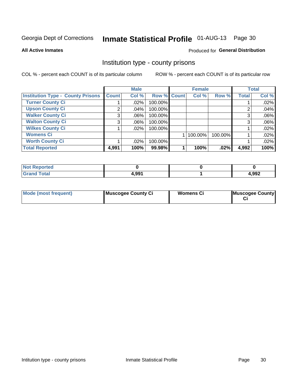# Inmate Statistical Profile 01-AUG-13 Page 30

**All Active Inmates** 

#### Produced for General Distribution

### Institution type - county prisons

COL % - percent each COUNT is of its particular column

|                                          |              | <b>Male</b> |             | <b>Total</b><br><b>Female</b> |         |         |              |       |
|------------------------------------------|--------------|-------------|-------------|-------------------------------|---------|---------|--------------|-------|
| <b>Institution Type - County Prisons</b> | <b>Count</b> | Col %       | Row % Count |                               | Col %   | Row %   | <b>Total</b> | Col % |
| <b>Turner County Ci</b>                  |              | $.02\%$     | 100.00%     |                               |         |         |              | .02%  |
| <b>Upson County Ci</b>                   | 2            | .04%        | 100.00%     |                               |         |         | റ            | .04%  |
| <b>Walker County Ci</b>                  | 3            | $.06\%$     | 100.00%     |                               |         |         | 3            | .06%  |
| <b>Walton County Ci</b>                  | 3            | $.06\%$     | 100.00%     |                               |         |         |              | .06%  |
| <b>Wilkes County Ci</b>                  |              | $.02\%$     | 100.00%     |                               |         |         |              | .02%  |
| <b>Womens Ci</b>                         |              |             |             |                               | 100.00% | 100.00% |              | .02%  |
| <b>Worth County Ci</b>                   |              | $.02\%$     | 100.00%     |                               |         |         |              | .02%  |
| <b>Total Reported</b>                    | 4,991        | 100%        | 99.98%      |                               | 100%    | $.02\%$ | 4,992        | 100%  |

| <b>Reported</b><br>NOT |       |       |
|------------------------|-------|-------|
| <b>Total</b>           | 4,991 | 4,992 |

| <b>Mode (most frequent)</b> | Muscogee County Ci | <b>Womens Ci</b> | Muscogee County |
|-----------------------------|--------------------|------------------|-----------------|
|-----------------------------|--------------------|------------------|-----------------|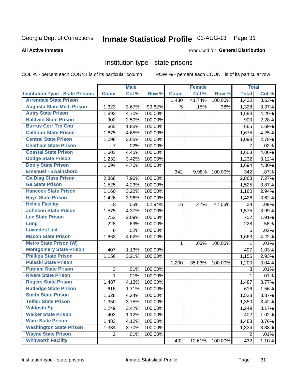# Inmate Statistical Profile 01-AUG-13 Page 31

#### **All Active Inmates**

### **Produced for General Distribution**

### Institution type - state prisons

COL % - percent each COUNT is of its particular column

|                                         |                | <b>Male</b> |         |              | <b>Female</b> |         | <b>Total</b>   |       |
|-----------------------------------------|----------------|-------------|---------|--------------|---------------|---------|----------------|-------|
| <b>Institution Type - State Prisons</b> | <b>Count</b>   | Col %       | Row %   | <b>Count</b> | Col %         | Row %   | <b>Total</b>   | Col % |
| <b>Arrendale State Prison</b>           |                |             |         | 1,430        | 41.74%        | 100.00% | 1,430          | 3.63% |
| <b>Augusta State Med. Prison</b>        | 1,323          | 3.67%       | 99.62%  | 5            | .15%          | .38%    | 1,328          | 3.37% |
| <b>Autry State Prison</b>               | 1,693          | 4.70%       | 100.00% |              |               |         | 1,693          | 4.29% |
| <b>Baldwin State Prison</b>             | 900            | 2.50%       | 100.00% |              |               |         | 900            | 2.28% |
| <b>Burrus Corr Trn Cntr</b>             | 665            | 1.85%       | 100.00% |              |               |         | 665            | 1.69% |
| <b>Calhoun State Prison</b>             | 1,675          | 4.65%       | 100.00% |              |               |         | 1,675          | 4.25% |
| <b>Central State Prison</b>             | 1,098          | 3.05%       | 100.00% |              |               |         | 1,098          | 2.78% |
| <b>Chatham State Prison</b>             | 7              | .02%        | 100.00% |              |               |         | 7              | .02%  |
| <b>Coastal State Prison</b>             | 1,603          | 4.45%       | 100.00% |              |               |         | 1,603          | 4.06% |
| <b>Dodge State Prison</b>               | 1,232          | 3.42%       | 100.00% |              |               |         | 1,232          | 3.12% |
| <b>Dooly State Prison</b>               | 1,694          | 4.70%       | 100.00% |              |               |         | 1,694          | 4.30% |
| <b>Emanuel - Swainsboro</b>             |                |             |         | 342          | 9.98%         | 100.00% | 342            | .87%  |
| <b>Ga Diag Class Prison</b>             | 2,868          | 7.96%       | 100.00% |              |               |         | 2,868          | 7.27% |
| <b>Ga State Prison</b>                  | 1,525          | 4.23%       | 100.00% |              |               |         | 1,525          | 3.87% |
| <b>Hancock State Prison</b>             | 1,160          | 3.22%       | 100.00% |              |               |         | 1,160          | 2.94% |
| <b>Hays State Prison</b>                | 1,426          | 3.96%       | 100.00% |              |               |         | 1,426          | 3.62% |
| <b>Helms Facility</b>                   | 18             | .05%        | 52.94%  | 16           | .47%          | 47.06%  | 34             | .09%  |
| <b>Johnson State Prison</b>             | 1,575          | 4.37%       | 100.00% |              |               |         | 1,575          | 3.99% |
| <b>Lee State Prison</b>                 | 752            | 2.09%       | 100.00% |              |               |         | 752            | 1.91% |
| Long                                    | 228            | .63%        | 100.00% |              |               |         | 228            | .58%  |
| <b>Lowndes Unit</b>                     | $\,6$          | .02%        | 100.00% |              |               |         | 6              | .02%  |
| <b>Macon State Prison</b>               | 1,663          | 4.62%       | 100.00% |              |               |         | 1,663          | 4.22% |
| <b>Metro State Prison (W)</b>           |                |             |         | 1            | .03%          | 100.00% | 1              | .01%  |
| <b>Montgomery State Prison</b>          | 407            | 1.13%       | 100.00% |              |               |         | 407            | 1.03% |
| <b>Phillips State Prison</b>            | 1,156          | 3.21%       | 100.00% |              |               |         | 1,156          | 2.93% |
| <b>Pulaski State Prison</b>             |                |             |         | 1,200        | 35.03%        | 100.00% | 1,200          | 3.04% |
| <b>Putnam State Prison</b>              | 3              | .01%        | 100.00% |              |               |         | 3              | .01%  |
| <b>Rivers State Prison</b>              | 1              | .01%        | 100.00% |              |               |         | 1              | .01%  |
| <b>Rogers State Prison</b>              | 1,487          | 4.13%       | 100.00% |              |               |         | 1,487          | 3.77% |
| <b>Rutledge State Prison</b>            | 616            | 1.71%       | 100.00% |              |               |         | 616            | 1.56% |
| <b>Smith State Prison</b>               | 1,528          | 4.24%       | 100.00% |              |               |         | 1,528          | 3.87% |
| <b>Telfair State Prison</b>             | 1,350          | 3.75%       | 100.00% |              |               |         | 1,350          | 3.42% |
| <b>Valdosta Sp</b>                      | 1,249          | 3.47%       | 100.00% |              |               |         | 1,249          | 3.17% |
| <b>Walker State Prison</b>              | 402            | 1.12%       | 100.00% |              |               |         | 402            | 1.02% |
| <b>Ware State Prison</b>                | 1,483          | 4.12%       | 100.00% |              |               |         | 1,483          | 3.76% |
| <b>Washington State Prison</b>          | 1,334          | 3.70%       | 100.00% |              |               |         | 1,334          | 3.38% |
| <b>Wayne State Prison</b>               | $\overline{2}$ | .01%        | 100.00% |              |               |         | $\overline{2}$ | .01%  |
| <b>Whitworth Facility</b>               |                |             |         | 432          | 12.61%        | 100.00% | 432            | 1.10% |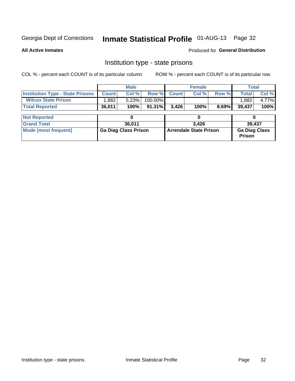# Inmate Statistical Profile 01-AUG-13 Page 32

**All Active Inmates** 

Produced for General Distribution

# Institution type - state prisons

COL % - percent each COUNT is of its particular column

|                                         |              | <b>Male</b>                 |           |                               | <b>Female</b> |       | <b>Total</b>                          |       |  |  |
|-----------------------------------------|--------------|-----------------------------|-----------|-------------------------------|---------------|-------|---------------------------------------|-------|--|--|
| <b>Institution Type - State Prisons</b> | <b>Count</b> | Col %                       | Row %     | <b>Count</b>                  | Col %         | Row % | <b>Total</b>                          | Col % |  |  |
| <b>Wilcox State Prison</b>              | .882         | 5.23%                       | 100.00%   |                               |               |       | 1,882                                 | 4.77% |  |  |
| <b>Total Reported</b>                   | 36,011       | 100%                        | $91.31\%$ | 3,426                         | 100%          | 8.69% | 39,437                                | 100%  |  |  |
|                                         |              |                             |           |                               |               |       |                                       |       |  |  |
| <b>Not Reported</b>                     |              |                             |           |                               |               |       |                                       |       |  |  |
| <b>Grand Total</b>                      |              | 36,011                      |           |                               | 3.426         |       | 39,437                                |       |  |  |
| <b>Mode (most frequent)</b>             |              | <b>Ga Diag Class Prison</b> |           | <b>Arrendale State Prison</b> |               |       | <b>Ga Diag Class</b><br><b>Prison</b> |       |  |  |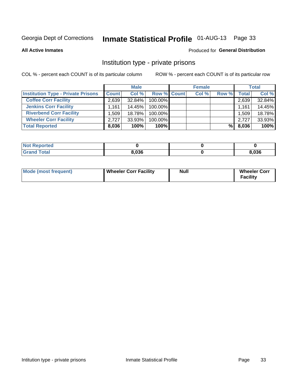# Inmate Statistical Profile 01-AUG-13 Page 33

**All Active Inmates** 

### Produced for General Distribution

# Institution type - private prisons

COL % - percent each COUNT is of its particular column

|                                           | <b>Male</b>  |           | <b>Female</b>      |  |       | <b>Total</b> |              |        |
|-------------------------------------------|--------------|-----------|--------------------|--|-------|--------------|--------------|--------|
| <b>Institution Type - Private Prisons</b> | <b>Count</b> | Col %     | <b>Row % Count</b> |  | Col % | Row %        | <b>Total</b> | Col %  |
| <b>Coffee Corr Facility</b>               | 2,639        | 32.84%    | 100.00%            |  |       |              | 2,639        | 32.84% |
| <b>Jenkins Corr Facility</b>              | 1.161        | 14.45%    | 100.00%            |  |       |              | 1,161        | 14.45% |
| <b>Riverbend Corr Facility</b>            | .509         | 18.78%    | 100.00%            |  |       |              | 1,509        | 18.78% |
| <b>Wheeler Corr Facility</b>              | 2.727        | $33.93\%$ | 100.00%            |  |       |              | 2.727        | 33.93% |
| <b>Total Reported</b>                     | 8,036        | 100%      | $100\%$            |  |       | %Ⅰ           | 8,036        | 100%   |

| 'Noi<br><b>Reported</b> |       |       |
|-------------------------|-------|-------|
| <b>Total</b>            | 8,036 | 3,036 |

| <b>Mode (most frequent)</b> | <b>Wheeler Corr Facility</b> | Null | <b>Wheeler Corr</b><br>Facility |
|-----------------------------|------------------------------|------|---------------------------------|
|-----------------------------|------------------------------|------|---------------------------------|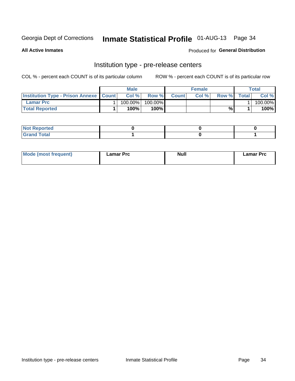# Inmate Statistical Profile 01-AUG-13 Page 34

**All Active Inmates** 

Produced for General Distribution

# Institution type - pre-release centers

COL % - percent each COUNT is of its particular column

|                                                   | <b>Male</b> |         |         |              | <b>Female</b> |       | Total        |         |
|---------------------------------------------------|-------------|---------|---------|--------------|---------------|-------|--------------|---------|
| <b>Institution Type - Prison Annexe   Count  </b> |             | Col %   | Row %I  | <b>Count</b> | Col %         | Row % | <b>Total</b> | Col %   |
| <b>Lamar Prc</b>                                  |             | 100.00% | 100.00% |              |               |       |              | 100.00% |
| <b>Total Reported</b>                             |             | $100\%$ | $100\%$ |              |               | %     |              | 100%    |

| <b>Not Reported</b> |  |  |
|---------------------|--|--|
| <b>Grand Total</b>  |  |  |

| <b>Mode (most frequent)</b> | ∟amar Prc | <b>Null</b> | Lamar Prc |
|-----------------------------|-----------|-------------|-----------|
|                             |           |             |           |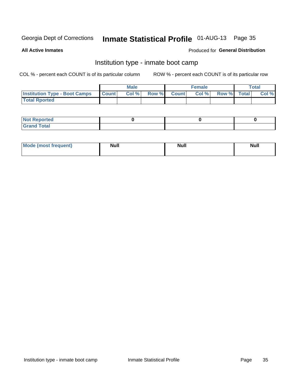# Inmate Statistical Profile 01-AUG-13 Page 35

**All Active Inmates** 

### Produced for General Distribution

# Institution type - inmate boot camp

COL % - percent each COUNT is of its particular column

|                                      |              | <b>Male</b> |               |              | <b>Female</b> |             | <b>Total</b> |
|--------------------------------------|--------------|-------------|---------------|--------------|---------------|-------------|--------------|
| <b>Institution Type - Boot Camps</b> | <b>Count</b> | Col %       | <b>Row %I</b> | <b>Count</b> | Col %         | Row % Total | Col %        |
| <b>Total Rported</b>                 |              |             |               |              |               |             |              |

| <b>Not Reported</b>            |  |  |
|--------------------------------|--|--|
| <b>Total</b><br>C <sub>r</sub> |  |  |

| <b>I Mode (most frequent)</b> | <b>Null</b> | <b>Null</b> | <b>Null</b> |
|-------------------------------|-------------|-------------|-------------|
|                               |             |             |             |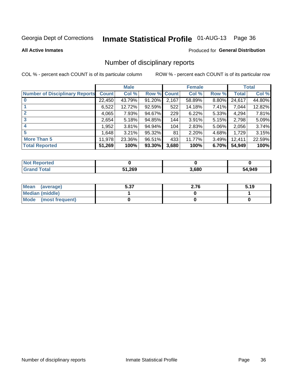# Inmate Statistical Profile 01-AUG-13 Page 36

#### **All Active Inmates**

#### Produced for General Distribution

# Number of disciplinary reports

COL % - percent each COUNT is of its particular column

|                                       |              | <b>Male</b> |        |       | <b>Female</b> |          |              | <b>Total</b> |
|---------------------------------------|--------------|-------------|--------|-------|---------------|----------|--------------|--------------|
| <b>Number of Disciplinary Reports</b> | <b>Count</b> | Col %       | Row %  | Count | Col %         | Row %    | <b>Total</b> | Col %        |
| $\bf{0}$                              | 22,450       | 43.79%      | 91.20% | 2,167 | 58.89%        | $8.80\%$ | 24,617       | 44.80%       |
|                                       | 6,522        | 12.72%      | 92.59% | 522   | 14.18%        | 7.41%    | 7,044        | 12.82%       |
| $\overline{2}$                        | 4,065        | 7.93%       | 94.67% | 229   | 6.22%         | 5.33%    | 4,294        | 7.81%        |
| 3                                     | 2,654        | 5.18%       | 94.85% | 144   | 3.91%         | 5.15%    | 2,798        | 5.09%        |
| 4                                     | 1,952        | 3.81%       | 94.94% | 104   | 2.83%         | 5.06%    | 2,056        | 3.74%        |
| 5                                     | 1,648        | 3.21%       | 95.32% | 81    | 2.20%         | 4.68%    | 1,729        | 3.15%        |
| <b>More Than 5</b>                    | 11,978       | 23.36%      | 96.51% | 433   | 11.77%        | 3.49%    | 12,411       | 22.59%       |
| <b>Total Reported</b>                 | 51,269       | 100%        | 93.30% | 3,680 | 100%          | 6.70%    | 54,949       | 100%         |

| orted<br>Not <b>I</b> |       |       |        |
|-----------------------|-------|-------|--------|
| Total                 | 1,269 | 3,680 | 54,949 |

| Mean (average)       | 5.37 | 2.76 | 5.19 |
|----------------------|------|------|------|
| Median (middle)      |      |      |      |
| Mode (most frequent) |      |      |      |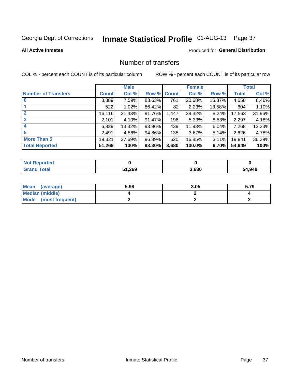# Inmate Statistical Profile 01-AUG-13 Page 37

#### **All Active Inmates**

#### Produced for General Distribution

## Number of transfers

COL % - percent each COUNT is of its particular column

|                            |         | <b>Male</b> |        |              | <b>Female</b> |          |              | <b>Total</b> |
|----------------------------|---------|-------------|--------|--------------|---------------|----------|--------------|--------------|
| <b>Number of Transfers</b> | Count l | Col %       | Row %  | <b>Count</b> | Col %         | Row %    | <b>Total</b> | Col %        |
|                            | 3,889   | 7.59%       | 83.63% | 761          | 20.68%        | 16.37%   | 4,650        | 8.46%        |
|                            | 522     | 1.02%       | 86.42% | 82           | 2.23%         | 13.58%   | 604          | 1.10%        |
| $\mathbf{2}$               | 16, 116 | 31.43%      | 91.76% | 1,447        | 39.32%        | 8.24%    | 17,563       | 31.96%       |
| 3                          | 2,101   | 4.10%       | 91.47% | 196          | 5.33%         | 8.53%    | 2,297        | 4.18%        |
| 4                          | 6,829   | 13.32%      | 93.96% | 439          | 11.93%        | 6.04%    | 7,268        | 13.23%       |
| 5                          | 2,491   | 4.86%       | 94.86% | 135          | 3.67%         | 5.14%    | 2,626        | 4.78%        |
| <b>More Than 5</b>         | 19,321  | 37.69%      | 96.89% | 620          | 16.85%        | $3.11\%$ | 19,941       | 36.29%       |
| <b>Total Reported</b>      | 51,269  | 100%        | 93.30% | 3,680        | 100.0%        | 6.70%    | 54,949       | 100%         |

| <b>Not Reported</b> |       |       |        |
|---------------------|-------|-------|--------|
| <b>Total</b>        | 1,269 | 3,680 | 54,949 |

| Mean (average)       | 5.98 | 3.05 | 5.79 |
|----------------------|------|------|------|
| Median (middle)      |      |      |      |
| Mode (most frequent) |      |      |      |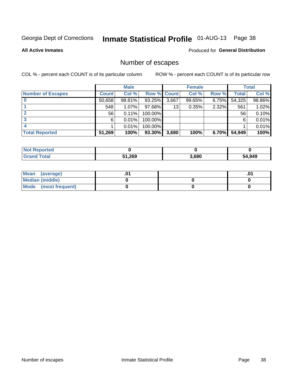# Inmate Statistical Profile 01-AUG-13 Page 38

**All Active Inmates** 

#### Produced for General Distribution

# Number of escapes

COL % - percent each COUNT is of its particular column

|                          |                 | <b>Male</b> |             |       | <b>Female</b> |          |        | <b>Total</b> |
|--------------------------|-----------------|-------------|-------------|-------|---------------|----------|--------|--------------|
| <b>Number of Escapes</b> | <b>Count</b>    | Col %       | Row % Count |       | Col %         | Row %    | Total  | Col %        |
|                          | 50,658          | 98.81%      | 93.25%      | 3,667 | 99.65%        | $6.75\%$ | 54,325 | 98.86%       |
|                          | 548             | $1.07\%$    | $97.68\%$   | 13    | 0.35%         | 2.32%    | 561    | 1.02%        |
|                          | 56 <sub>1</sub> | 0.11%       | 100.00%     |       |               |          | 56     | 0.10%        |
|                          | 6               | 0.01%       | 100.00%     |       |               |          | 6      | 0.01%        |
|                          |                 | 0.01%       | 100.00%     |       |               |          |        | 0.01%        |
| <b>Total Reported</b>    | 51,269          | 100%        | 93.30%      | 3,680 | 100%          | $6.70\%$ | 54,949 | 100%         |

| <b>Not Reported</b> |        |       |        |
|---------------------|--------|-------|--------|
| <b>Total</b>        | 51,269 | 3,680 | 64,949 |

| Mean<br>(average)    |  | .0 |
|----------------------|--|----|
| Median (middle)      |  |    |
| Mode (most frequent) |  |    |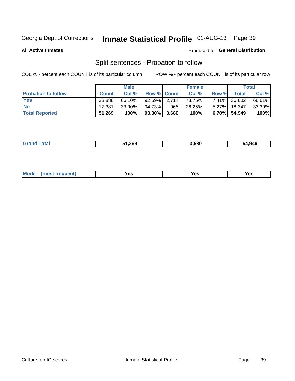# Inmate Statistical Profile 01-AUG-13 Page 39

**All Active Inmates** 

#### Produced for General Distribution

# Split sentences - Probation to follow

COL % - percent each COUNT is of its particular column

|                            |              | <b>Male</b> |                 |     | <b>Female</b> |          |              | <b>Total</b> |
|----------------------------|--------------|-------------|-----------------|-----|---------------|----------|--------------|--------------|
| <b>Probation to follow</b> | <b>Count</b> | Col%        | Row % Count     |     | Col %         | Row %    | Totall       | Col %        |
| <b>Yes</b>                 | 33,888       | 66.10%      | $92.59\%$ 2.714 |     | 73.75%        |          | 7.41% 36,602 | 66.61%       |
| <b>No</b>                  | 17.381       | 33.90%      | 94.73%          | 966 | 26.25%        |          | 5.27% 18,347 | 33.39%       |
| <b>Total Reported</b>      | 51,269       | 100%        | 93.30% 3,680    |     | 100%          | $6.70\%$ | 54,949       | 100%         |

| _______ | 51.269 | .680 | 54.949 |
|---------|--------|------|--------|
|         |        |      |        |

| reauent)<br>Yes<br>v^c<br>0٥<br>.<br>. .<br>$\sim$ |  | <b>Mode</b> |  |  |  |
|----------------------------------------------------|--|-------------|--|--|--|
|----------------------------------------------------|--|-------------|--|--|--|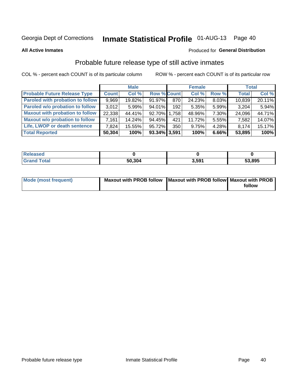# Inmate Statistical Profile 01-AUG-13 Page 40

**All Active Inmates** 

### **Produced for General Distribution**

# Probable future release type of still active inmates

COL % - percent each COUNT is of its particular column

|                                         |              | <b>Male</b> |                    |     | <b>Female</b> |       | <b>Total</b> |        |
|-----------------------------------------|--------------|-------------|--------------------|-----|---------------|-------|--------------|--------|
| <b>Probable Future Release Type</b>     | <b>Count</b> | Col %       | <b>Row % Count</b> |     | Col %         | Row % | <b>Total</b> | Col %  |
| <b>Paroled with probation to follow</b> | 9,969        | 19.82%      | 91.97%             | 870 | 24.23%        | 8.03% | 10,839       | 20.11% |
| Paroled w/o probation to follow         | 3.012        | 5.99%       | 94.01%             | 192 | 5.35%         | 5.99% | 3,204        | 5.94%  |
| <b>Maxout with probation to follow</b>  | 22,338       | 44.41%      | 92.70% 1.758       |     | 48.96%        | 7.30% | 24,096       | 44.71% |
| <b>Maxout w/o probation to follow</b>   | 7,161        | 14.24%      | 94.45%             | 421 | 11.72%        | 5.55% | 7,582        | 14.07% |
| Life, LWOP or death sentence            | 7,824        | 15.55%      | 95.72%             | 350 | 9.75%         | 4.28% | 8,174        | 15.17% |
| <b>Total Reported</b>                   | 50,304       | 100%        | 93.34% 3,591       |     | 100%          | 6.66% | 53,895       | 100%   |

| 'eleased    |        |              |        |
|-------------|--------|--------------|--------|
| <b>otal</b> | 50.304 | -501<br>- Ja | 53,895 |

| Mode (most frequent) | Maxout with PROB follow   Maxout with PROB follow   Maxout with PROB |        |
|----------------------|----------------------------------------------------------------------|--------|
|                      |                                                                      | follow |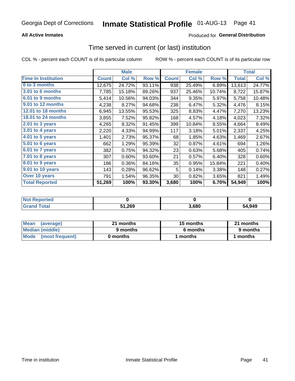#### **All Active Inmates**

### **Produced for General Distribution**

# Time served in current (or last) institution

COL % - percent each COUNT is of its particular column

|                            |              | <b>Male</b> |        |              | <b>Female</b> |        |              | <b>Total</b> |
|----------------------------|--------------|-------------|--------|--------------|---------------|--------|--------------|--------------|
| <b>Time In Institution</b> | <b>Count</b> | Col %       | Row %  | <b>Count</b> | Col %         | Row %  | <b>Total</b> | Col $%$      |
| 0 to 3 months              | 12,675       | 24.72%      | 93.11% | 938          | 25.49%        | 6.89%  | 13,613       | 24.77%       |
| <b>3.01 to 6 months</b>    | 7,785        | 15.18%      | 89.26% | 937          | 25.46%        | 10.74% | 8,722        | 15.87%       |
| 6.01 to 9 months           | 5,414        | 10.56%      | 94.03% | 344          | 9.35%         | 5.97%  | 5,758        | 10.48%       |
| 9.01 to 12 months          | 4,238        | 8.27%       | 94.68% | 238          | 6.47%         | 5.32%  | 4,476        | 8.15%        |
| <b>12.01 to 18 months</b>  | 6,945        | 13.55%      | 95.53% | 325          | 8.83%         | 4.47%  | 7,270        | 13.23%       |
| <b>18.01 to 24 months</b>  | 3,855        | 7.52%       | 95.82% | 168          | 4.57%         | 4.18%  | 4,023        | 7.32%        |
| $2.01$ to 3 years          | 4,265        | 8.32%       | 91.45% | 399          | 10.84%        | 8.55%  | 4,664        | 8.49%        |
| $3.01$ to 4 years          | 2,220        | 4.33%       | 94.99% | 117          | 3.18%         | 5.01%  | 2,337        | 4.25%        |
| 4.01 to 5 years            | 1,401        | 2.73%       | 95.37% | 68           | 1.85%         | 4.63%  | 1,469        | 2.67%        |
| 5.01 to 6 years            | 662          | 1.29%       | 95.39% | 32           | 0.87%         | 4.61%  | 694          | 1.26%        |
| $6.01$ to 7 years          | 382          | 0.75%       | 94.32% | 23           | 0.63%         | 5.68%  | 405          | 0.74%        |
| $7.01$ to 8 years          | 307          | 0.60%       | 93.60% | 21           | 0.57%         | 6.40%  | 328          | 0.60%        |
| $8.01$ to 9 years          | 186          | 0.36%       | 84.16% | 35           | 0.95%         | 15.84% | 221          | 0.40%        |
| 9.01 to 10 years           | 143          | 0.28%       | 96.62% | 5            | 0.14%         | 3.38%  | 148          | 0.27%        |
| Over 10 years              | 791          | 1.54%       | 96.35% | 30           | 0.82%         | 3.65%  | 821          | 1.49%        |
| <b>Total Reported</b>      | 51,269       | 100%        | 93.30% | 3,680        | 100%          | 6.70%  | 54,949       | 100%         |

| <b>nrteo</b><br>I NOT F |        |      |        |
|-------------------------|--------|------|--------|
|                         | 51,269 | .680 | 54,949 |

| <b>Mean</b><br>(average) | 21 months | 15 months | 21 months |
|--------------------------|-----------|-----------|-----------|
| Median (middle)          | 9 months  | 6 months  | 9 months  |
| Mode (most frequent)     | 0 months  | months    | 1 months  |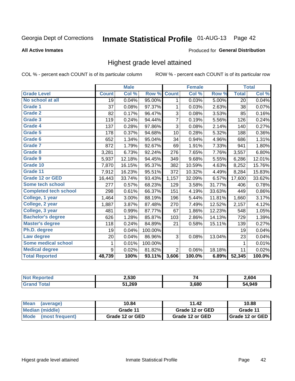# Inmate Statistical Profile 01-AUG-13 Page 42

#### **All Active Inmates**

#### Produced for General Distribution

## Highest grade level attained

COL % - percent each COUNT is of its particular column

|                              |              | <b>Male</b>                |         |                | <b>Female</b> |        |              | <b>Total</b> |
|------------------------------|--------------|----------------------------|---------|----------------|---------------|--------|--------------|--------------|
| <b>Grade Level</b>           | <b>Count</b> | $\overline{\text{Col }\%}$ | Row %   | <b>Count</b>   | Col %         | Row %  | <b>Total</b> | Col %        |
| No school at all             | 19           | 0.04%                      | 95.00%  | 1              | 0.03%         | 5.00%  | 20           | 0.04%        |
| Grade 1                      | 37           | 0.08%                      | 97.37%  | 1              | 0.03%         | 2.63%  | 38           | 0.07%        |
| <b>Grade 2</b>               | 82           | 0.17%                      | 96.47%  | 3              | 0.08%         | 3.53%  | 85           | 0.16%        |
| <b>Grade 3</b>               | 119          | 0.24%                      | 94.44%  | $\overline{7}$ | 0.19%         | 5.56%  | 126          | 0.24%        |
| Grade 4                      | 137          | 0.28%                      | 97.86%  | $\mathsf 3$    | 0.08%         | 2.14%  | 140          | 0.27%        |
| Grade 5                      | 178          | 0.37%                      | 94.68%  | 10             | 0.28%         | 5.32%  | 188          | 0.36%        |
| Grade 6                      | 652          | 1.34%                      | 95.04%  | 34             | 0.94%         | 4.96%  | 686          | 1.31%        |
| <b>Grade 7</b>               | 872          | 1.79%                      | 92.67%  | 69             | 1.91%         | 7.33%  | 941          | 1.80%        |
| <b>Grade 8</b>               | 3,281        | 6.73%                      | 92.24%  | 276            | 7.65%         | 7.76%  | 3,557        | 6.80%        |
| Grade 9                      | 5,937        | 12.18%                     | 94.45%  | 349            | 9.68%         | 5.55%  | 6,286        | 12.01%       |
| Grade 10                     | 7,870        | 16.15%                     | 95.37%  | 382            | 10.59%        | 4.63%  | 8,252        | 15.76%       |
| Grade 11                     | 7,912        | 16.23%                     | 95.51%  | 372            | 10.32%        | 4.49%  | 8,284        | 15.83%       |
| Grade 12 or GED              | 16,443       | 33.74%                     | 93.43%  | 1,157          | 32.09%        | 6.57%  | 17,600       | 33.62%       |
| Some tech school             | 277          | 0.57%                      | 68.23%  | 129            | 3.58%         | 31.77% | 406          | 0.78%        |
| <b>Completed tech school</b> | 298          | 0.61%                      | 66.37%  | 151            | 4.19%         | 33.63% | 449          | 0.86%        |
| College, 1 year              | 1,464        | 3.00%                      | 88.19%  | 196            | 5.44%         | 11.81% | 1,660        | 3.17%        |
| College, 2 year              | 1,887        | 3.87%                      | 87.48%  | 270            | 7.49%         | 12.52% | 2,157        | 4.12%        |
| College, 3 year              | 481          | 0.99%                      | 87.77%  | 67             | 1.86%         | 12.23% | 548          | 1.05%        |
| <b>Bachelor's degree</b>     | 626          | 1.28%                      | 85.87%  | 103            | 2.86%         | 14.13% | 729          | 1.39%        |
| <b>Master's degree</b>       | 118          | 0.24%                      | 84.89%  | 21             | 0.58%         | 15.11% | 139          | 0.27%        |
| Ph.D. degree                 | 19           | 0.04%                      | 100.00% |                |               |        | 19           | 0.04%        |
| Law degree                   | 20           | 0.04%                      | 86.96%  | 3              | 0.08%         | 13.04% | 23           | 0.04%        |
| <b>Some medical school</b>   | 1            | 0.01%                      | 100.00% |                |               |        | 1            | 0.01%        |
| <b>Medical degree</b>        | 9            | 0.02%                      | 81.82%  | $\overline{2}$ | 0.06%         | 18.18% | 11           | 0.02%        |
| <b>Total Reported</b>        | 48,739       | 100%                       | 93.11%  | 3,606          | 100.0%        | 6.89%  | 52,345       | 100.0%       |

| 2,530  | $\rightarrow$<br>74 | 2.604        |
|--------|---------------------|--------------|
| 51.269 | 3.680               | 4.949<br>. . |

| <b>Mean</b><br>(average)       | 10.84           | 11.42           | 10.88           |
|--------------------------------|-----------------|-----------------|-----------------|
| Median (middle)                | Grade 11        | Grade 12 or GED | Grade 11        |
| <b>Mode</b><br>(most frequent) | Grade 12 or GED | Grade 12 or GED | Grade 12 or GED |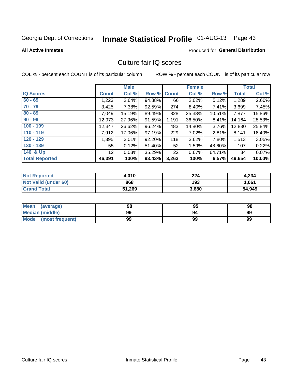# Inmate Statistical Profile 01-AUG-13 Page 43

#### **All Active Inmates**

#### **Produced for General Distribution**

## Culture fair IQ scores

COL % - percent each COUNT is of its particular column

|                       |                 | <b>Male</b> |        |              | <b>Female</b> |           |              | <b>Total</b> |
|-----------------------|-----------------|-------------|--------|--------------|---------------|-----------|--------------|--------------|
| <b>IQ Scores</b>      | <b>Count</b>    | Col %       | Row %  | <b>Count</b> | Col %         | Row %     | <b>Total</b> | Col %        |
| $60 - 69$             | 1,223           | 2.64%       | 94.88% | 66           | 2.02%         | 5.12%     | 1,289        | 2.60%        |
| $70 - 79$             | 3,425           | 7.38%       | 92.59% | 274          | 8.40%         | 7.41%     | 3,699        | 7.45%        |
| $80 - 89$             | 7,049           | 15.19%      | 89.49% | 828          | 25.38%        | $10.51\%$ | 7,877        | 15.86%       |
| $90 - 99$             | 12,973          | 27.96%      | 91.59% | 1,191        | 36.50%        | 8.41%     | 14,164       | 28.53%       |
| $100 - 109$           | 12,347          | 26.62%      | 96.24% | 483          | 14.80%        | 3.76%     | 12,830       | 25.84%       |
| $110 - 119$           | 7,912           | 17.06%      | 97.19% | 229          | 7.02%         | 2.81%     | 8,141        | 16.40%       |
| $120 - 129$           | 1,395           | $3.01\%$    | 92.20% | 118          | 3.62%         | 7.80%     | 1,513        | 3.05%        |
| $130 - 139$           | 55              | 0.12%       | 51.40% | 52           | 1.59%         | 48.60%    | 107          | 0.22%        |
| 140 & Up              | 12 <sub>1</sub> | 0.03%       | 35.29% | 22           | 0.67%         | 64.71%    | 34           | 0.07%        |
| <b>Total Reported</b> | 46,391          | 100%        | 93.43% | 3,263        | 100%          | 6.57%     | 49,654       | 100.0%       |

| <b>Not Reported</b>  | 4,010  | 224   | 4,234  |
|----------------------|--------|-------|--------|
| Not Valid (under 60) | 868    | 193   | 1,061  |
| <b>Grand Total</b>   | 51,269 | 3,680 | 54,949 |

| <b>Mean</b><br>(average) | 98 | 95 | 98 |
|--------------------------|----|----|----|
| <b>Median (middle)</b>   | 99 | 94 | 99 |
| Mode<br>(most frequent)  | 99 | 99 | 99 |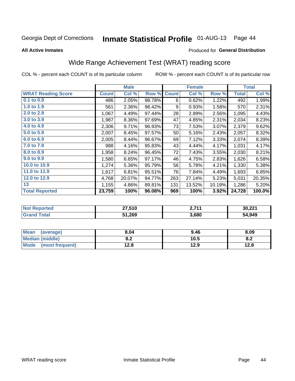# Inmate Statistical Profile 01-AUG-13 Page 44

#### **All Active Inmates**

#### Produced for General Distribution

# Wide Range Achievement Test (WRAT) reading score

COL % - percent each COUNT is of its particular column

|                           |              | <b>Male</b> |        |              | <b>Female</b> |        |              | <b>Total</b> |
|---------------------------|--------------|-------------|--------|--------------|---------------|--------|--------------|--------------|
| <b>WRAT Reading Score</b> | <b>Count</b> | Col %       | Row %  | <b>Count</b> | Col %         | Row %  | <b>Total</b> | Col %        |
| $0.1$ to $0.9$            | 486          | 2.05%       | 98.78% | 6            | 0.62%         | 1.22%  | 492          | 1.99%        |
| 1.0 to 1.9                | 561          | 2.36%       | 98.42% | 9            | 0.93%         | 1.58%  | 570          | 2.31%        |
| 2.0 to 2.9                | 1,067        | 4.49%       | 97.44% | 28           | 2.89%         | 2.56%  | 1,095        | 4.43%        |
| 3.0 to 3.9                | 1,987        | 8.36%       | 97.69% | 47           | 4.85%         | 2.31%  | 2,034        | 8.23%        |
| 4.0 to 4.9                | 2,306        | 9.71%       | 96.93% | 73           | 7.53%         | 3.07%  | 2,379        | 9.62%        |
| 5.0 to 5.9                | 2,007        | 8.45%       | 97.57% | 50           | 5.16%         | 2.43%  | 2,057        | 8.32%        |
| 6.0 to 6.9                | 2,005        | 8.44%       | 96.67% | 69           | 7.12%         | 3.33%  | 2,074        | 8.39%        |
| 7.0 to 7.9                | 988          | 4.16%       | 95.83% | 43           | 4.44%         | 4.17%  | 1,031        | 4.17%        |
| 8.0 to 8.9                | 1,958        | 8.24%       | 96.45% | 72           | 7.43%         | 3.55%  | 2,030        | 8.21%        |
| 9.0 to 9.9                | 1,580        | 6.65%       | 97.17% | 46           | 4.75%         | 2.83%  | 1,626        | 6.58%        |
| 10.0 to 10.9              | 1,274        | 5.36%       | 95.79% | 56           | 5.78%         | 4.21%  | 1,330        | 5.38%        |
| 11.0 to 11.9              | 1,617        | 6.81%       | 95.51% | 76           | 7.84%         | 4.49%  | 1,693        | 6.85%        |
| 12.0 to 12.9              | 4,768        | 20.07%      | 94.77% | 263          | 27.14%        | 5.23%  | 5,031        | 20.35%       |
| 13                        | 1,155        | 4.86%       | 89.81% | 131          | 13.52%        | 10.19% | 1,286        | 5.20%        |
| <b>Total Reported</b>     | 23,759       | 100%        | 96.08% | 969          | 100%          | 3.92%  | 24,728       | 100.0%       |
|                           |              |             |        |              |               |        |              |              |

| <b>Not Reported</b> | 27,510 | ) 744<br><u>.</u> | 30,221 |
|---------------------|--------|-------------------|--------|
| Total               | 51,269 | 3,680             | 54,949 |

| Mean (average)         | 8.04       | 9.46 | 8.09 |
|------------------------|------------|------|------|
| <b>Median (middle)</b> | י ה<br>o.z | 10.5 | 0.Z  |
| Mode (most frequent)   | 12.8       | 12.9 | 12.8 |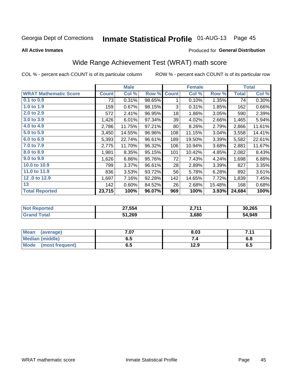#### **Inmate Statistical Profile 01-AUG-13** Page 45

**All Active Inmates** 

#### Produced for General Distribution

# Wide Range Achievement Test (WRAT) math score

COL % - percent each COUNT is of its particular column

|                              |              | <b>Male</b> |        |              | <b>Female</b> |        |              | <b>Total</b> |
|------------------------------|--------------|-------------|--------|--------------|---------------|--------|--------------|--------------|
| <b>WRAT Mathematic Score</b> | <b>Count</b> | Col %       | Row %  | <b>Count</b> | Col %         | Row %  | <b>Total</b> | Col %        |
| $0.1$ to $0.9$               | 73           | 0.31%       | 98.65% | 1            | 0.10%         | 1.35%  | 74           | 0.30%        |
| 1.0 to 1.9                   | 159          | 0.67%       | 98.15% | 3            | 0.31%         | 1.85%  | 162          | 0.66%        |
| 2.0 to 2.9                   | 572          | 2.41%       | 96.95% | 18           | 1.86%         | 3.05%  | 590          | 2.39%        |
| 3.0 to 3.9                   | 1,426        | 6.01%       | 97.34% | 39           | 4.02%         | 2.66%  | 1,465        | 5.94%        |
| 4.0 to 4.9                   | 2,786        | 11.75%      | 97.21% | 80           | 8.26%         | 2.79%  | 2,866        | 11.61%       |
| 5.0 to 5.9                   | 3,450        | 14.55%      | 96.96% | 108          | 11.15%        | 3.04%  | 3,558        | 14.41%       |
| 6.0 to 6.9                   | 5,393        | 22.74%      | 96.61% | 189          | 19.50%        | 3.39%  | 5,582        | 22.61%       |
| 7.0 to 7.9                   | 2,775        | 11.70%      | 96.32% | 106          | 10.94%        | 3.68%  | 2,881        | 11.67%       |
| 8.0 to 8.9                   | 1,981        | 8.35%       | 95.15% | 101          | 10.42%        | 4.85%  | 2,082        | 8.43%        |
| 9.0 to 9.9                   | 1,626        | 6.86%       | 95.76% | 72           | 7.43%         | 4.24%  | 1,698        | 6.88%        |
| 10.0 to 10.9                 | 799          | 3.37%       | 96.61% | 28           | 2.89%         | 3.39%  | 827          | 3.35%        |
| 11.0 to 11.9                 | 836          | 3.53%       | 93.72% | 56           | 5.78%         | 6.28%  | 892          | 3.61%        |
| 12.0 to 12.9                 | 1,697        | 7.16%       | 92.28% | 142          | 14.65%        | 7.72%  | 1,839        | 7.45%        |
| 13                           | 142          | 0.60%       | 84.52% | 26           | 2.68%         | 15.48% | 168          | 0.68%        |
| <b>Total Reported</b>        | 23,715       | 100%        | 96.07% | 969          | 100%          | 3.93%  | 24,684       | 100%         |
|                              |              |             |        |              |               |        |              |              |
| <b>Not Reported</b>          |              | 27,554      |        |              | 2,711         |        |              | 30,265       |
| <b>Grand Total</b>           |              | 51,269      |        |              | 3,680         |        |              | 54,949       |

| <b>Mean</b><br>(average)       | ״ ⊿״<br>,ט | 8.03 | 711<br>. |
|--------------------------------|------------|------|----------|
| Median (middle)                | ხ.ე        |      | o.o      |
| <b>Mode</b><br>(most frequent) | 6.5        | 12.9 | ს.ე      |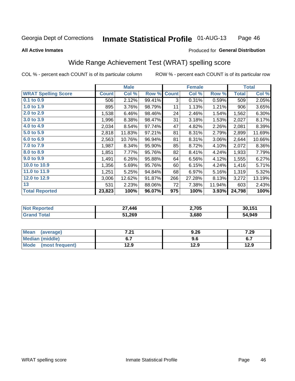#### **Inmate Statistical Profile 01-AUG-13** Page 46

#### **All Active Inmates**

### Produced for General Distribution

## Wide Range Achievement Test (WRAT) spelling score

COL % - percent each COUNT is of its particular column

|                            |              | <b>Male</b> |        |              | <b>Female</b> |        |              | <b>Total</b> |
|----------------------------|--------------|-------------|--------|--------------|---------------|--------|--------------|--------------|
| <b>WRAT Spelling Score</b> | <b>Count</b> | Col %       | Row %  | <b>Count</b> | Col %         | Row %  | <b>Total</b> | Col %        |
| $0.1$ to $0.9$             | 506          | 2.12%       | 99.41% | 3            | 0.31%         | 0.59%  | 509          | 2.05%        |
| 1.0 to 1.9                 | 895          | 3.76%       | 98.79% | 11           | 1.13%         | 1.21%  | 906          | 3.65%        |
| 2.0 to 2.9                 | 1,538        | 6.46%       | 98.46% | 24           | 2.46%         | 1.54%  | 1,562        | 6.30%        |
| 3.0 to 3.9                 | 1,996        | 8.38%       | 98.47% | 31           | 3.18%         | 1.53%  | 2,027        | 8.17%        |
| 4.0 to 4.9                 | 2,034        | 8.54%       | 97.74% | 47           | 4.82%         | 2.26%  | 2,081        | 8.39%        |
| 5.0 to 5.9                 | 2,818        | 11.83%      | 97.21% | 81           | 8.31%         | 2.79%  | 2,899        | 11.69%       |
| 6.0 to 6.9                 | 2,563        | 10.76%      | 96.94% | 81           | 8.31%         | 3.06%  | 2,644        | 10.66%       |
| 7.0 to 7.9                 | 1,987        | 8.34%       | 95.90% | 85           | 8.72%         | 4.10%  | 2,072        | 8.36%        |
| 8.0 to 8.9                 | 1,851        | 7.77%       | 95.76% | 82           | 8.41%         | 4.24%  | 1,933        | 7.79%        |
| 9.0 to 9.9                 | 1,491        | 6.26%       | 95.88% | 64           | 6.56%         | 4.12%  | 1,555        | 6.27%        |
| 10.0 to 10.9               | 1,356        | 5.69%       | 95.76% | 60           | 6.15%         | 4.24%  | 1,416        | 5.71%        |
| 11.0 to 11.9               | 1,251        | 5.25%       | 94.84% | 68           | 6.97%         | 5.16%  | 1,319        | 5.32%        |
| 12.0 to 12.9               | 3,006        | 12.62%      | 91.87% | 266          | 27.28%        | 8.13%  | 3,272        | 13.19%       |
| 13                         | 531          | 2.23%       | 88.06% | 72           | 7.38%         | 11.94% | 603          | 2.43%        |
| <b>Total Reported</b>      | 23,823       | 100%        | 96.07% | 975          | 100%          | 3.93%  | 24,798       | 100%         |

| Reported<br><b>Not</b> | 27,446 | 2,705 | 30,151 |
|------------------------|--------|-------|--------|
| <b>otal</b>            | 51,269 | 3,680 | 54,949 |

| <b>Mean</b><br>(average) | 7.04<br>.Z I | 9.26 | 7.29 |
|--------------------------|--------------|------|------|
| Median (middle)          |              | 9.6  | ν.,  |
| Mode<br>(most frequent)  | 12.9         | 12.9 | 12.9 |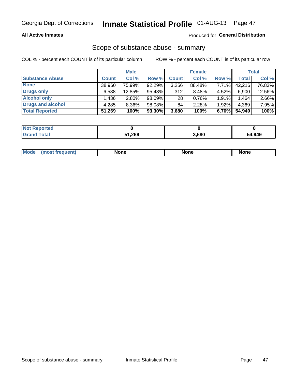#### **All Active Inmates**

#### Produced for General Distribution

## Scope of substance abuse - summary

COL % - percent each COUNT is of its particular column

|                        |              | <b>Male</b> |        |              | <b>Female</b> |       |              | <b>Total</b> |
|------------------------|--------------|-------------|--------|--------------|---------------|-------|--------------|--------------|
| <b>Substance Abuse</b> | <b>Count</b> | Col %       | Row %  | <b>Count</b> | Col %         | Row % | <b>Total</b> | Col %        |
| <b>None</b>            | 38,960       | 75.99%      | 92.29% | 3,256        | 88.48%        | 7.71% | 42,216       | 76.83%       |
| <b>Drugs only</b>      | 6,588        | 12.85%      | 95.48% | 312          | 8.48%         | 4.52% | 6,900        | 12.56%       |
| <b>Alcohol only</b>    | .436         | $2.80\%$    | 98.09% | 28           | 0.76%         | 1.91% | 1,464        | 2.66%        |
| Drugs and alcohol      | 4,285        | 8.36%       | 98.08% | 84           | 2.28%         | 1.92% | 4,369        | 7.95%        |
| <b>Total Reported</b>  | 51,269       | 100%        | 93.30% | 3,680        | 100%          | 6.70% | 54,949       | 100%         |

| <b>Not Reported</b> |        |       |        |
|---------------------|--------|-------|--------|
| <b>Grand Total</b>  | 51,269 | 3,680 | 54,949 |

|  | Mode<br>auenu | None | None | None |
|--|---------------|------|------|------|
|--|---------------|------|------|------|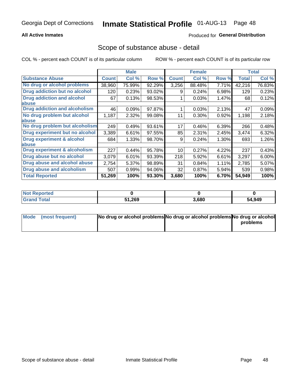#### **All Active Inmates**

### **Produced for General Distribution**

### Scope of substance abuse - detail

COL % - percent each COUNT is of its particular column

|                                      |              | <b>Male</b> |        |              | <b>Female</b> |          |              | <b>Total</b> |
|--------------------------------------|--------------|-------------|--------|--------------|---------------|----------|--------------|--------------|
| <b>Substance Abuse</b>               | <b>Count</b> | Col %       | Row %  | <b>Count</b> | Col %         | Row %    | <b>Total</b> | Col%         |
| No drug or alcohol problems          | 38,960       | 75.99%      | 92.29% | 3,256        | 88.48%        | 7.71%    | 42,216       | 76.83%       |
| <b>Drug addiction but no alcohol</b> | 120          | 0.23%       | 93.02% | 9            | 0.24%         | 6.98%    | 129          | 0.23%        |
| <b>Drug addiction and alcohol</b>    | 67           | 0.13%       | 98.53% |              | 0.03%         | 1.47%    | 68           | 0.12%        |
| abuse                                |              |             |        |              |               |          |              |              |
| <b>Drug addiction and alcoholism</b> | 46           | 0.09%       | 97.87% |              | 0.03%         | 2.13%    | 47           | 0.09%        |
| No drug problem but alcohol          | 1,187        | 2.32%       | 99.08% | 11           | $0.30\%$      | 0.92%    | 1,198        | 2.18%        |
| <b>labuse</b>                        |              |             |        |              |               |          |              |              |
| No drug problem but alcoholism       | 249          | 0.49%       | 93.61% | 17           | 0.46%         | 6.39%    | 266          | 0.48%        |
| Drug experiment but no alcohol       | 3,389        | 6.61%       | 97.55% | 85           | 2.31%         | 2.45%    | 3,474        | 6.32%        |
| <b>Drug experiment &amp; alcohol</b> | 684          | 1.33%       | 98.70% | 9            | 0.24%         | $1.30\%$ | 693          | 1.26%        |
| <b>labuse</b>                        |              |             |        |              |               |          |              |              |
| Drug experiment & alcoholism         | 227          | 0.44%       | 95.78% | 10           | 0.27%         | 4.22%    | 237          | 0.43%        |
| Drug abuse but no alcohol            | 3,079        | 6.01%       | 93.39% | 218          | 5.92%         | 6.61%    | 3,297        | 6.00%        |
| Drug abuse and alcohol abuse         | 2,754        | 5.37%       | 98.89% | 31           | 0.84%         | 1.11%    | 2,785        | 5.07%        |
| <b>Drug abuse and alcoholism</b>     | 507          | 0.99%       | 94.06% | 32           | 0.87%         | 5.94%    | 539          | 0.98%        |
| <b>Total Reported</b>                | 51,269       | 100%        | 93.30% | 3,680        | 100%          | 6.70%    | 54,949       | 100%         |

| Reported<br>NOT |        |       |        |
|-----------------|--------|-------|--------|
| <b>Total</b>    | 51,269 | 3,680 | 54,949 |

| Mode (most frequent) | No drug or alcohol problems No drug or alcohol problems No drug or alcohol |          |
|----------------------|----------------------------------------------------------------------------|----------|
|                      |                                                                            | problems |
|                      |                                                                            |          |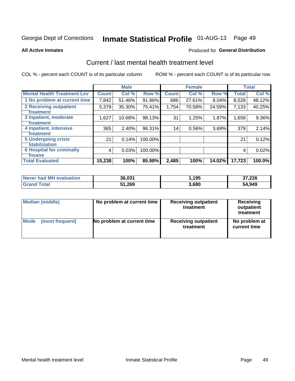# Inmate Statistical Profile 01-AUG-13 Page 49

#### **All Active Inmates**

#### **Produced for General Distribution**

# Current / last mental health treatment level

COL % - percent each COUNT is of its particular column

|                                    |              | <b>Male</b> |         |              | <b>Female</b> |        |              | <b>Total</b> |
|------------------------------------|--------------|-------------|---------|--------------|---------------|--------|--------------|--------------|
| <b>Mental Health Treatment Lev</b> | <b>Count</b> | Col %       | Row %   | <b>Count</b> | Col%          | Row %  | <b>Total</b> | Col %        |
| 1 No problem at current time       | 7,842        | 51.46%      | 91.96%  | 686          | 27.61%        | 8.04%  | 8,528        | 48.12%       |
| 2 Receiving outpatient             | 5,379        | 35.30%      | 75.41%  | 1,754        | 70.58%        | 24.59% | 7,133        | 40.25%       |
| <b>Treatment</b>                   |              |             |         |              |               |        |              |              |
| 3 Inpatient, moderate              | 1,627        | 10.68%      | 98.13%  | 31           | 1.25%         | 1.87%  | 1,658        | $9.36\%$     |
| <b>Treatment</b>                   |              |             |         |              |               |        |              |              |
| 4 Inpatient, intensive             | 365          | 2.40%       | 96.31%  | 14           | 0.56%         | 3.69%  | 379          | 2.14%        |
| <b>Treatment</b>                   |              |             |         |              |               |        |              |              |
| <b>5 Undergoing crisis</b>         | 21           | 0.14%       | 100.00% |              |               |        | 21           | 0.12%        |
| <b>stabilization</b>               |              |             |         |              |               |        |              |              |
| <b>6 Hospital for criminally</b>   | 4            | 0.03%       | 100.00% |              |               |        | 4            | 0.02%        |
| <b>Tinsane</b>                     |              |             |         |              |               |        |              |              |
| <b>Total Evaluated</b>             | 15,238       | 100%        | 85.98%  | 2,485        | 100%          | 14.02% | 17,723       | 100.0%       |

| Never had MH evaluation | 36,031 | 195.، | 37,226 |
|-------------------------|--------|-------|--------|
| <b>Grand Total</b>      | 51,269 | 3,680 | 54,949 |

| Median (middle) | No problem at current time | <b>Receiving outpatient</b><br>treatment | <b>Receiving</b><br>outpatient<br>treatment |  |  |
|-----------------|----------------------------|------------------------------------------|---------------------------------------------|--|--|
| <b>Mode</b>     | No problem at current time | <b>Receiving outpatient</b>              | No problem at                               |  |  |
| (most frequent) |                            | treatment                                | current time                                |  |  |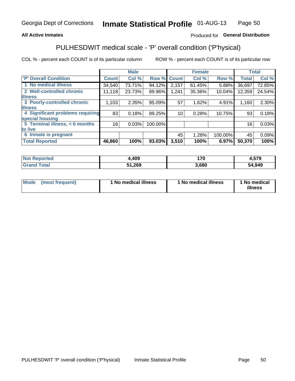#### **All Active Inmates**

### Produced for General Distribution

# PULHESDWIT medical scale - 'P' overall condition ('P'hysical)

COL % - percent each COUNT is of its particular column

|                                  |              | <b>Male</b> |         |                 | <b>Female</b> |         |              | <b>Total</b> |
|----------------------------------|--------------|-------------|---------|-----------------|---------------|---------|--------------|--------------|
| 'P' Overall Condition            | <b>Count</b> | Col %       | Row %   | <b>Count</b>    | Col %         | Row %   | <b>Total</b> | Col %        |
| 1 No medical illness             | 34,540       | 73.71%      | 94.12%  | 2,157           | 61.45%        | 5.88%   | 36,697       | 72.85%       |
| 2 Well-controlled chronic        | 11,118       | 23.73%      | 89.96%  | 1,241           | 35.36%        | 10.04%  | 12,359       | 24.54%       |
| <b>illness</b>                   |              |             |         |                 |               |         |              |              |
| 3 Poorly-controlled chronic      | 1,103        | 2.35%       | 95.09%  | 57              | 1.62%         | 4.91%   | 1,160        | 2.30%        |
| <b>illness</b>                   |              |             |         |                 |               |         |              |              |
| 4 Significant problems requiring | 83           | 0.18%       | 89.25%  | 10 <sup>1</sup> | 0.28%         | 10.75%  | 93           | 0.18%        |
| special housing                  |              |             |         |                 |               |         |              |              |
| 5 Terminal illness, < 6 months   | 16           | 0.03%       | 100.00% |                 |               |         | 16           | 0.03%        |
| to live                          |              |             |         |                 |               |         |              |              |
| 6 Inmate is pregnant             |              |             |         | 45              | 1.28%         | 100.00% | 45           | 0.09%        |
| <b>Total Reported</b>            | 46,860       | 100%        | 93.03%  | 3,510           | 100%          | 6.97%   | 50,370       | 100%         |

| orted ( | ,409        | 170  | <b>570</b> |
|---------|-------------|------|------------|
|         | - 200<br>ש∠ | .680 | 54,949     |

| Mode | (most frequent) | 1 No medical illness | 1 No medical illness | 1 No medical<br>illness |
|------|-----------------|----------------------|----------------------|-------------------------|
|------|-----------------|----------------------|----------------------|-------------------------|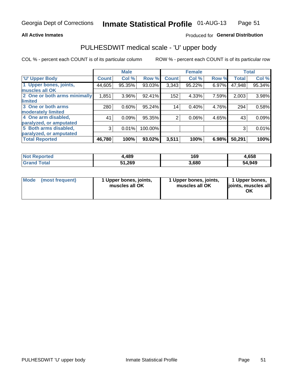#### **All Active Inmates**

### Produced for General Distribution

# PULHESDWIT medical scale - 'U' upper body

COL % - percent each COUNT is of its particular column

|                              |              | <b>Male</b> |         |                 | <b>Female</b> |       |              | <b>Total</b> |
|------------------------------|--------------|-------------|---------|-----------------|---------------|-------|--------------|--------------|
| <b>U' Upper Body</b>         | <b>Count</b> | Col %       | Row %   | <b>Count</b>    | Col %         | Row % | <b>Total</b> | Col %        |
| 1 Upper bones, joints,       | 44,605       | 95.35%      | 93.03%  | 3,343           | 95.22%        | 6.97% | 47,948       | 95.34%       |
| muscles all OK               |              |             |         |                 |               |       |              |              |
| 2 One or both arms minimally | 1,851        | 3.96%       | 92.41%  | 152             | 4.33%         | 7.59% | 2,003        | 3.98%        |
| limited                      |              |             |         |                 |               |       |              |              |
| 3 One or both arms           | 280          | 0.60%       | 95.24%  | 14 <sub>1</sub> | 0.40%         | 4.76% | 294          | 0.58%        |
| <b>moderately limited</b>    |              |             |         |                 |               |       |              |              |
| 4 One arm disabled,          | 41           | 0.09%       | 95.35%  | 2               | 0.06%         | 4.65% | 43           | 0.09%        |
| paralyzed, or amputated      |              |             |         |                 |               |       |              |              |
| 5 Both arms disabled,        | 3            | 0.01%       | 100.00% |                 |               |       | 3            | 0.01%        |
| paralyzed, or amputated      |              |             |         |                 |               |       |              |              |
| <b>Total Reported</b>        | 46,780       | 100%        | 93.02%  | 3,511           | 100%          | 6.98% | 50,291       | 100%         |

| <b>Reported</b><br><b>Not</b> | +,489  | 169   | 1,658  |
|-------------------------------|--------|-------|--------|
| Total                         | 51,269 | 3,680 | 54,949 |

|  | Mode (most frequent) | 1 Upper bones, joints,<br>muscles all OK | 1 Upper bones, joints,<br>muscles all OK | 1 Upper bones,<br>ljoints, muscles all<br>ΟK |
|--|----------------------|------------------------------------------|------------------------------------------|----------------------------------------------|
|--|----------------------|------------------------------------------|------------------------------------------|----------------------------------------------|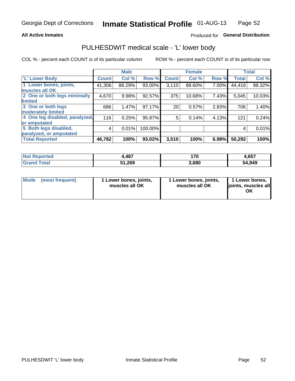#### **All Active Inmates**

### Produced for General Distribution

## PULHESDWIT medical scale - 'L' lower body

COL % - percent each COUNT is of its particular column

|                                |              | <b>Male</b> |           |              | <b>Female</b> |       |              | <b>Total</b> |
|--------------------------------|--------------|-------------|-----------|--------------|---------------|-------|--------------|--------------|
| 'L' Lower Body                 | <b>Count</b> | Col %       | Row %     | <b>Count</b> | Col %         | Row % | <b>Total</b> | Col %        |
| 1 Lower bones, joints,         | 41,306       | 88.29%      | 93.00%    | 3,110        | 88.60%        | 7.00% | 44,416       | 88.32%       |
| muscles all OK                 |              |             |           |              |               |       |              |              |
| 2 One or both legs minimally   | 4,670        | 9.98%       | 92.57%    | 375          | 10.68%        | 7.43% | 5,045        | 10.03%       |
| limited                        |              |             |           |              |               |       |              |              |
| 3 One or both legs             | 686          | 1.47%       | $97.17\%$ | 20           | 0.57%         | 2.83% | 706          | 1.40%        |
| moderately limited             |              |             |           |              |               |       |              |              |
| 4 One leg disabled, paralyzed, | 116          | 0.25%       | 95.87%    | 5            | 0.14%         | 4.13% | 121          | 0.24%        |
| or amputated                   |              |             |           |              |               |       |              |              |
| 5 Both legs disabled,          | 4            | 0.01%       | 100.00%   |              |               |       | 4            | 0.01%        |
| paralyzed, or amputated        |              |             |           |              |               |       |              |              |
| <b>Total Reported</b>          | 46,782       | 100%        | 93.02%    | 3,510        | 100%          | 6.98% | 50,292       | 100%         |

| <b>Not Reported</b> | 1,487  | 170   | 4,657  |
|---------------------|--------|-------|--------|
| <b>Total</b>        | 51,269 | 3,680 | 54,949 |

|  | Mode (most frequent) | 1 Lower bones, joints,<br>muscles all OK | 1 Lower bones, joints,<br>muscles all OK | 1 Lower bones,<br>joints, muscles all<br>ΟK |
|--|----------------------|------------------------------------------|------------------------------------------|---------------------------------------------|
|--|----------------------|------------------------------------------|------------------------------------------|---------------------------------------------|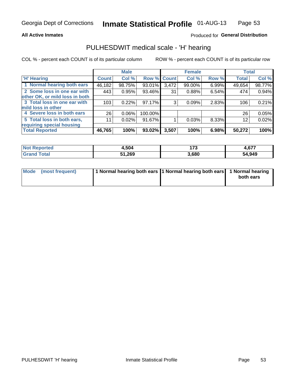#### **All Active Inmates**

### Produced for General Distribution

## PULHESDWIT medical scale - 'H' hearing

COL % - percent each COUNT is of its particular column

|                                |              | <b>Male</b> |             |       | <b>Female</b> |       | <b>Total</b> |        |
|--------------------------------|--------------|-------------|-------------|-------|---------------|-------|--------------|--------|
| <b>'H' Hearing</b>             | <b>Count</b> | Col %       | Row % Count |       | Col %         | Row % | <b>Total</b> | Col %  |
| 1 Normal hearing both ears     | 46,182       | 98.75%      | 93.01%      | 3,472 | 99.00%        | 6.99% | 49,654       | 98.77% |
| 2 Some loss in one ear with    | 443          | 0.95%       | 93.46%      | 31    | 0.88%         | 6.54% | 474          | 0.94%  |
| other OK, or mild loss in both |              |             |             |       |               |       |              |        |
| 3 Total loss in one ear with   | 103          | 0.22%       | 97.17%      | 3     | 0.09%         | 2.83% | 106          | 0.21%  |
| mild loss in other             |              |             |             |       |               |       |              |        |
| 4 Severe loss in both ears     | 26           | 0.06%       | 100.00%     |       |               |       | 26           | 0.05%  |
| 5 Total loss in both ears,     | 11           | 0.02%       | 91.67%      |       | 0.03%         | 8.33% | 12           | 0.02%  |
| requiring special housing      |              |             |             |       |               |       |              |        |
| <b>Total Reported</b>          | 46,765       | 100%        | 93.02%      | 3,507 | 100%          | 6.98% | 50,272       | 100%   |

| Teo | . 504  | $\rightarrow$<br>. ט | .677   |
|-----|--------|----------------------|--------|
|     | 51,269 | 3,680                | 54,949 |

| Mode (most frequent) | 1 Normal hearing both ears 11 Normal hearing both ears 1 Normal hearing | both ears |
|----------------------|-------------------------------------------------------------------------|-----------|
|                      |                                                                         |           |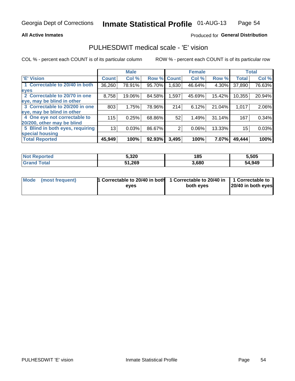#### **All Active Inmates**

### Produced for General Distribution

## PULHESDWIT medical scale - 'E' vision

COL % - percent each COUNT is of its particular column

|                                 |              | <b>Male</b> |        |              | <b>Female</b> |        |              | <b>Total</b> |
|---------------------------------|--------------|-------------|--------|--------------|---------------|--------|--------------|--------------|
| 'E' Vision                      | <b>Count</b> | Col %       | Row %  | <b>Count</b> | Col %         | Row %  | <b>Total</b> | Col %        |
| 1 Correctable to 20/40 in both  | 36,260       | 78.91%      | 95.70% | .630         | 46.64%        | 4.30%  | 37,890       | 76.63%       |
| eyes                            |              |             |        |              |               |        |              |              |
| 2 Correctable to 20/70 in one   | 8,758        | 19.06%      | 84.58% | 1,597        | 45.69%        | 15.42% | 10,355       | 20.94%       |
| eye, may be blind in other      |              |             |        |              |               |        |              |              |
| 3 Correctable to 20/200 in one  | 803          | 1.75%       | 78.96% | 214          | 6.12%         | 21.04% | 1,017        | 2.06%        |
| eye, may be blind in other      |              |             |        |              |               |        |              |              |
| 4 One eye not correctable to    | 115          | 0.25%       | 68.86% | 52           | 1.49%         | 31.14% | 167          | 0.34%        |
| 20/200, other may be blind      |              |             |        |              |               |        |              |              |
| 5 Blind in both eyes, requiring | 13           | 0.03%       | 86.67% | 2            | 0.06%         | 13.33% | 15           | 0.03%        |
| special housing                 |              |             |        |              |               |        |              |              |
| <b>Total Reported</b>           | 45,949       | 100%        | 92.93% | 3,495        | 100%          | 7.07%  | 49,444       | 100%         |

| <b>Not Reported</b> | 5,320  | 185   | 5,505  |
|---------------------|--------|-------|--------|
| <b>Total</b>        | 51,269 | 3,680 | 54,949 |

| Mode (most frequent) | 1 Correctable to 20/40 in both<br>eves | 1 Correctable to 20/40 in   1 Correctable to  <br>both eves | 20/40 in both eyes |  |
|----------------------|----------------------------------------|-------------------------------------------------------------|--------------------|--|
|                      |                                        |                                                             |                    |  |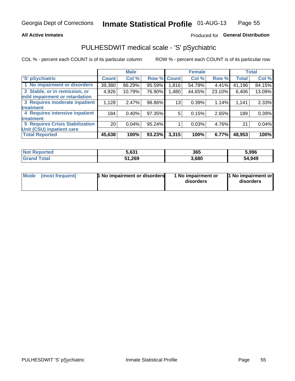#### **All Active Inmates**

### Produced for General Distribution

# PULHESDWIT medical scale - 'S' pSychiatric

COL % - percent each COUNT is of its particular column

|                                        |                 | <b>Male</b> |        |              | <b>Female</b> |        |              | <b>Total</b> |
|----------------------------------------|-----------------|-------------|--------|--------------|---------------|--------|--------------|--------------|
| 'S' pSychiatric                        | <b>Count</b>    | Col %       | Row %  | <b>Count</b> | Col %         | Row %  | <b>Total</b> | Col %        |
| 1 No impairment or disorders           | 39,380          | 86.29%      | 95.59% | 1,816        | 54.78%        | 4.41%  | 41,196       | 84.15%       |
| 2 Stable, or in remission, or          | 4,926           | 10.79%      | 76.90% | 1,480        | 44.65%        | 23.10% | 6,406        | 13.09%       |
| mild impairment or retardation         |                 |             |        |              |               |        |              |              |
| 3 Requires moderate inpatient          | 1,128           | 2.47%       | 98.86% | 13           | 0.39%         | 1.14%  | 1,141        | 2.33%        |
| treatment                              |                 |             |        |              |               |        |              |              |
| 4 Requires intensive inpatient         | 184             | 0.40%       | 97.35% | 5.           | 0.15%         | 2.65%  | 189          | 0.39%        |
| treatment                              |                 |             |        |              |               |        |              |              |
| <b>5 Requires Crisis Stabilization</b> | 20 <sub>1</sub> | 0.04%       | 95.24% |              | 0.03%         | 4.76%  | 21           | 0.04%        |
| Unit (CSU) inpatient care              |                 |             |        |              |               |        |              |              |
| <b>Total Reported</b>                  | 45,638          | 100%        | 93.23% | 3,315        | 100%          | 6.77%  | 48,953       | 100%         |

| <b>Not Reported</b>     | 5.631  | 365   | 5,996  |
|-------------------------|--------|-------|--------|
| <b>Total</b><br>' Grand | 51,269 | 3,680 | 54,949 |

| Mode<br>1 No impairment or disorders<br>(most frequent) | 1 No impairment or<br>disorders | 1 No impairment or<br>disorders |
|---------------------------------------------------------|---------------------------------|---------------------------------|
|---------------------------------------------------------|---------------------------------|---------------------------------|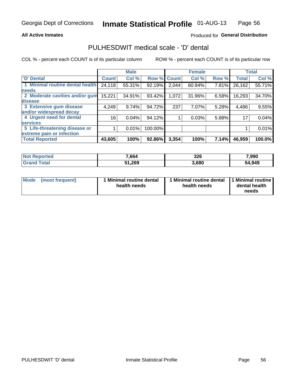#### **All Active Inmates**

### Produced for General Distribution

# PULHESDWIT medical scale - 'D' dental

COL % - percent each COUNT is of its particular column

|                                 |                 | <b>Male</b> |         |              | <b>Female</b> |       |              | <b>Total</b> |
|---------------------------------|-----------------|-------------|---------|--------------|---------------|-------|--------------|--------------|
| <b>D'</b> Dental                | <b>Count</b>    | Col %       | Row %   | <b>Count</b> | Col %         | Row % | <b>Total</b> | Col %        |
| 1 Minimal routine dental health | 24,118          | 55.31%      | 92.19%  | 2,044        | 60.94%        | 7.81% | 26,162       | 55.71%       |
| <b>needs</b>                    |                 |             |         |              |               |       |              |              |
| 2 Moderate cavities and/or gum  | 15,221          | 34.91%      | 93.42%  | 1,072        | 31.96%        | 6.58% | 16,293       | 34.70%       |
| disease                         |                 |             |         |              |               |       |              |              |
| 3 Extensive gum disease         | 4,249           | 9.74%       | 94.72%  | 237          | 7.07%         | 5.28% | 4,486        | 9.55%        |
| and/or widespread decay         |                 |             |         |              |               |       |              |              |
| 4 Urgent need for dental        | 16 <sub>1</sub> | 0.04%       | 94.12%  |              | 0.03%         | 5.88% | 17           | 0.04%        |
| <b>services</b>                 |                 |             |         |              |               |       |              |              |
| 5 Life-threatening disease or   |                 | 0.01%       | 100.00% |              |               |       |              | 0.01%        |
| extreme pain or infection       |                 |             |         |              |               |       |              |              |
| <b>Total Reported</b>           | 43,605          | 100%        | 92.86%  | 3,354        | 100%          | 7.14% | 46,959       | 100.0%       |

| <b>Not Reported</b> | 7,664  | 326   | 7,990  |
|---------------------|--------|-------|--------|
| <b>Total</b>        | 51,269 | 3,680 | 54,949 |

| 1 Minimal routine dental<br>Mode<br>(most frequent)<br>health needs | 1 Minimal routine dental 1 Minimal routine<br>health needs | dental health<br>needs |
|---------------------------------------------------------------------|------------------------------------------------------------|------------------------|
|---------------------------------------------------------------------|------------------------------------------------------------|------------------------|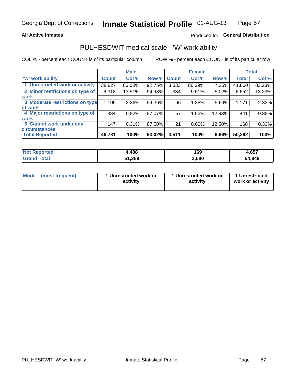#### **All Active Inmates**

### Produced for General Distribution

## PULHESDWIT medical scale - 'W' work ability

COL % - percent each COUNT is of its particular column

|                                 |              | <b>Male</b> |        | <b>Female</b> |        |        | <b>Total</b> |        |
|---------------------------------|--------------|-------------|--------|---------------|--------|--------|--------------|--------|
| <b>W' work ability</b>          | <b>Count</b> | Col %       | Row %  | <b>Count</b>  | Col %  | Row %  | <b>Total</b> | Col %  |
| 1 Unrestricted work or activity | 38,827       | 83.00%      | 92.75% | 3,033         | 86.39% | 7.25%  | 41,860       | 83.23% |
| 2 Minor restrictions on type of | 6,318        | 13.51%      | 94.98% | 334           | 9.51%  | 5.02%  | 6,652        | 13.23% |
| <b>work</b>                     |              |             |        |               |        |        |              |        |
| 3 Moderate restrictions on type | 1,105        | 2.36%       | 94.36% | 66            | 1.88%  | 5.64%  | 1,171        | 2.33%  |
| lof work                        |              |             |        |               |        |        |              |        |
| 4 Major restrictions on type of | 384          | 0.82%       | 87.07% | 57            | 1.62%  | 12.93% | 441          | 0.88%  |
| <b>work</b>                     |              |             |        |               |        |        |              |        |
| 5 Cannot work under any         | 147          | 0.31%       | 87.50% | 21            | 0.60%  | 12.50% | 168          | 0.33%  |
| <b>circumstances</b>            |              |             |        |               |        |        |              |        |
| <b>Total Reported</b>           | 46,781       | 100%        | 93.02% | 3,511         | 100%   | 6.98%  | 50,292       | 100%   |

| <b>Not Reported</b> | .488   | 169   | $\sim$ $-$<br>4,65/ |
|---------------------|--------|-------|---------------------|
| Total<br>' Grand    | 51,269 | 3,680 | 54,949              |

| Mode            | 1 Unrestricted work or | 1 Unrestricted work or | 1 Unrestricted   |
|-----------------|------------------------|------------------------|------------------|
| (most frequent) | activity               | activity               | work or activity |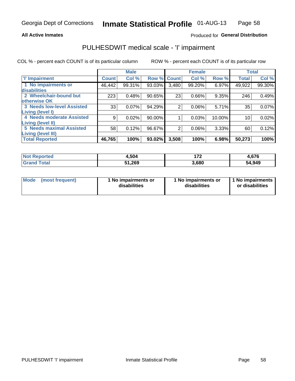#### **All Active Inmates**

### Produced for General Distribution

# PULHESDWIT medical scale - 'I' impairment

COL % - percent each COUNT is of its particular column

|                                   |              | <b>Male</b> |             |       | <b>Female</b> |        | <b>Total</b> |        |
|-----------------------------------|--------------|-------------|-------------|-------|---------------|--------|--------------|--------|
| <b>T' Impairment</b>              | <b>Count</b> | Col %       | Row % Count |       | Col %         | Row %  | <b>Total</b> | Col %  |
| 1 No impairments or               | 46,442       | 99.31%      | 93.03%      | 3,480 | 99.20%        | 6.97%  | 49,922       | 99.30% |
| disabilities                      |              |             |             |       |               |        |              |        |
| 2 Wheelchair-bound but            | 223          | 0.48%       | 90.65%      | 23    | 0.66%         | 9.35%  | 246          | 0.49%  |
| otherwise OK                      |              |             |             |       |               |        |              |        |
| <b>3 Needs low-level Assisted</b> | 33           | 0.07%       | 94.29%      | 2     | 0.06%         | 5.71%  | 35           | 0.07%  |
| Living (level I)                  |              |             |             |       |               |        |              |        |
| 4 Needs moderate Assisted         | 9            | 0.02%       | 90.00%      |       | 0.03%         | 10.00% | 10           | 0.02%  |
| <b>Living (level II)</b>          |              |             |             |       |               |        |              |        |
| <b>5 Needs maximal Assisted</b>   | 58           | 0.12%       | 96.67%      | 2     | 0.06%         | 3.33%  | 60           | 0.12%  |
| <b>Living (level III)</b>         |              |             |             |       |               |        |              |        |
| <b>Total Reported</b>             | 46,765       | 100%        | 93.02%      | 3,508 | 100%          | 6.98%  | 50,273       | 100%   |

| Not <b>K</b><br>Reported     | 4,504  | ・フヘ   | 4,676  |
|------------------------------|--------|-------|--------|
| <b>Total</b><br><b>Grand</b> | 51,269 | 3,680 | 54,949 |

| Mode | (most frequent) | 1 No impairments or<br>disabilities | 1 No impairments or<br>disabilities | 1 No impairments<br>or disabilities |
|------|-----------------|-------------------------------------|-------------------------------------|-------------------------------------|
|------|-----------------|-------------------------------------|-------------------------------------|-------------------------------------|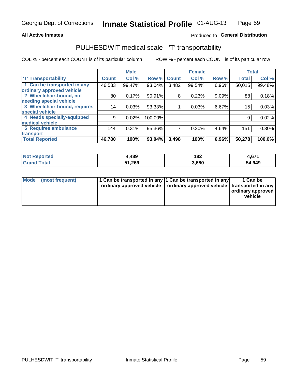#### **All Active Inmates**

### Produced fo General Distribution

# PULHESDWIT medical scale - 'T' transportability

COL % - percent each COUNT is of its particular column

|                              |              | <b>Male</b> |         |              | <b>Female</b> |       |              | <b>Total</b> |
|------------------------------|--------------|-------------|---------|--------------|---------------|-------|--------------|--------------|
| <b>T' Transportability</b>   | <b>Count</b> | Col %       | Row %   | <b>Count</b> | Col %         | Row % | <b>Total</b> | Col %        |
| 1 Can be transported in any  | 46,533       | 99.47%      | 93.04%  | 3,482        | 99.54%        | 6.96% | 50,015       | 99.48%       |
| ordinary approved vehicle    |              |             |         |              |               |       |              |              |
| 2 Wheelchair-bound, not      | 80           | 0.17%       | 90.91%  | 8            | 0.23%         | 9.09% | 88           | 0.18%        |
| needing special vehicle      |              |             |         |              |               |       |              |              |
| 3 Wheelchair-bound, requires | 14           | 0.03%       | 93.33%  |              | 0.03%         | 6.67% | 15           | 0.03%        |
| special vehicle              |              |             |         |              |               |       |              |              |
| 4 Needs specially-equipped   | 9            | 0.02%       | 100.00% |              |               |       | 9            | 0.02%        |
| medical vehicle              |              |             |         |              |               |       |              |              |
| <b>5 Requires ambulance</b>  | 144          | 0.31%       | 95.36%  | 7            | 0.20%         | 4.64% | 151          | 0.30%        |
| transport                    |              |             |         |              |               |       |              |              |
| <b>Total Reported</b>        | 46,780       | 100%        | 93.04%  | 3,498        | 100%          | 6.96% | 50,278       | 100.0%       |

| <b>Not</b> | ,489   | 182   | <b>671</b> |
|------------|--------|-------|------------|
| Reported   |        | ___   | 4,07 L     |
| Total      | 51,269 | 3,680 | 54,949     |

|  | Mode (most frequent) | 1 Can be transported in any 1 Can be transported in any<br>ordinary approved vehicle   ordinary approved vehicle   transported in any |  | 1 Can be<br>  ordinary approved  <br>vehicle |
|--|----------------------|---------------------------------------------------------------------------------------------------------------------------------------|--|----------------------------------------------|
|--|----------------------|---------------------------------------------------------------------------------------------------------------------------------------|--|----------------------------------------------|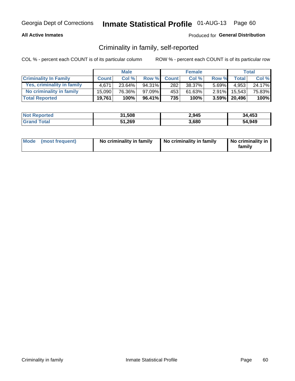#### **All Active Inmates**

### Produced for General Distribution

## Criminality in family, self-reported

COL % - percent each COUNT is of its particular column

|                              | <b>Male</b>  |        | <b>Female</b> |              |        | Total    |                 |        |
|------------------------------|--------------|--------|---------------|--------------|--------|----------|-----------------|--------|
| <b>Criminality In Family</b> | <b>Count</b> | Col%   | Row %         | <b>Count</b> | Col %  | Row %    | Total           | Col %  |
| Yes, criminality in family   | 4.671        | 23.64% | 94.31%        | 282          | 38.37% | $5.69\%$ | 4,953           | 24.17% |
| No criminality in family     | 15,090       | 76.36% | 97.09%        | 453          | 61.63% | $2.91\%$ | 15.543          | 75.83% |
| <b>Total Reported</b>        | 19,761       | 100%   | $96.41\%$     | 735          | 100%   |          | $3.59\%$ 20,496 | 100%   |

| <b>Not Reported</b> | 31,508 | 2,945 | 34,453 |
|---------------------|--------|-------|--------|
| <b>Grand Total</b>  | 51,269 | 3,680 | 54,949 |

|  | Mode (most frequent) | No criminality in family | No criminality in family | No criminality in<br>family |
|--|----------------------|--------------------------|--------------------------|-----------------------------|
|--|----------------------|--------------------------|--------------------------|-----------------------------|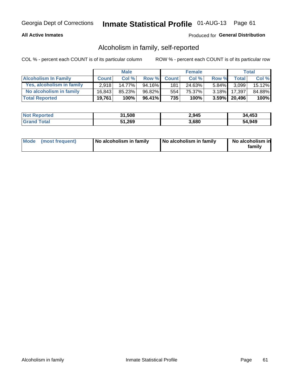#### **All Active Inmates**

### Produced for General Distribution

## Alcoholism in family, self-reported

COL % - percent each COUNT is of its particular column

|                             | <b>Male</b>  |        | <b>Female</b> |              |        | Total    |                 |         |
|-----------------------------|--------------|--------|---------------|--------------|--------|----------|-----------------|---------|
| <b>Alcoholism In Family</b> | <b>Count</b> | Col %  | Row %         | <b>Count</b> | Col %  | Row %    | <b>Total</b>    | Col %   |
| Yes, alcoholism in family   | 2.918        | 14.77% | 94.16%        | 181          | 24.63% | $5.84\%$ | 3,099           | 15.12%  |
| No alcoholism in family     | 16.843       | 85.23% | 96.82%        | 554          | 75.37% | $3.18\%$ | 17,397          | 84.88%  |
| <b>Total Reported</b>       | 19,761       | 100%   | 96.41%        | 735          | 100%   |          | $3.59\%$ 20,496 | $100\%$ |

| <b>Not Reported</b> | 31,508 | 2,945 | 34,453 |
|---------------------|--------|-------|--------|
| <b>Grand Total</b>  | 51,269 | 3,680 | 54,949 |

|  | Mode (most frequent) | No alcoholism in family | No alcoholism in family | No alcoholism in<br>family |
|--|----------------------|-------------------------|-------------------------|----------------------------|
|--|----------------------|-------------------------|-------------------------|----------------------------|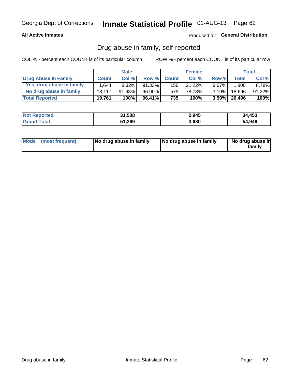#### **All Active Inmates**

### Produced for General Distribution

## Drug abuse in family, self-reported

COL % - percent each COUNT is of its particular column

|                           | <b>Male</b>  |          | <b>Female</b> |              |        | Total    |                 |           |
|---------------------------|--------------|----------|---------------|--------------|--------|----------|-----------------|-----------|
| Drug Abuse In Family      | <b>Count</b> | Col%     | Row %         | <b>Count</b> | Col%   | Row %    | <b>Total</b>    | Col %     |
| Yes, drug abuse in family | 1.644        | $8.32\%$ | 91.33%        | 156          | 21.22% | $8.67\%$ | .800            | 8.78%     |
| No drug abuse in family   | 18.117       | 91.68%   | 96.90%        | 579          | 78.78% | $3.10\%$ | 18.696          | $91.22\%$ |
| <b>Total Reported</b>     | 19,761       | 100%     | $96.41\%$     | 735          | 100%   |          | $3.59\%$ 20,496 | $100\%$   |

| <b>Not Reported</b> | 31,508 | 2,945 | 34,453 |
|---------------------|--------|-------|--------|
| <b>Grand Total</b>  | 51,269 | 3,680 | 54.949 |

|  | Mode (most frequent) | No drug abuse in family | No drug abuse in family | No drug abuse in<br>familv |
|--|----------------------|-------------------------|-------------------------|----------------------------|
|--|----------------------|-------------------------|-------------------------|----------------------------|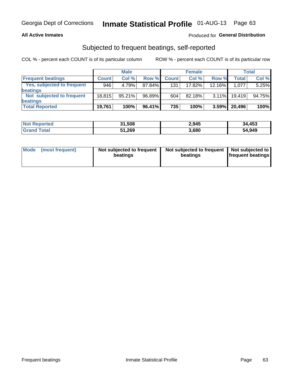#### **All Active Inmates**

### Produced for General Distribution

## Subjected to frequent beatings, self-reported

COL % - percent each COUNT is of its particular column

|                            | <b>Male</b>  |           | <b>Female</b> |              |        | Total     |              |        |
|----------------------------|--------------|-----------|---------------|--------------|--------|-----------|--------------|--------|
| <b>Frequent beatings</b>   | <b>Count</b> | Col %     | Row %         | <b>Count</b> | Col %  | Row %     | <b>Total</b> | Col%   |
| Yes, subjected to frequent | 946          | 4.79%     | 87.84%        | 131          | 17.82% | $12.16\%$ | 1,077        | 5.25%  |
| beatings                   |              |           |               |              |        |           |              |        |
| Not subjected to frequent  | 18.815       | $95.21\%$ | 96.89%        | 604          | 82.18% | $3.11\%$  | 19.419       | 94.75% |
| beatings                   |              |           |               |              |        |           |              |        |
| <b>Total Reported</b>      | 19,761       | 100%      | 96.41%        | 735          | 100%   | 3.59%     | 20,496       | 100%   |

| <b>Not Reported</b> | 31,508 | 2,945 | 34,453 |
|---------------------|--------|-------|--------|
| 'Grand Total        | 51,269 | 3,680 | 54,949 |

| Mode (most frequent) | Not subjected to frequent<br>beatings | Not subjected to frequent<br>beatings | Not subjected to<br><b>frequent beatings</b> |
|----------------------|---------------------------------------|---------------------------------------|----------------------------------------------|
|                      |                                       |                                       |                                              |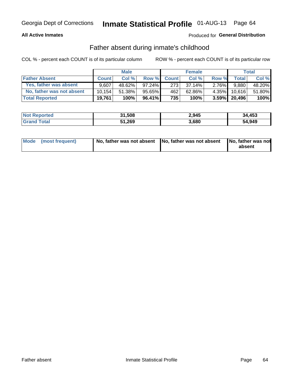#### **All Active Inmates**

### Produced for General Distribution

## Father absent during inmate's childhood

COL % - percent each COUNT is of its particular column

|                           | <b>Male</b>  |        | <b>Female</b> |              |           | Total    |                   |        |
|---------------------------|--------------|--------|---------------|--------------|-----------|----------|-------------------|--------|
| <b>Father Absent</b>      | <b>Count</b> | Col%   | Row %         | <b>Count</b> | Col %     | Row %    | <b>Total</b>      | Col %  |
| Yes, father was absent    | 9.607        | 48.62% | $97.24\%$     | 273          | $37.14\%$ | $2.76\%$ | 9,880             | 48.20% |
| No, father was not absent | 10.154       | 51.38% | $95.65\%$     | 462          | 62.86%    | $4.35\%$ | 10.616            | 51.80% |
| <b>Total Reported</b>     | 19,761       | 100%   | 96.41%        | 735          | 100%      |          | $3.59\%$   20,496 | 100%   |

| <b>Not Reported</b> | 31,508 | 2,945 | 34,453 |
|---------------------|--------|-------|--------|
| <b>Grand Total</b>  | 51,269 | 3,680 | 54,949 |

|  | Mode (most frequent) | No, father was not absent No, father was not absent |  | No, father was not<br>absent |
|--|----------------------|-----------------------------------------------------|--|------------------------------|
|--|----------------------|-----------------------------------------------------|--|------------------------------|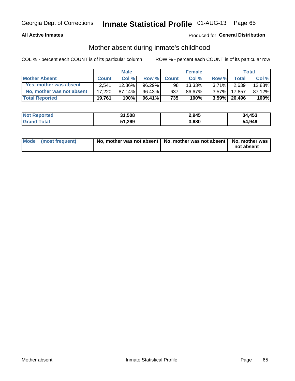#### **All Active Inmates**

### Produced for General Distribution

## Mother absent during inmate's childhood

COL % - percent each COUNT is of its particular column

|                           | <b>Male</b>  |        | <b>Female</b> |              |        | Total    |                   |        |
|---------------------------|--------------|--------|---------------|--------------|--------|----------|-------------------|--------|
| <b>Mother Absent</b>      | <b>Count</b> | Col%   | Row %         | <b>Count</b> | Col %  | Row %    | <b>Total</b>      | Col %  |
| Yes, mother was absent    | 2.541        | 12.86% | $96.29\%$     | 98           | 13.33% | $3.71\%$ | 2,639             | 12.88% |
| No, mother was not absent | 17.220       | 87.14% | 96.43%        | 637          | 86.67% | $3.57\%$ | 17.857            | 87.12% |
| <b>Total Reported</b>     | 19,761       | 100%   | $96.41\%$     | 735          | 100%   |          | $3.59\%$   20,496 | 100%   |

| <b>Not Reported</b> | 31,508 | 2,945 | 34,453 |
|---------------------|--------|-------|--------|
| <b>Grand Total</b>  | 51,269 | 3,680 | 54,949 |

| Mode (most frequent) | No, mother was not absent   No, mother was not absent   No, mother was | not absent |
|----------------------|------------------------------------------------------------------------|------------|
|                      |                                                                        |            |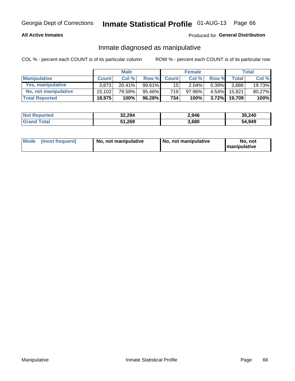#### **All Active Inmates**

### Produced for General Distribution

## Inmate diagnosed as manipulative

COL % - percent each COUNT is of its particular column

|                          | <b>Male</b>  |           |           | <b>Female</b>    |        |          | Total  |        |
|--------------------------|--------------|-----------|-----------|------------------|--------|----------|--------|--------|
| <b>Manipulative</b>      | <b>Count</b> | Col %     | Row %     | <b>Count</b>     | Col%   | Row %    | Total  | Col %  |
| <b>Yes, manipulative</b> | 3.873        | $20.41\%$ | $99.61\%$ | 15 <sup>1</sup>  | 2.04%  | $0.39\%$ | 3.888  | 19.73% |
| No, not manipulative     | 15.102       | 79.59%    | 95.46%    | 719              | 97.96% | $4.54\%$ | 15.821 | 80.27% |
| <b>Total Reported</b>    | 18,975       | 100%      | $96.28\%$ | 734 <sub>1</sub> | 100%   | $3.72\%$ | 19.709 | 100%   |

| <b>Not Reported</b> | 32,294 | 2,946 | 35,240 |
|---------------------|--------|-------|--------|
| . otal              | 51,269 | 3,680 | 54,949 |

| Mode | (most frequent) | No, not manipulative | No, not manipulative | No. not<br><b>I</b> manipulative |
|------|-----------------|----------------------|----------------------|----------------------------------|
|------|-----------------|----------------------|----------------------|----------------------------------|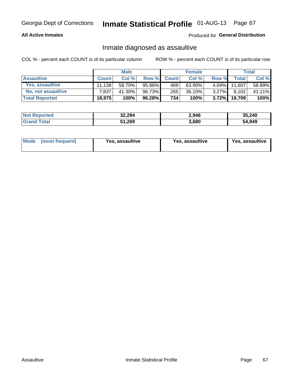#### **All Active Inmates**

#### Produced for General Distribution

## Inmate diagnosed as assaultive

COL % - percent each COUNT is of its particular column

|                       | <b>Male</b>  |        |        | <b>Female</b> |           |          | Total        |        |
|-----------------------|--------------|--------|--------|---------------|-----------|----------|--------------|--------|
| <b>Assaultive</b>     | <b>Count</b> | Col%   | Row %  | <b>Count</b>  | Col %     | Row %    | <b>Total</b> | Col %  |
| Yes, assaultive       | 11.138       | 58.70% | 95.96% | 469           | $63.90\%$ | $4.04\%$ | 11.607       | 58.89% |
| No, not assaultive    | 7.837        | 41.30% | 96.73% | 265           | 36.10%    | $3.27\%$ | 8,102        | 41.11% |
| <b>Total Reported</b> | 18,975       | 100%   | 96.28% | 734           | 100%      | $3.72\%$ | 19,709       | 100%   |

| <b>Not Reported</b> | 32,294 | 2,946 | 35,240 |
|---------------------|--------|-------|--------|
| <b>Grand Total</b>  | 51,269 | 3,680 | 54,949 |

| Mode (most frequent)<br>Yes, assaultive | Yes, assaultive | <b>Yes, assaultive</b> |
|-----------------------------------------|-----------------|------------------------|
|-----------------------------------------|-----------------|------------------------|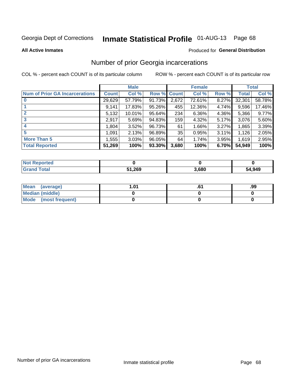# Inmate Statistical Profile 01-AUG-13 Page 68

#### **All Active Inmates**

#### Produced for General Distribution

## Number of prior Georgia incarcerations

COL % - percent each COUNT is of its particular column

|                                       | <b>Male</b>  |        |                    | <b>Female</b> |        |       | <b>Total</b> |        |
|---------------------------------------|--------------|--------|--------------------|---------------|--------|-------|--------------|--------|
| <b>Num of Prior GA Incarcerations</b> | <b>Count</b> | Col %  | <b>Row % Count</b> |               | Col %  | Row % | Total        | Col %  |
|                                       | 29,629       | 57.79% | 91.73%             | 2,672         | 72.61% | 8.27% | 32,301       | 58.78% |
|                                       | 9,141        | 17.83% | 95.26%             | 455           | 12.36% | 4.74% | 9,596        | 17.46% |
| $\overline{2}$                        | 5,132        | 10.01% | 95.64%             | 234           | 6.36%  | 4.36% | 5,366        | 9.77%  |
| 3                                     | 2,917        | 5.69%  | 94.83%             | 159           | 4.32%  | 5.17% | 3,076        | 5.60%  |
| 4                                     | 1,804        | 3.52%  | 96.73%             | 61            | 1.66%  | 3.27% | 1,865        | 3.39%  |
| 5                                     | 1,091        | 2.13%  | 96.89%             | 35            | 0.95%  | 3.11% | 1,126        | 2.05%  |
| <b>More Than 5</b>                    | 1,555        | 3.03%  | $96.05\%$          | 64            | 1.74%  | 3.95% | 1,619        | 2.95%  |
| <b>Total Reported</b>                 | 51,269       | 100%   | 93.30%             | 3,680         | 100%   | 6.70% | 54,949       | 100%   |

| <b>Not Reported</b>   |        |       |        |  |
|-----------------------|--------|-------|--------|--|
| <b>Total</b><br>Grand | 51,269 | 3,680 | 54,949 |  |

| Mean (average)       | 1.01 | ט. | .99 |
|----------------------|------|----|-----|
| Median (middle)      |      |    |     |
| Mode (most frequent) |      |    |     |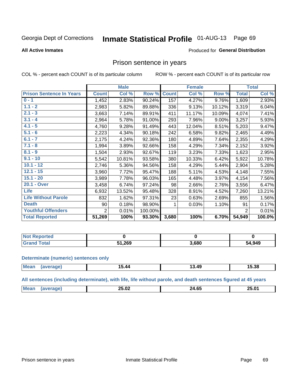#### **Inmate Statistical Profile 01-AUG-13** Page 69

#### **All Active Inmates**

#### Produced for General Distribution

### Prison sentence in years

COL % - percent each COUNT is of its particular column

ROW % - percent each COUNT is of its particular row

|                                 |              | <b>Male</b> |         |              | <b>Female</b> |          |                | <b>Total</b> |  |
|---------------------------------|--------------|-------------|---------|--------------|---------------|----------|----------------|--------------|--|
| <b>Prison Sentence In Years</b> | <b>Count</b> | Col %       | Row %   | <b>Count</b> | Col %         | Row %    | <b>Total</b>   | Col %        |  |
| $0 - 1$                         | 1,452        | 2.83%       | 90.24%  | 157          | 4.27%         | 9.76%    | 1,609          | 2.93%        |  |
| $1.1 - 2$                       | 2,983        | 5.82%       | 89.88%  | 336          | 9.13%         | 10.12%   | 3,319          | 6.04%        |  |
| $2.1 - 3$                       | 3,663        | 7.14%       | 89.91%  | 411          | 11.17%        | 10.09%   | 4,074          | 7.41%        |  |
| $3.1 - 4$                       | 2,964        | 5.78%       | 91.00%  | 293          | 7.96%         | $9.00\%$ | 3,257          | 5.93%        |  |
| $4.1 - 5$                       | 4,760        | 9.28%       | 91.49%  | 443          | 12.04%        | 8.51%    | 5,203          | 9.47%        |  |
| $5.1 - 6$                       | 2,223        | 4.34%       | 90.18%  | 242          | 6.58%         | 9.82%    | 2,465          | 4.49%        |  |
| $6.1 - 7$                       | 2,175        | 4.24%       | 92.36%  | 180          | 4.89%         | 7.64%    | 2,355          | 4.29%        |  |
| $7.1 - 8$                       | 1,994        | 3.89%       | 92.66%  | 158          | 4.29%         | 7.34%    | 2,152          | 3.92%        |  |
| $8.1 - 9$                       | 1,504        | 2.93%       | 92.67%  | 119          | 3.23%         | 7.33%    | 1,623          | 2.95%        |  |
| $9.1 - 10$                      | 5,542        | 10.81%      | 93.58%  | 380          | 10.33%        | 6.42%    | 5,922          | 10.78%       |  |
| $10.1 - 12$                     | 2,746        | 5.36%       | 94.56%  | 158          | 4.29%         | 5.44%    | 2,904          | 5.28%        |  |
| $12.1 - 15$                     | 3,960        | 7.72%       | 95.47%  | 188          | 5.11%         | 4.53%    | 4,148          | 7.55%        |  |
| $15.1 - 20$                     | 3,989        | 7.78%       | 96.03%  | 165          | 4.48%         | 3.97%    | 4,154          | 7.56%        |  |
| 20.1 - Over                     | 3,458        | 6.74%       | 97.24%  | 98           | 2.66%         | 2.76%    | 3,556          | 6.47%        |  |
| <b>Life</b>                     | 6,932        | 13.52%      | 95.48%  | 328          | 8.91%         | 4.52%    | 7,260          | 13.21%       |  |
| <b>Life Without Parole</b>      | 832          | 1.62%       | 97.31%  | 23           | 0.63%         | 2.69%    | 855            | 1.56%        |  |
| <b>Death</b>                    | 90           | 0.18%       | 98.90%  |              | 0.03%         | 1.10%    | 91             | 0.17%        |  |
| <b>Youthful Offenders</b>       | 2            | 0.01%       | 100.00% |              |               |          | $\overline{2}$ | 0.01%        |  |
| <b>Total Reported</b>           | 51,269       | 100%        | 93.30%  | 3,680        | 100%          | 6.70%    | 54,949         | 100.0%       |  |

| <b>Not Reported</b> |        |       |        |
|---------------------|--------|-------|--------|
| 'otal<br>.C.        | 51,269 | 3,680 | 54,949 |

#### **Determinate (numeric) sentences only**

| <b>Mean</b> | ממו | 5.44 | 13.49 | 15.38 |
|-------------|-----|------|-------|-------|
|             |     |      |       |       |

All sentences (including determinate), with life, life without parole, and death sentences figured at 45 years

| Me | $\sim$<br>--<br>. .<br>20.UZ<br>____ | $\sim$ $\sim$<br>'л<br>___ | 25.01<br>____ |
|----|--------------------------------------|----------------------------|---------------|
|    |                                      |                            |               |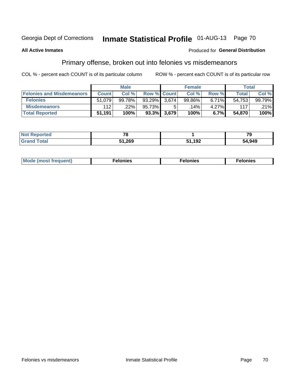# Inmate Statistical Profile 01-AUG-13 Page 70

#### **All Active Inmates**

#### Produced for General Distribution

## Primary offense, broken out into felonies vs misdemeanors

COL % - percent each COUNT is of its particular column

|                                  | <b>Male</b>  |        |           | <b>Female</b>      |        |       | Total        |        |
|----------------------------------|--------------|--------|-----------|--------------------|--------|-------|--------------|--------|
| <b>Felonies and Misdemeanors</b> | <b>Count</b> | Col%   |           | <b>Row % Count</b> | Col%   | Row % | <b>Total</b> | Col %  |
| <b>Felonies</b>                  | 51,079       | 99.78% | $93.29\%$ | 3.674              | 99.86% | 6.71% | 54,753       | 99.79% |
| <b>Misdemeanors</b>              | 112          | 22%    | 95.73%    |                    | .14% ' | 4.27% | 117          | .21%   |
| <b>Total Reported</b>            | 51,191       | 100%   | 93.3%     | 3,679              | 100%   | 6.7%  | 54,870       | 100%   |

| <b>Not Reported</b>   | $\overline{\phantom{a}}$ |               | 70     |
|-----------------------|--------------------------|---------------|--------|
| Total<br><b>Grand</b> | 51,269                   | -102<br>1 J 4 | 54,949 |

| Mo | ____ | 11 C.S<br>. | onies<br>. |
|----|------|-------------|------------|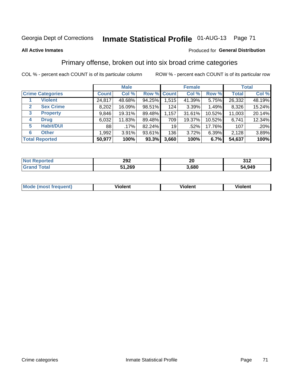# Georgia Dept of Corrections **Inmate Statistical Profile** 01-AUG-13 Page 71

#### **All Active Inmates**

#### Produced for **General Distribution**

## Primary offense, broken out into six broad crime categories

COL % - percent each COUNT is of its particular column ROW % - percent each COUNT is of its particular row

|                                 | <b>Male</b>  |         |        | <b>Female</b> |        |        | <b>Total</b> |        |
|---------------------------------|--------------|---------|--------|---------------|--------|--------|--------------|--------|
| <b>Crime Categories</b>         | <b>Count</b> | Col %   |        | Row % Count   | Col %  | Row %  | <b>Total</b> | Col %  |
| <b>Violent</b>                  | 24,817       | 48.68%  | 94.25% | 1,515         | 41.39% | 5.75%  | 26,332       | 48.19% |
| <b>Sex Crime</b><br>2           | 8,202        | 16.09%  | 98.51% | 124           | 3.39%  | 1.49%  | 8,326        | 15.24% |
| $\mathbf{3}$<br><b>Property</b> | 9,846        | 19.31%  | 89.48% | 1,157         | 31.61% | 10.52% | 11,003       | 20.14% |
| <b>Drug</b><br>4                | 6,032        | 11.83%  | 89.48% | 709           | 19.37% | 10.52% | 6,741        | 12.34% |
| <b>Habit/DUI</b><br>5           | 88           | $.17\%$ | 82.24% | 19            | .52%   | 17.76% | 107          | .20%   |
| <b>Other</b><br>6               | 1,992        | 3.91%   | 93.61% | 136           | 3.72%  | 6.39%  | 2,128        | 3.89%  |
| <b>Total Reported</b>           | 50,977       | 100%    | 93.3%  | 3,660         | 100%   | 6.7%   | 54,637       | 100%   |

| neo<br>NO | 292          | 20   | <b>212</b><br>JIZ |
|-----------|--------------|------|-------------------|
| $\sim$    | 51,269<br>E4 | .680 | 54,949            |

| Mc | .<br>$\cdots$ | VIOIEM |
|----|---------------|--------|
|    |               |        |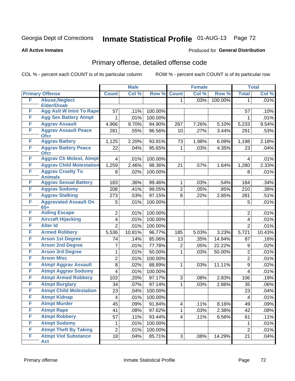# Georgia Dept of Corrections **Inmate Statistical Profile** 01-AUG-13 Page 72

#### **All Active Inmates**

#### Produced for **General Distribution**

# Primary offense, detailed offense code

COL % - percent each COUNT is of its particular column ROW % - percent each COUNT is of its particular row

|   |                                            |                         | <b>Male</b> |         |              | <b>Female</b> |         |                | <b>Total</b> |
|---|--------------------------------------------|-------------------------|-------------|---------|--------------|---------------|---------|----------------|--------------|
|   | <b>Primary Offense</b>                     | <b>Count</b>            | Col %       | Row %   | <b>Count</b> | Col %         | Row %   | <b>Total</b>   | Col %        |
| F | <b>Abuse, Neglect</b>                      |                         |             |         | 1.           | .03%          | 100.00% | 1              | .01%         |
|   | <b>Elder/Disab</b>                         |                         |             |         |              |               |         |                |              |
| F | <b>Agg Aslt W Intnt To Rape</b>            | 57                      | .11%        | 100.00% |              |               |         | 57             | .10%         |
| F | <b>Agg Sex Battery Atmpt</b>               | 1                       | .01%        | 100.00% |              |               |         | 1              | .01%         |
| F | <b>Aggrav Assault</b>                      | 4,966                   | 9.70%       | 94.90%  | 267          | 7.26%         | 5.10%   | 5,233          | 9.54%        |
| F | <b>Aggrav Assault Peace</b><br><b>Ofcr</b> | 281                     | .55%        | 96.56%  | 10           | .27%          | 3.44%   | 291            | .53%         |
| F | <b>Aggrav Battery</b>                      | 1,125                   | 2.20%       | 93.91%  | 73           | 1.98%         | 6.09%   | 1,198          | 2.18%        |
| F | <b>Aggrav Battery Peace</b><br><b>Ofcr</b> | 22                      | .04%        | 95.65%  | 1            | .03%          | 4.35%   | 23             | .04%         |
| F | <b>Aggrav Ch Molest, Atmpt</b>             | 4                       | .01%        | 100.00% |              |               |         | 4              | .01%         |
| F | <b>Aggrav Child Molestation</b>            | 1,259                   | 2.46%       | 98.36%  | 21           | .57%          | 1.64%   | 1,280          | 2.33%        |
| F | <b>Aggrav Cruelty To</b><br><b>Animals</b> | 8                       | .02%        | 100.00% |              |               |         | 8              | .01%         |
| F | <b>Aggrav Sexual Battery</b>               | 183                     | .36%        | 99.46%  | 1            | .03%          | .54%    | 184            | .34%         |
| F | <b>Aggrav Sodomy</b>                       | 208                     | .41%        | 99.05%  | 2            | .05%          | .95%    | 210            | .38%         |
| F | <b>Aggrav Stalking</b>                     | 273                     | .53%        | 97.15%  | 8            | .22%          | 2.85%   | 281            | .51%         |
| F | <b>Aggravated Assault On</b><br>$65+$      | 5                       | .01%        | 100.00% |              |               |         | 5              | .01%         |
| F | <b>Aiding Escape</b>                       | $\overline{2}$          | .01%        | 100.00% |              |               |         | $\overline{2}$ | .01%         |
| F | <b>Aircraft Hijacking</b>                  | 4                       | .01%        | 100.00% |              |               |         | 4              | .01%         |
| F | <b>Alter Id</b>                            | $\overline{2}$          | .01%        | 100.00% |              |               |         | $\overline{2}$ | .01%         |
| F | <b>Armed Robbery</b>                       | 5,536                   | 10.81%      | 96.77%  | 185          | 5.03%         | 3.23%   | 5,721          | 10.43%       |
| F | <b>Arson 1st Degree</b>                    | 74                      | .14%        | 85.06%  | 13           | .35%          | 14.94%  | 87             | .16%         |
| F | <b>Arson 2nd Degree</b>                    | 7                       | .01%        | 77.78%  | 2            | .05%          | 22.22%  | 9              | .02%         |
| F | <b>Arson 3rd Degree</b>                    | 1                       | .01%        | 50.00%  | 1            | .03%          | 50.00%  | $\overline{2}$ | .01%         |
| F | <b>Arson Misc</b>                          | $\overline{2}$          | .01%        | 100.00% |              |               |         | $\overline{c}$ | .01%         |
| F | <b>Atmpt Aggrav Assault</b>                | 8                       | .02%        | 88.89%  | 1            | .03%          | 11.11%  | 9              | .02%         |
| F | <b>Atmpt Aggrav Sodomy</b>                 | $\overline{\mathbf{4}}$ | .01%        | 100.00% |              |               |         | $\overline{4}$ | .01%         |
| F | <b>Atmpt Armed Robbery</b>                 | 103                     | .20%        | 97.17%  | 3            | .08%          | 2.83%   | 106            | .19%         |
| F | <b>Atmpt Burglary</b>                      | 34                      | .07%        | 97.14%  | 1            | .03%          | 2.86%   | 35             | .06%         |
| F | <b>Atmpt Child Molestation</b>             | 23                      | $.04\%$     | 100.00% |              |               |         | 23             | .04%         |
| F | <b>Atmpt Kidnap</b>                        | 4                       | .01%        | 100.00% |              |               |         | 4              | .01%         |
| F | <b>Atmpt Murder</b>                        | 45                      | .09%        | 91.84%  | 4            | .11%          | 8.16%   | 49             | .09%         |
| F | <b>Atmpt Rape</b>                          | 41                      | .08%        | 97.62%  | 1.           | .03%          | 2.38%   | 42             | .08%         |
| F | <b>Atmpt Robbery</b>                       | 57                      | .11%        | 93.44%  | 4            | .11%          | 6.56%   | 61             | .11%         |
| F | <b>Atmpt Sodomy</b>                        | 1                       | .01%        | 100.00% |              |               |         | 1              | .01%         |
| F | <b>Atmpt Theft By Taking</b>               | $\overline{2}$          | .01%        | 100.00% |              |               |         | $\overline{2}$ | .01%         |
| F | <b>Atmpt Viol Substance</b><br>Act         | 18                      | .04%        | 85.71%  | 3            | .08%          | 14.29%  | 21             | .04%         |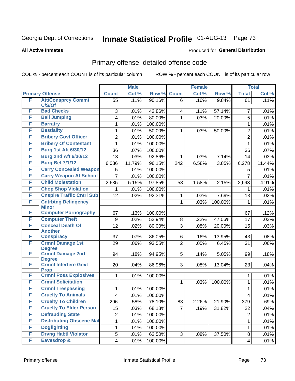#### **All Active Inmates**

#### Produced for **General Distribution**

### Primary offense, detailed offense code

| Col %<br><b>Primary Offense</b><br>Col %<br>Row %<br><b>Count</b><br>Row %<br><b>Total</b><br><b>Count</b><br>F<br><b>Att/Consprcy Commt</b><br>.11%<br>90.16%<br>.16%<br>$\overline{55}$<br>9.84%<br>6<br>61<br>C/S/Of<br><b>Bad Checks</b><br>F<br>3<br>.01%<br>42.86%<br>.11%<br>57.14%<br>.01%<br>7<br>4<br>F<br><b>Bail Jumping</b><br>80.00%<br>.01%<br>.03%<br>20.00%<br>.01%<br>4<br>5<br>1<br>F<br><b>Barratry</b><br>.01%<br>100.00%<br>.01%<br>1<br>$\mathbf{1}$<br>F<br><b>Bestiality</b><br>50.00%<br>.01%<br>$\overline{c}$<br>.01%<br>1<br>50.00%<br>.03%<br>1<br>F<br><b>Bribery Govt Officer</b><br>$\overline{2}$<br>$\overline{2}$<br>.01%<br>100.00%<br>.01%<br>F<br><b>Bribery Of Contestant</b><br>.01%<br>100.00%<br>.01%<br>1<br>1<br><b>Burg 1st Aft 6/30/12</b><br>F<br>$.07\%$<br>100.00%<br>36<br>36<br>.07%<br><b>Burg 2nd Aft 6/30/12</b><br>F<br>13<br>92.86%<br>.03%<br>7.14%<br>.03%<br>1<br>.03%<br>14<br><b>Burg Bef 7/1/12</b><br>F<br>11.79%<br>96.15%<br>6.58%<br>3.85%<br>6,278<br>11.44%<br>6,036<br>242<br><b>Carry Concealed Weapon</b><br>F<br>100.00%<br>.01%<br>5<br>.01%<br>5<br><b>Carry Weapon At School</b><br>F<br>$\overline{7}$<br>.01%<br>100.00%<br>$\overline{7}$<br>.01%<br><b>Child Molestation</b><br>F<br>97.85%<br>5.15%<br>4.91%<br>2,635<br>1.58%<br>2.15%<br>2,693<br>58<br>F<br><b>Chop Shop Violation</b><br>.01%<br>100.00%<br>.01%<br>1<br>1<br><b>Cnspire Traffic Cntrl Sub</b><br>F<br>.02%<br>92.31%<br>7.69%<br>.02%<br>12<br>.03%<br>13<br>1<br>F<br><b>Cntrbtng Delingency</b><br>100.00%<br>.01%<br>$\mathbf{1}$<br>.03%<br>$\mathbf{1}$<br><b>Minor</b><br><b>Computer Pornography</b><br>F<br>.12%<br>67<br>.13%<br>100.00%<br>67<br><b>Computer Theft</b><br>F<br>.02%<br>52.94%<br>8<br>47.06%<br>$\boldsymbol{9}$<br>.22%<br>17<br>.03%<br><b>Conceal Death Of</b><br>F<br>12<br>80.00%<br>3<br>.02%<br>.08%<br>20.00%<br>.03%<br>15<br><b>Another</b><br>F<br><b>Conspiracy</b><br>86.05%<br>37<br>.07%<br>6<br>.16%<br>13.95%<br>.08%<br>43<br>F<br><b>Crmnl Damage 1st</b><br>29<br>93.55%<br>$\overline{2}$<br>.06%<br>.06%<br>.05%<br>6.45%<br>31<br><b>Degree</b><br><b>Crmnl Damage 2nd</b><br>F<br>5<br>94<br>94.95%<br>5.05%<br>.18%<br>.18%<br>.14%<br>99<br><b>Degree</b><br><b>Crmnl Interfere Govt</b><br>F<br>13.04%<br>.04%<br>20<br>.04%<br>86.96%<br>3<br>.08%<br>23<br><b>Prop</b><br><b>Crmnl Poss Explosives</b><br>F<br>.01%<br>1<br>.01%<br>100.00%<br>1<br><b>Crmnl Solicitation</b><br>F<br>.01%<br>1<br>.03%<br>100.00%<br>$\mathbf{1}$<br>F<br><b>Crmnl Trespassing</b><br>100.00%<br>.01%<br>1<br>.01%<br>$\mathbf{1}$<br>F<br><b>Cruelty To Animals</b><br>.01%<br>100.00%<br>.01%<br>4<br>4<br><b>Cruelty To Children</b><br>F<br>296<br>.58%<br>78.10%<br>83<br>2.26%<br>21.90%<br>379<br>.69%<br>F<br><b>Cruelty To Elder Person</b><br>15<br>.03%<br>68.18%<br>$\overline{7}$<br>.04%<br>.19%<br>31.82%<br>22<br>F<br><b>Defrauding State</b><br>$\boldsymbol{2}$<br>.01%<br>100.00%<br>$\overline{2}$<br>.01%<br><b>Distributing Obscene Mat</b><br>F<br>1<br>.01%<br>100.00%<br>1<br>.01%<br>F<br><b>Dogfighting</b><br>1<br>.01%<br>100.00%<br>1<br>.01%<br><b>Drvng Habtl Violator</b><br>F<br>5<br>62.50%<br>.01%<br>3<br>.08%<br>37.50%<br>8<br>.01%<br>F<br><b>Eavesdrop &amp;</b><br>$\overline{\mathbf{4}}$<br>.01%<br>100.00%<br>4 |  | <b>Male</b> |  |  | <b>Female</b> |  |  | <b>Total</b> |       |
|-------------------------------------------------------------------------------------------------------------------------------------------------------------------------------------------------------------------------------------------------------------------------------------------------------------------------------------------------------------------------------------------------------------------------------------------------------------------------------------------------------------------------------------------------------------------------------------------------------------------------------------------------------------------------------------------------------------------------------------------------------------------------------------------------------------------------------------------------------------------------------------------------------------------------------------------------------------------------------------------------------------------------------------------------------------------------------------------------------------------------------------------------------------------------------------------------------------------------------------------------------------------------------------------------------------------------------------------------------------------------------------------------------------------------------------------------------------------------------------------------------------------------------------------------------------------------------------------------------------------------------------------------------------------------------------------------------------------------------------------------------------------------------------------------------------------------------------------------------------------------------------------------------------------------------------------------------------------------------------------------------------------------------------------------------------------------------------------------------------------------------------------------------------------------------------------------------------------------------------------------------------------------------------------------------------------------------------------------------------------------------------------------------------------------------------------------------------------------------------------------------------------------------------------------------------------------------------------------------------------------------------------------------------------------------------------------------------------------------------------------------------------------------------------------------------------------------------------------------------------------------------------------------------------------------------------------------------------------------------------------------------------------------------------------------------------------------------------------------------------------------------------------------------------------------------------------------------------------------------------------------------------------------------------------------------------------------------------------------------|--|-------------|--|--|---------------|--|--|--------------|-------|
|                                                                                                                                                                                                                                                                                                                                                                                                                                                                                                                                                                                                                                                                                                                                                                                                                                                                                                                                                                                                                                                                                                                                                                                                                                                                                                                                                                                                                                                                                                                                                                                                                                                                                                                                                                                                                                                                                                                                                                                                                                                                                                                                                                                                                                                                                                                                                                                                                                                                                                                                                                                                                                                                                                                                                                                                                                                                                                                                                                                                                                                                                                                                                                                                                                                                                                                                                             |  |             |  |  |               |  |  |              | Col % |
|                                                                                                                                                                                                                                                                                                                                                                                                                                                                                                                                                                                                                                                                                                                                                                                                                                                                                                                                                                                                                                                                                                                                                                                                                                                                                                                                                                                                                                                                                                                                                                                                                                                                                                                                                                                                                                                                                                                                                                                                                                                                                                                                                                                                                                                                                                                                                                                                                                                                                                                                                                                                                                                                                                                                                                                                                                                                                                                                                                                                                                                                                                                                                                                                                                                                                                                                                             |  |             |  |  |               |  |  |              | .11%  |
|                                                                                                                                                                                                                                                                                                                                                                                                                                                                                                                                                                                                                                                                                                                                                                                                                                                                                                                                                                                                                                                                                                                                                                                                                                                                                                                                                                                                                                                                                                                                                                                                                                                                                                                                                                                                                                                                                                                                                                                                                                                                                                                                                                                                                                                                                                                                                                                                                                                                                                                                                                                                                                                                                                                                                                                                                                                                                                                                                                                                                                                                                                                                                                                                                                                                                                                                                             |  |             |  |  |               |  |  |              |       |
|                                                                                                                                                                                                                                                                                                                                                                                                                                                                                                                                                                                                                                                                                                                                                                                                                                                                                                                                                                                                                                                                                                                                                                                                                                                                                                                                                                                                                                                                                                                                                                                                                                                                                                                                                                                                                                                                                                                                                                                                                                                                                                                                                                                                                                                                                                                                                                                                                                                                                                                                                                                                                                                                                                                                                                                                                                                                                                                                                                                                                                                                                                                                                                                                                                                                                                                                                             |  |             |  |  |               |  |  |              |       |
|                                                                                                                                                                                                                                                                                                                                                                                                                                                                                                                                                                                                                                                                                                                                                                                                                                                                                                                                                                                                                                                                                                                                                                                                                                                                                                                                                                                                                                                                                                                                                                                                                                                                                                                                                                                                                                                                                                                                                                                                                                                                                                                                                                                                                                                                                                                                                                                                                                                                                                                                                                                                                                                                                                                                                                                                                                                                                                                                                                                                                                                                                                                                                                                                                                                                                                                                                             |  |             |  |  |               |  |  |              |       |
|                                                                                                                                                                                                                                                                                                                                                                                                                                                                                                                                                                                                                                                                                                                                                                                                                                                                                                                                                                                                                                                                                                                                                                                                                                                                                                                                                                                                                                                                                                                                                                                                                                                                                                                                                                                                                                                                                                                                                                                                                                                                                                                                                                                                                                                                                                                                                                                                                                                                                                                                                                                                                                                                                                                                                                                                                                                                                                                                                                                                                                                                                                                                                                                                                                                                                                                                                             |  |             |  |  |               |  |  |              |       |
|                                                                                                                                                                                                                                                                                                                                                                                                                                                                                                                                                                                                                                                                                                                                                                                                                                                                                                                                                                                                                                                                                                                                                                                                                                                                                                                                                                                                                                                                                                                                                                                                                                                                                                                                                                                                                                                                                                                                                                                                                                                                                                                                                                                                                                                                                                                                                                                                                                                                                                                                                                                                                                                                                                                                                                                                                                                                                                                                                                                                                                                                                                                                                                                                                                                                                                                                                             |  |             |  |  |               |  |  |              |       |
|                                                                                                                                                                                                                                                                                                                                                                                                                                                                                                                                                                                                                                                                                                                                                                                                                                                                                                                                                                                                                                                                                                                                                                                                                                                                                                                                                                                                                                                                                                                                                                                                                                                                                                                                                                                                                                                                                                                                                                                                                                                                                                                                                                                                                                                                                                                                                                                                                                                                                                                                                                                                                                                                                                                                                                                                                                                                                                                                                                                                                                                                                                                                                                                                                                                                                                                                                             |  |             |  |  |               |  |  |              |       |
|                                                                                                                                                                                                                                                                                                                                                                                                                                                                                                                                                                                                                                                                                                                                                                                                                                                                                                                                                                                                                                                                                                                                                                                                                                                                                                                                                                                                                                                                                                                                                                                                                                                                                                                                                                                                                                                                                                                                                                                                                                                                                                                                                                                                                                                                                                                                                                                                                                                                                                                                                                                                                                                                                                                                                                                                                                                                                                                                                                                                                                                                                                                                                                                                                                                                                                                                                             |  |             |  |  |               |  |  |              |       |
|                                                                                                                                                                                                                                                                                                                                                                                                                                                                                                                                                                                                                                                                                                                                                                                                                                                                                                                                                                                                                                                                                                                                                                                                                                                                                                                                                                                                                                                                                                                                                                                                                                                                                                                                                                                                                                                                                                                                                                                                                                                                                                                                                                                                                                                                                                                                                                                                                                                                                                                                                                                                                                                                                                                                                                                                                                                                                                                                                                                                                                                                                                                                                                                                                                                                                                                                                             |  |             |  |  |               |  |  |              |       |
|                                                                                                                                                                                                                                                                                                                                                                                                                                                                                                                                                                                                                                                                                                                                                                                                                                                                                                                                                                                                                                                                                                                                                                                                                                                                                                                                                                                                                                                                                                                                                                                                                                                                                                                                                                                                                                                                                                                                                                                                                                                                                                                                                                                                                                                                                                                                                                                                                                                                                                                                                                                                                                                                                                                                                                                                                                                                                                                                                                                                                                                                                                                                                                                                                                                                                                                                                             |  |             |  |  |               |  |  |              |       |
|                                                                                                                                                                                                                                                                                                                                                                                                                                                                                                                                                                                                                                                                                                                                                                                                                                                                                                                                                                                                                                                                                                                                                                                                                                                                                                                                                                                                                                                                                                                                                                                                                                                                                                                                                                                                                                                                                                                                                                                                                                                                                                                                                                                                                                                                                                                                                                                                                                                                                                                                                                                                                                                                                                                                                                                                                                                                                                                                                                                                                                                                                                                                                                                                                                                                                                                                                             |  |             |  |  |               |  |  |              |       |
|                                                                                                                                                                                                                                                                                                                                                                                                                                                                                                                                                                                                                                                                                                                                                                                                                                                                                                                                                                                                                                                                                                                                                                                                                                                                                                                                                                                                                                                                                                                                                                                                                                                                                                                                                                                                                                                                                                                                                                                                                                                                                                                                                                                                                                                                                                                                                                                                                                                                                                                                                                                                                                                                                                                                                                                                                                                                                                                                                                                                                                                                                                                                                                                                                                                                                                                                                             |  |             |  |  |               |  |  |              |       |
|                                                                                                                                                                                                                                                                                                                                                                                                                                                                                                                                                                                                                                                                                                                                                                                                                                                                                                                                                                                                                                                                                                                                                                                                                                                                                                                                                                                                                                                                                                                                                                                                                                                                                                                                                                                                                                                                                                                                                                                                                                                                                                                                                                                                                                                                                                                                                                                                                                                                                                                                                                                                                                                                                                                                                                                                                                                                                                                                                                                                                                                                                                                                                                                                                                                                                                                                                             |  |             |  |  |               |  |  |              |       |
|                                                                                                                                                                                                                                                                                                                                                                                                                                                                                                                                                                                                                                                                                                                                                                                                                                                                                                                                                                                                                                                                                                                                                                                                                                                                                                                                                                                                                                                                                                                                                                                                                                                                                                                                                                                                                                                                                                                                                                                                                                                                                                                                                                                                                                                                                                                                                                                                                                                                                                                                                                                                                                                                                                                                                                                                                                                                                                                                                                                                                                                                                                                                                                                                                                                                                                                                                             |  |             |  |  |               |  |  |              |       |
|                                                                                                                                                                                                                                                                                                                                                                                                                                                                                                                                                                                                                                                                                                                                                                                                                                                                                                                                                                                                                                                                                                                                                                                                                                                                                                                                                                                                                                                                                                                                                                                                                                                                                                                                                                                                                                                                                                                                                                                                                                                                                                                                                                                                                                                                                                                                                                                                                                                                                                                                                                                                                                                                                                                                                                                                                                                                                                                                                                                                                                                                                                                                                                                                                                                                                                                                                             |  |             |  |  |               |  |  |              |       |
|                                                                                                                                                                                                                                                                                                                                                                                                                                                                                                                                                                                                                                                                                                                                                                                                                                                                                                                                                                                                                                                                                                                                                                                                                                                                                                                                                                                                                                                                                                                                                                                                                                                                                                                                                                                                                                                                                                                                                                                                                                                                                                                                                                                                                                                                                                                                                                                                                                                                                                                                                                                                                                                                                                                                                                                                                                                                                                                                                                                                                                                                                                                                                                                                                                                                                                                                                             |  |             |  |  |               |  |  |              |       |
|                                                                                                                                                                                                                                                                                                                                                                                                                                                                                                                                                                                                                                                                                                                                                                                                                                                                                                                                                                                                                                                                                                                                                                                                                                                                                                                                                                                                                                                                                                                                                                                                                                                                                                                                                                                                                                                                                                                                                                                                                                                                                                                                                                                                                                                                                                                                                                                                                                                                                                                                                                                                                                                                                                                                                                                                                                                                                                                                                                                                                                                                                                                                                                                                                                                                                                                                                             |  |             |  |  |               |  |  |              |       |
|                                                                                                                                                                                                                                                                                                                                                                                                                                                                                                                                                                                                                                                                                                                                                                                                                                                                                                                                                                                                                                                                                                                                                                                                                                                                                                                                                                                                                                                                                                                                                                                                                                                                                                                                                                                                                                                                                                                                                                                                                                                                                                                                                                                                                                                                                                                                                                                                                                                                                                                                                                                                                                                                                                                                                                                                                                                                                                                                                                                                                                                                                                                                                                                                                                                                                                                                                             |  |             |  |  |               |  |  |              |       |
|                                                                                                                                                                                                                                                                                                                                                                                                                                                                                                                                                                                                                                                                                                                                                                                                                                                                                                                                                                                                                                                                                                                                                                                                                                                                                                                                                                                                                                                                                                                                                                                                                                                                                                                                                                                                                                                                                                                                                                                                                                                                                                                                                                                                                                                                                                                                                                                                                                                                                                                                                                                                                                                                                                                                                                                                                                                                                                                                                                                                                                                                                                                                                                                                                                                                                                                                                             |  |             |  |  |               |  |  |              |       |
|                                                                                                                                                                                                                                                                                                                                                                                                                                                                                                                                                                                                                                                                                                                                                                                                                                                                                                                                                                                                                                                                                                                                                                                                                                                                                                                                                                                                                                                                                                                                                                                                                                                                                                                                                                                                                                                                                                                                                                                                                                                                                                                                                                                                                                                                                                                                                                                                                                                                                                                                                                                                                                                                                                                                                                                                                                                                                                                                                                                                                                                                                                                                                                                                                                                                                                                                                             |  |             |  |  |               |  |  |              |       |
|                                                                                                                                                                                                                                                                                                                                                                                                                                                                                                                                                                                                                                                                                                                                                                                                                                                                                                                                                                                                                                                                                                                                                                                                                                                                                                                                                                                                                                                                                                                                                                                                                                                                                                                                                                                                                                                                                                                                                                                                                                                                                                                                                                                                                                                                                                                                                                                                                                                                                                                                                                                                                                                                                                                                                                                                                                                                                                                                                                                                                                                                                                                                                                                                                                                                                                                                                             |  |             |  |  |               |  |  |              |       |
|                                                                                                                                                                                                                                                                                                                                                                                                                                                                                                                                                                                                                                                                                                                                                                                                                                                                                                                                                                                                                                                                                                                                                                                                                                                                                                                                                                                                                                                                                                                                                                                                                                                                                                                                                                                                                                                                                                                                                                                                                                                                                                                                                                                                                                                                                                                                                                                                                                                                                                                                                                                                                                                                                                                                                                                                                                                                                                                                                                                                                                                                                                                                                                                                                                                                                                                                                             |  |             |  |  |               |  |  |              |       |
|                                                                                                                                                                                                                                                                                                                                                                                                                                                                                                                                                                                                                                                                                                                                                                                                                                                                                                                                                                                                                                                                                                                                                                                                                                                                                                                                                                                                                                                                                                                                                                                                                                                                                                                                                                                                                                                                                                                                                                                                                                                                                                                                                                                                                                                                                                                                                                                                                                                                                                                                                                                                                                                                                                                                                                                                                                                                                                                                                                                                                                                                                                                                                                                                                                                                                                                                                             |  |             |  |  |               |  |  |              |       |
|                                                                                                                                                                                                                                                                                                                                                                                                                                                                                                                                                                                                                                                                                                                                                                                                                                                                                                                                                                                                                                                                                                                                                                                                                                                                                                                                                                                                                                                                                                                                                                                                                                                                                                                                                                                                                                                                                                                                                                                                                                                                                                                                                                                                                                                                                                                                                                                                                                                                                                                                                                                                                                                                                                                                                                                                                                                                                                                                                                                                                                                                                                                                                                                                                                                                                                                                                             |  |             |  |  |               |  |  |              |       |
|                                                                                                                                                                                                                                                                                                                                                                                                                                                                                                                                                                                                                                                                                                                                                                                                                                                                                                                                                                                                                                                                                                                                                                                                                                                                                                                                                                                                                                                                                                                                                                                                                                                                                                                                                                                                                                                                                                                                                                                                                                                                                                                                                                                                                                                                                                                                                                                                                                                                                                                                                                                                                                                                                                                                                                                                                                                                                                                                                                                                                                                                                                                                                                                                                                                                                                                                                             |  |             |  |  |               |  |  |              |       |
|                                                                                                                                                                                                                                                                                                                                                                                                                                                                                                                                                                                                                                                                                                                                                                                                                                                                                                                                                                                                                                                                                                                                                                                                                                                                                                                                                                                                                                                                                                                                                                                                                                                                                                                                                                                                                                                                                                                                                                                                                                                                                                                                                                                                                                                                                                                                                                                                                                                                                                                                                                                                                                                                                                                                                                                                                                                                                                                                                                                                                                                                                                                                                                                                                                                                                                                                                             |  |             |  |  |               |  |  |              |       |
|                                                                                                                                                                                                                                                                                                                                                                                                                                                                                                                                                                                                                                                                                                                                                                                                                                                                                                                                                                                                                                                                                                                                                                                                                                                                                                                                                                                                                                                                                                                                                                                                                                                                                                                                                                                                                                                                                                                                                                                                                                                                                                                                                                                                                                                                                                                                                                                                                                                                                                                                                                                                                                                                                                                                                                                                                                                                                                                                                                                                                                                                                                                                                                                                                                                                                                                                                             |  |             |  |  |               |  |  |              |       |
|                                                                                                                                                                                                                                                                                                                                                                                                                                                                                                                                                                                                                                                                                                                                                                                                                                                                                                                                                                                                                                                                                                                                                                                                                                                                                                                                                                                                                                                                                                                                                                                                                                                                                                                                                                                                                                                                                                                                                                                                                                                                                                                                                                                                                                                                                                                                                                                                                                                                                                                                                                                                                                                                                                                                                                                                                                                                                                                                                                                                                                                                                                                                                                                                                                                                                                                                                             |  |             |  |  |               |  |  |              |       |
|                                                                                                                                                                                                                                                                                                                                                                                                                                                                                                                                                                                                                                                                                                                                                                                                                                                                                                                                                                                                                                                                                                                                                                                                                                                                                                                                                                                                                                                                                                                                                                                                                                                                                                                                                                                                                                                                                                                                                                                                                                                                                                                                                                                                                                                                                                                                                                                                                                                                                                                                                                                                                                                                                                                                                                                                                                                                                                                                                                                                                                                                                                                                                                                                                                                                                                                                                             |  |             |  |  |               |  |  |              |       |
|                                                                                                                                                                                                                                                                                                                                                                                                                                                                                                                                                                                                                                                                                                                                                                                                                                                                                                                                                                                                                                                                                                                                                                                                                                                                                                                                                                                                                                                                                                                                                                                                                                                                                                                                                                                                                                                                                                                                                                                                                                                                                                                                                                                                                                                                                                                                                                                                                                                                                                                                                                                                                                                                                                                                                                                                                                                                                                                                                                                                                                                                                                                                                                                                                                                                                                                                                             |  |             |  |  |               |  |  |              |       |
|                                                                                                                                                                                                                                                                                                                                                                                                                                                                                                                                                                                                                                                                                                                                                                                                                                                                                                                                                                                                                                                                                                                                                                                                                                                                                                                                                                                                                                                                                                                                                                                                                                                                                                                                                                                                                                                                                                                                                                                                                                                                                                                                                                                                                                                                                                                                                                                                                                                                                                                                                                                                                                                                                                                                                                                                                                                                                                                                                                                                                                                                                                                                                                                                                                                                                                                                                             |  |             |  |  |               |  |  |              |       |
|                                                                                                                                                                                                                                                                                                                                                                                                                                                                                                                                                                                                                                                                                                                                                                                                                                                                                                                                                                                                                                                                                                                                                                                                                                                                                                                                                                                                                                                                                                                                                                                                                                                                                                                                                                                                                                                                                                                                                                                                                                                                                                                                                                                                                                                                                                                                                                                                                                                                                                                                                                                                                                                                                                                                                                                                                                                                                                                                                                                                                                                                                                                                                                                                                                                                                                                                                             |  |             |  |  |               |  |  |              |       |
|                                                                                                                                                                                                                                                                                                                                                                                                                                                                                                                                                                                                                                                                                                                                                                                                                                                                                                                                                                                                                                                                                                                                                                                                                                                                                                                                                                                                                                                                                                                                                                                                                                                                                                                                                                                                                                                                                                                                                                                                                                                                                                                                                                                                                                                                                                                                                                                                                                                                                                                                                                                                                                                                                                                                                                                                                                                                                                                                                                                                                                                                                                                                                                                                                                                                                                                                                             |  |             |  |  |               |  |  |              |       |
|                                                                                                                                                                                                                                                                                                                                                                                                                                                                                                                                                                                                                                                                                                                                                                                                                                                                                                                                                                                                                                                                                                                                                                                                                                                                                                                                                                                                                                                                                                                                                                                                                                                                                                                                                                                                                                                                                                                                                                                                                                                                                                                                                                                                                                                                                                                                                                                                                                                                                                                                                                                                                                                                                                                                                                                                                                                                                                                                                                                                                                                                                                                                                                                                                                                                                                                                                             |  |             |  |  |               |  |  |              |       |
|                                                                                                                                                                                                                                                                                                                                                                                                                                                                                                                                                                                                                                                                                                                                                                                                                                                                                                                                                                                                                                                                                                                                                                                                                                                                                                                                                                                                                                                                                                                                                                                                                                                                                                                                                                                                                                                                                                                                                                                                                                                                                                                                                                                                                                                                                                                                                                                                                                                                                                                                                                                                                                                                                                                                                                                                                                                                                                                                                                                                                                                                                                                                                                                                                                                                                                                                                             |  |             |  |  |               |  |  |              |       |
|                                                                                                                                                                                                                                                                                                                                                                                                                                                                                                                                                                                                                                                                                                                                                                                                                                                                                                                                                                                                                                                                                                                                                                                                                                                                                                                                                                                                                                                                                                                                                                                                                                                                                                                                                                                                                                                                                                                                                                                                                                                                                                                                                                                                                                                                                                                                                                                                                                                                                                                                                                                                                                                                                                                                                                                                                                                                                                                                                                                                                                                                                                                                                                                                                                                                                                                                                             |  |             |  |  |               |  |  |              |       |
|                                                                                                                                                                                                                                                                                                                                                                                                                                                                                                                                                                                                                                                                                                                                                                                                                                                                                                                                                                                                                                                                                                                                                                                                                                                                                                                                                                                                                                                                                                                                                                                                                                                                                                                                                                                                                                                                                                                                                                                                                                                                                                                                                                                                                                                                                                                                                                                                                                                                                                                                                                                                                                                                                                                                                                                                                                                                                                                                                                                                                                                                                                                                                                                                                                                                                                                                                             |  |             |  |  |               |  |  |              |       |
|                                                                                                                                                                                                                                                                                                                                                                                                                                                                                                                                                                                                                                                                                                                                                                                                                                                                                                                                                                                                                                                                                                                                                                                                                                                                                                                                                                                                                                                                                                                                                                                                                                                                                                                                                                                                                                                                                                                                                                                                                                                                                                                                                                                                                                                                                                                                                                                                                                                                                                                                                                                                                                                                                                                                                                                                                                                                                                                                                                                                                                                                                                                                                                                                                                                                                                                                                             |  |             |  |  |               |  |  |              | .01%  |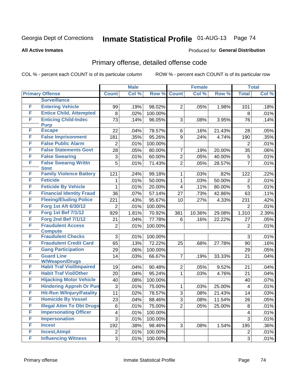#### **All Active Inmates**

#### Produced for **General Distribution**

### Primary offense, detailed offense code

|   |                                                          |                 | <b>Male</b> |         |                                  | <b>Female</b> |                  |                 | <b>Total</b> |
|---|----------------------------------------------------------|-----------------|-------------|---------|----------------------------------|---------------|------------------|-----------------|--------------|
|   | <b>Primary Offense</b>                                   | <b>Count</b>    | Col %       | Row %   | <b>Count</b>                     | Col %         | Row %            | <b>Total</b>    | Col %        |
|   | <b>Surveillance</b>                                      |                 |             |         |                                  |               |                  |                 |              |
| F | <b>Entering Vehicle</b>                                  | 99              | .19%        | 98.02%  | $\overline{2}$                   | .05%          | 1.98%            | 101             | .18%         |
| F | <b>Entice Child, Attempted</b>                           | 8               | .02%        | 100.00% |                                  |               |                  | 8               | .01%         |
| F | <b>Enticing Child-Indec</b>                              | 73              | .14%        | 96.05%  | 3                                | .08%          | 3.95%            | 76              | .14%         |
|   | <b>Purp</b>                                              |                 |             |         |                                  |               |                  |                 |              |
| F | <b>Escape</b>                                            | 22              | .04%        | 78.57%  | 6                                | .16%          | 21.43%           | 28              | .05%         |
| F | <b>False Imprisonment</b>                                | 181             | .35%        | 95.26%  | 9                                | .24%          | 4.74%            | 190             | .35%         |
| F | <b>False Public Alarm</b>                                | $\overline{2}$  | .01%        | 100.00% |                                  |               |                  | $\overline{2}$  | .01%         |
| F | <b>False Statements Govt</b>                             | 28              | .05%        | 80.00%  | $\overline{7}$                   | .19%          | 20.00%           | 35              | .06%         |
| F | <b>False Swearing</b>                                    | $\mathfrak{S}$  | .01%        | 60.00%  | $\overline{c}$                   | .05%          | 40.00%           | 5               | .01%         |
| F | <b>False Swearng Writtn</b><br><b>Stmt</b>               | 5               | .01%        | 71.43%  | $\overline{2}$                   | .05%          | 28.57%           | $\overline{7}$  | .01%         |
| F | <b>Family Violence Battery</b>                           | 121             | .24%        | 99.18%  | 1                                | .03%          | .82%             | 122             | .22%         |
| F | <b>Feticide</b>                                          | 1               | .01%        | 50.00%  | 1                                | .03%          | 50.00%           | 2               | .01%         |
| F | <b>Feticide By Vehicle</b>                               | 1               | .01%        | 20.00%  | 4                                | .11%          | 80.00%           | 5               | .01%         |
| F | <b>Financial Identity Fraud</b>                          | 36              | .07%        | 57.14%  | 27                               | .73%          | 42.86%           | 63              | .11%         |
| F | <b>Fleeing/Eluding Police</b>                            | 221             | .43%        | 95.67%  | 10                               | .27%          | 4.33%            | 231             | .42%         |
| F | Forg 1st Aft 6/30/12                                     | 2               | .01%        | 100.00% |                                  |               |                  | $\overline{2}$  | .01%         |
| F | <b>Forg 1st Bef 7/1/12</b>                               | 929             | 1.81%       | 70.92%  | 381                              | 10.36%        | 29.08%           | 1,310           | 2.39%        |
| F | <b>Forg 2nd Bef 7/1/12</b>                               | 21              | .04%        | 77.78%  | 6                                | .16%          | 22.22%           | 27              | .05%         |
| F | <b>Fraudulent Access</b>                                 | $\overline{2}$  | .01%        | 100.00% |                                  |               |                  | 2               | .01%         |
|   | <b>Compute</b>                                           |                 |             |         |                                  |               |                  |                 |              |
| F | <b>Fraudulent Checks</b>                                 | 3               | .01%        | 100.00% |                                  |               |                  | 3               | .01%         |
| F | <b>Fraudulent Credit Card</b>                            | 65              | .13%        | 72.22%  | 25                               | .68%          | 27.78%           | 90              | .16%         |
| F | <b>Gang Participation</b>                                | 29              | .06%        | 100.00% |                                  |               |                  | 29              | .05%         |
| F | <b>Guard Line</b>                                        | 14              | .03%        | 66.67%  | $\overline{7}$                   | .19%          | 33.33%           | 21              | .04%         |
| F | <b>W/Weapon/Drugs</b><br><b>Habit Traf Viol/Impaired</b> | 19              | .04%        | 90.48%  | $\overline{2}$                   | .05%          | 9.52%            | 21              | .04%         |
| F | <b>Habit Traf Viol/Other</b>                             | 20              | .04%        | 95.24%  | $\mathbf 1$                      | .03%          | 4.76%            | 21              | .04%         |
| F | <b>Hijacking Motor Vehicle</b>                           | 40              | .08%        | 100.00% |                                  |               |                  | 40              | .07%         |
| F | <b>Hindering Appreh Or Pun</b>                           | 3               | .01%        | 75.00%  |                                  |               | 25.00%           |                 | .01%         |
| F | <b>Hit-Run W/Injury/Fatality</b>                         |                 |             | 78.57%  | 1<br>3                           | .03%<br>.08%  |                  | 4               |              |
| F | <b>Homicide By Vessel</b>                                | 11              | .02%        |         |                                  |               | 21.43%<br>11.54% | 14              | .03%         |
| F | <b>Illegal Attm To Obt Drugs</b>                         | $\overline{23}$ | .04%        | 88.46%  | $\overline{3}$<br>$\overline{2}$ | .08%          |                  | $\overline{26}$ | .05%         |
| F | <b>Impersonating Officer</b>                             | 6               | .01%        | 75.00%  |                                  | .05%          | 25.00%           | 8               | .01%         |
| F | <b>Impersonation</b>                                     | 4               | .01%        | 100.00% |                                  |               |                  | 4               | .01%         |
| F | <b>Incest</b>                                            | 3               | .01%        | 100.00% |                                  |               |                  | 3               | .01%         |
| F |                                                          | 192             | .38%        | 98.46%  | 3 <sup>1</sup>                   | .08%          | 1.54%            | 195             | .36%         |
|   | <b>Incest, Atmpt</b>                                     | $\overline{2}$  | .01%        | 100.00% |                                  |               |                  | $\overline{2}$  | .01%         |
| F | <b>Influencing Witness</b>                               | 3               | .01%        | 100.00% |                                  |               |                  | 3               | .01%         |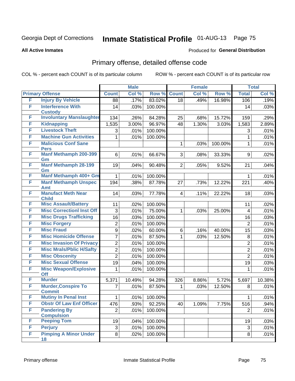#### **All Active Inmates**

#### Produced for **General Distribution**

### Primary offense, detailed offense code

|   |                                                   |                | <b>Male</b> |         |                | <b>Female</b> |         |                   | <b>Total</b> |
|---|---------------------------------------------------|----------------|-------------|---------|----------------|---------------|---------|-------------------|--------------|
|   | <b>Primary Offense</b>                            | <b>Count</b>   | Col %       | Row %   | <b>Count</b>   | Col %         | Row %   | <b>Total</b>      | Col %        |
| F | <b>Injury By Vehicle</b>                          | 88             | .17%        | 83.02%  | 18             | .49%          | 16.98%  | 106               | .19%         |
| F | <b>Interference With</b>                          | 14             | .03%        | 100.00% |                |               |         | 14                | .03%         |
| F | <b>Custody</b><br><b>Involuntary Manslaughter</b> | 134            | .26%        | 84.28%  | 25             | .68%          | 15.72%  | 159               | .29%         |
| F | <b>Kidnapping</b>                                 | 1,535          | 3.00%       | 96.97%  | 48             | 1.30%         | 3.03%   | 1,583             |              |
| F | <b>Livestock Theft</b>                            | 3              | .01%        | 100.00% |                |               |         | 3                 | 2.89%        |
| F | <b>Machine Gun Activities</b>                     | 1              | .01%        | 100.00% |                |               |         | 1                 | .01%<br>.01% |
| F | <b>Malicious Conf Sane</b>                        |                |             |         | $\mathbf{1}$   | .03%          | 100.00% | 1                 | .01%         |
|   | <b>Pers</b>                                       |                |             |         |                |               |         |                   |              |
| F | <b>Manf Methamph 200-399</b>                      | $6 \mid$       | .01%        | 66.67%  | 3 <sup>1</sup> | .08%          | 33.33%  | 9                 | .02%         |
|   | Gm                                                |                |             |         |                |               |         |                   |              |
| F | <b>Manf Methamph 28-199</b><br>Gm                 | 19             | .04%        | 90.48%  | 2 <sup>1</sup> | .05%          | 9.52%   | 21                | .04%         |
| F | Manf Methamph 400+ Gm                             | $\mathbf{1}$   | .01%        | 100.00% |                |               |         | $\mathbf{1}$      | .01%         |
| F | <b>Manf Methamph Unspec</b>                       | 194            | .38%        | 87.78%  | 27             | .73%          | 12.22%  | 221               | .40%         |
|   | Amt                                               |                |             |         |                |               |         |                   |              |
| F | <b>Manufact Meth Near</b><br><b>Child</b>         | 14             | .03%        | 77.78%  | $\overline{4}$ | .11%          | 22.22%  | 18                | .03%         |
| F | <b>Misc Assault/Battery</b>                       | 11             | .02%        | 100.00% |                |               |         | 11                | .02%         |
| F | <b>Misc CorrectionI Inst Off</b>                  | 3              | .01%        | 75.00%  | $\mathbf{1}$   | .03%          | 25.00%  | $\overline{4}$    | .01%         |
| F | <b>Misc Drugs Trafficking</b>                     | 16             | .03%        | 100.00% |                |               |         | 16                | .03%         |
| F | <b>Misc Forgery</b>                               | $\overline{2}$ | .01%        | 100.00% |                |               |         | $\overline{2}$    | .01%         |
| F | <b>Misc Fraud</b>                                 | 9              | .02%        | 60.00%  | 6              | .16%          | 40.00%  | 15                | .03%         |
| F | <b>Misc Homicide Offense</b>                      | $\overline{7}$ | .01%        | 87.50%  | 1              | .03%          | 12.50%  | 8                 | .01%         |
| F | <b>Misc Invasion Of Privacy</b>                   | $\overline{2}$ | .01%        | 100.00% |                |               |         | $\overline{2}$    | .01%         |
| F | <b>Misc Mrals/Pblic H/Safty</b>                   | $\overline{2}$ | .01%        | 100.00% |                |               |         | $\overline{2}$    | .01%         |
| F | <b>Misc Obscenity</b>                             | $\overline{2}$ | .01%        | 100.00% |                |               |         | $\overline{2}$    | .01%         |
| F | <b>Misc Sexual Offense</b>                        | 19             | .04%        | 100.00% |                |               |         | 19                | .03%         |
| F | <b>Misc Weapon/Explosive</b><br><b>Off</b>        | 1              | .01%        | 100.00% |                |               |         | 1                 | .01%         |
| F | <b>Murder</b>                                     | 5,371          | 10.49%      | 94.28%  | 326            | 8.86%         | 5.72%   | 5,697             | 10.38%       |
| F | <b>Murder, Conspire To</b><br><b>Commit</b>       | $\overline{7}$ | .01%        | 87.50%  | $\mathbf{1}$   | .03%          | 12.50%  | 8                 | .01%         |
| F | <b>Mutiny In Penal Inst</b>                       | $\mathbf 1$    | .01%        | 100.00% |                |               |         | $\mathbf{1}$      | .01%         |
| F | <b>Obstr Of Law Enf Officer</b>                   | 476            | .93%        | 92.25%  | 40             | 1.09%         | 7.75%   | $\overline{5}$ 16 | .94%         |
| F | <b>Pandering By</b>                               | 2 <sup>1</sup> | .01%        | 100.00% |                |               |         | 2                 | .01%         |
|   | <b>Compulsion</b>                                 |                |             |         |                |               |         |                   |              |
| F | <b>Peeping Tom</b>                                | 19             | .04%        | 100.00% |                |               |         | 19                | .03%         |
| F | <b>Perjury</b>                                    | $\overline{3}$ | .01%        | 100.00% |                |               |         | 3                 | .01%         |
| F | <b>Pimping A Minor Under</b><br>18                | 8              | .02%        | 100.00% |                |               |         | 8                 | .01%         |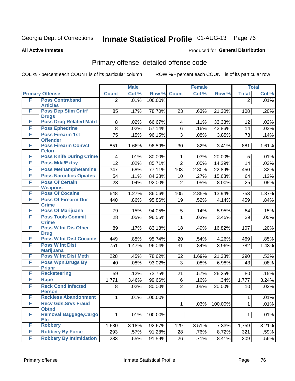#### **All Active Inmates**

#### Produced for **General Distribution**

### Primary offense, detailed offense code

|   |                                                 | <b>Male</b>    |       |         |                         | <b>Female</b> |         | <b>Total</b>   |         |
|---|-------------------------------------------------|----------------|-------|---------|-------------------------|---------------|---------|----------------|---------|
|   | <b>Primary Offense</b>                          | <b>Count</b>   | Col % | Row %   | <b>Count</b>            | Col %         | Row %   | <b>Total</b>   | Col %   |
| F | <b>Poss Contraband</b>                          | $\overline{2}$ | .01%  | 100.00% |                         |               |         | $\overline{2}$ | .01%    |
| F | <b>Articles</b>                                 |                |       |         |                         |               |         |                |         |
|   | <b>Poss Dep Stim Cntrf</b><br><b>Drugs</b>      | 85             | .17%  | 78.70%  | 23                      | .63%          | 21.30%  | 108            | .20%    |
| F | <b>Poss Drug Related Matri</b>                  | 8              | .02%  | 66.67%  | $\overline{\mathbf{4}}$ | .11%          | 33.33%  | 12             | .02%    |
| F | <b>Poss Ephedrine</b>                           | 8              | .02%  | 57.14%  | 6                       | .16%          | 42.86%  | 14             | .03%    |
| F | <b>Poss Firearm 1st</b>                         | 75             | .15%  | 96.15%  | $\overline{3}$          | .08%          | 3.85%   | 78             | .14%    |
|   | <b>Offender</b>                                 |                |       |         |                         |               |         |                |         |
| F | <b>Poss Firearm Convct</b><br><b>Felon</b>      | 851            | 1.66% | 96.59%  | 30                      | .82%          | 3.41%   | 881            | 1.61%   |
| F | <b>Poss Knife During Crime</b>                  | $\overline{4}$ | .01%  | 80.00%  | $\mathbf 1$             | .03%          | 20.00%  | 5              | .01%    |
| F | <b>Poss Mda/Extsy</b>                           | 12             | .02%  | 85.71%  | $\overline{2}$          | .05%          | 14.29%  | 14             | .03%    |
| F | <b>Poss Methamphetamine</b>                     | 347            | .68%  | 77.11%  | 103                     | 2.80%         | 22.89%  | 450            | .82%    |
| F | <b>Poss Narcotics Opiates</b>                   | 54             | .11%  | 84.38%  | 10                      | .27%          | 15.63%  | 64             | .12%    |
| F | <b>Poss Of Certain</b>                          | 23             | .04%  | 92.00%  | $\overline{2}$          | .05%          | 8.00%   | 25             | .05%    |
|   | <b>Weapons</b>                                  |                |       |         |                         |               |         |                |         |
| F | <b>Poss Of Cocaine</b>                          | 648            | 1.27% | 86.06%  | 105                     | 2.85%         | 13.94%  | 753            | 1.37%   |
| F | <b>Poss Of Firearm Dur</b>                      | 440            | .86%  | 95.86%  | 19                      | .52%          | 4.14%   | 459            | .84%    |
| F | <b>Crime</b><br><b>Poss Of Marijuana</b>        | 79             | .15%  | 94.05%  | 5                       | .14%          | 5.95%   | 84             | .15%    |
| F | <b>Poss Tools Commit</b>                        | 28             | .05%  | 96.55%  | $\mathbf{1}$            | .03%          | 3.45%   | 29             | .05%    |
|   | <b>Crime</b>                                    |                |       |         |                         |               |         |                |         |
| F | <b>Poss W Int Dis Other</b>                     | 89             | .17%  | 83.18%  | 18                      | .49%          | 16.82%  | 107            | .20%    |
|   | <b>Drug</b>                                     |                |       |         |                         |               |         |                |         |
| F | <b>Poss W Int Dist Cocaine</b>                  | 449            | .88%  | 95.74%  | 20                      | .54%          | 4.26%   | 469            | .85%    |
| F | <b>Poss W Int Dist</b>                          | 751            | 1.47% | 96.04%  | 31                      | .84%          | 3.96%   | 782            | 1.43%   |
| F | <b>Marijuana</b><br><b>Poss W Int Dist Meth</b> | 228            | .45%  | 78.62%  | 62                      | 1.69%         | 21.38%  | 290            | .53%    |
| F | <b>Poss Wpn, Drugs By</b>                       | 40             | .08%  | 93.02%  | 3                       | .08%          | 6.98%   | 43             | .08%    |
|   | <b>Prisnr</b>                                   |                |       |         |                         |               |         |                |         |
| F | <b>Racketeering</b>                             | 59             | .12%  | 73.75%  | 21                      | .57%          | 26.25%  | 80             | .15%    |
| F | Rape                                            | 1,771          | 3.46% | 99.66%  | 6                       | .16%          | .34%    | 1,777          | 3.24%   |
| F | <b>Reck Cond Infected</b>                       | 8              | .02%  | 80.00%  | $\overline{2}$          | .05%          | 20.00%  | 10             | .02%    |
| F | <b>Person</b>                                   |                |       |         |                         |               |         |                |         |
| F | <b>Reckless Abandonment</b>                     | 1              | .01%  | 100.00% |                         |               |         | 1              | $.01\%$ |
|   | <b>Recv Gds, Srvs Fraud</b><br><b>Obtnd</b>     |                |       |         | $\mathbf{1}$            | .03%          | 100.00% | $\mathbf{1}$   | .01%    |
| F | <b>Removal Baggage, Cargo</b>                   | 1              | .01%  | 100.00% |                         |               |         | $\mathbf{1}$   | .01%    |
| F | <b>Etc</b><br><b>Robbery</b>                    |                |       |         |                         |               |         |                |         |
| F | <b>Robbery By Force</b>                         | 1,630          | 3.18% | 92.67%  | 129                     | 3.51%         | 7.33%   | 1,759          | 3.21%   |
| F | <b>Robbery By Intimidation</b>                  | 293            | .57%  | 91.28%  | 28                      | .76%          | 8.72%   | 321            | .59%    |
|   |                                                 | 283            | .55%  | 91.59%  | 26                      | .71%          | 8.41%   | 309            | .56%    |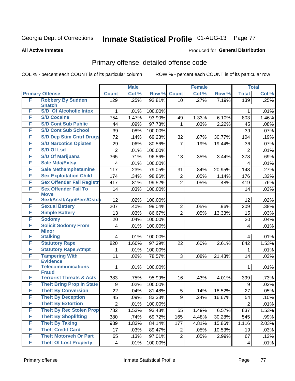#### **All Active Inmates**

#### Produced for **General Distribution**

### Primary offense, detailed offense code

|        |                                                  | <b>Male</b>             |       |         | <b>Female</b>  |       |        | <b>Total</b>   |       |
|--------|--------------------------------------------------|-------------------------|-------|---------|----------------|-------|--------|----------------|-------|
|        | <b>Primary Offense</b>                           | <b>Count</b>            | Col % | Row %   | <b>Count</b>   | Col % | Row %  | <b>Total</b>   | Col % |
| F      | <b>Robbery By Sudden</b>                         | 129                     | .25%  | 92.81%  | 10             | .27%  | 7.19%  | 139            | .25%  |
| F      | <b>Snatch</b><br><b>S/D Of Alcoholic Intox</b>   |                         |       |         |                |       |        |                |       |
| F      |                                                  | 1                       | .01%  | 100.00% |                |       |        | 1              | .01%  |
| F      | <b>S/D Cocaine</b><br><b>S/D Cont Sub Public</b> | 754                     | 1.47% | 93.90%  | 49             | 1.33% | 6.10%  | 803            | 1.46% |
|        |                                                  | 44                      | .09%  | 97.78%  | 1              | .03%  | 2.22%  | 45             | .08%  |
| F<br>F | <b>S/D Cont Sub School</b>                       | 39                      | .08%  | 100.00% |                |       |        | 39             | .07%  |
|        | <b>S/D Dep Stim Cntrf Drugs</b>                  | 72                      | .14%  | 69.23%  | 32             | .87%  | 30.77% | 104            | .19%  |
| F      | <b>S/D Narcotics Opiates</b>                     | 29                      | .06%  | 80.56%  | 7              | .19%  | 19.44% | 36             | .07%  |
| F      | <b>S/D Of Lsd</b>                                | $\overline{2}$          | .01%  | 100.00% |                |       |        | $\overline{2}$ | .01%  |
| F      | <b>S/D Of Marijuana</b>                          | 365                     | .71%  | 96.56%  | 13             | .35%  | 3.44%  | 378            | .69%  |
| F      | <b>Sale Mda/Extsy</b>                            | 4                       | .01%  | 100.00% |                |       |        | 4              | .01%  |
| F      | <b>Sale Methamphetamine</b>                      | 117                     | .23%  | 79.05%  | 31             | .84%  | 20.95% | 148            | .27%  |
| F      | <b>Sex Exploitation Child</b>                    | 174                     | .34%  | 98.86%  | $\overline{c}$ | .05%  | 1.14%  | 176            | .32%  |
| F      | <b>Sex Offender Fail Registr</b>                 | 417                     | .81%  | 99.52%  | $\overline{2}$ | .05%  | .48%   | 419            | .76%  |
| F      | <b>Sex Offender Fail To</b><br><b>Move</b>       | 14                      | .03%  | 100.00% |                |       |        | 14             | .03%  |
| F      | Sexl/Asslt/Agn/Pers/Cstd                         | 12                      | .02%  | 100.00% |                |       |        | 12             | .02%  |
| F      | <b>Sexual Battery</b>                            | 207                     | .40%  | 99.04%  | $\overline{2}$ | .05%  | .96%   | 209            | .38%  |
| F      | <b>Simple Battery</b>                            | 13                      | .03%  | 86.67%  | $\overline{2}$ | .05%  | 13.33% | 15             | .03%  |
| F      | <b>Sodomy</b>                                    | 20                      | .04%  | 100.00% |                |       |        | 20             | .04%  |
| F      | <b>Solicit Sodomy From</b>                       | 4                       | .01%  | 100.00% |                |       |        | 4              | .01%  |
|        | <b>Minor</b>                                     |                         |       |         |                |       |        |                |       |
| F      | <b>Stalking</b>                                  | 4                       | .01%  | 100.00% |                |       |        | 4              | .01%  |
| F      | <b>Statutory Rape</b>                            | 820                     | 1.60% | 97.39%  | 22             | .60%  | 2.61%  | 842            | 1.53% |
| F      | <b>Statutory Rape, Atmpt</b>                     | 1                       | .01%  | 100.00% |                |       |        | 1              | .01%  |
| F      | <b>Tampering With</b><br><b>Evidence</b>         | 11                      | .02%  | 78.57%  | 3              | .08%  | 21.43% | 14             | .03%  |
| F      | <b>Telecommunications</b><br><b>Fraud</b>        | 1                       | .01%  | 100.00% |                |       |        | 1              | .01%  |
| F      | <b>Terrorist Threats &amp; Acts</b>              | 383                     | .75%  | 95.99%  | 16             | .43%  | 4.01%  | 399            | .73%  |
| F      | <b>Theft Bring Prop In State</b>                 | 9                       | .02%  | 100.00% |                |       |        | 9              | .02%  |
| F      | <b>Theft By Conversion</b>                       | 22                      | .04%  | 81.48%  | 5              | .14%  | 18.52% | 27             | .05%  |
| F      | <b>Theft By Deception</b>                        | 45                      | .09%  | 83.33%  | 9              | .24%  | 16.67% | 54             | .10%  |
| F      | <b>Theft By Extortion</b>                        | $\boldsymbol{2}$        | .01%  | 100.00% |                |       |        | $\overline{2}$ | .01%  |
| F      | <b>Theft By Rec Stolen Prop</b>                  | 782                     | 1.53% | 93.43%  | 55             | 1.49% | 6.57%  | 837            | 1.53% |
| F      | <b>Theft By Shoplifting</b>                      | 380                     | .74%  | 69.72%  | 165            | 4.48% | 30.28% | 545            | .99%  |
| F      | <b>Theft By Taking</b>                           | 939                     | 1.83% | 84.14%  | 177            | 4.81% | 15.86% | 1,116          | 2.03% |
| F      | <b>Theft Credit Card</b>                         | 17                      | .03%  | 89.47%  | 2              | .05%  | 10.53% | 19             | .03%  |
| F      | <b>Theft Motorveh Or Part</b>                    | 65                      | .13%  | 97.01%  | $\overline{2}$ | .05%  | 2.99%  | 67             | .12%  |
| F      | <b>Theft Of Lost Property</b>                    | $\overline{\mathbf{4}}$ | .01%  | 100.00% |                |       |        | 4              | .01%  |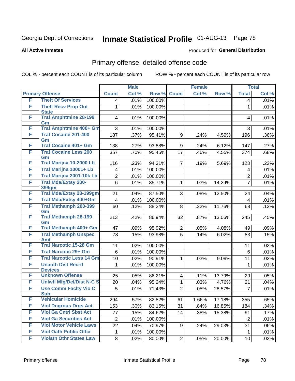**All Active Inmates**

#### Produced for **General Distribution**

### Primary offense, detailed offense code

|   |                                            | <b>Male</b>             |       |         | <b>Female</b>  | <b>Total</b> |        |                 |         |
|---|--------------------------------------------|-------------------------|-------|---------|----------------|--------------|--------|-----------------|---------|
|   | <b>Primary Offense</b>                     | <b>Count</b>            | Col % | Row %   | <b>Count</b>   | Col %        | Row %  | <b>Total</b>    | Col %   |
| F | <b>Theft Of Services</b>                   | 4                       | .01%  | 100.00% |                |              |        | $\overline{4}$  | .01%    |
| F | <b>Theft Recv Prop Out</b><br><b>State</b> | $\mathbf{1}$            | .01%  | 100.00% |                |              |        | 1               | .01%    |
| F | <b>Traf Amphtmine 28-199</b><br>Gm         | 4                       | .01%  | 100.00% |                |              |        | $\overline{4}$  | .01%    |
| F | Traf Amphtmine 400+ Gm                     | 3                       | .01%  | 100.00% |                |              |        | 3               | .01%    |
| F | <b>Traf Cocaine 201-400</b><br>Gm          | 187                     | .37%  | 95.41%  | 9              | .24%         | 4.59%  | 196             | $.36\%$ |
| F | <b>Traf Cocaine 401+ Gm</b>                | 138                     | .27%  | 93.88%  | 9              | .24%         | 6.12%  | 147             | .27%    |
| F | <b>Traf Cocaine Less 200</b><br>Gm         | 357                     | .70%  | 95.45%  | 17             | .46%         | 4.55%  | 374             | .68%    |
| F | Traf Marijna 10-2000 Lb                    | 116                     | .23%  | 94.31%  | $\overline{7}$ | .19%         | 5.69%  | 123             | .22%    |
| F | Traf Marijna 10001+ Lb                     | 4                       | .01%  | 100.00% |                |              |        | $\overline{4}$  | .01%    |
| F | Traf Marijna 2001-10k Lb                   | $\overline{2}$          | .01%  | 100.00% |                |              |        | $\overline{2}$  | .01%    |
| F | <b>Traf Mda/Extsy 200-</b><br>399gm        | 6                       | .01%  | 85.71%  | $\mathbf 1$    | .03%         | 14.29% | $\overline{7}$  | .01%    |
| F | <b>Traf Mda/Extsy 28-199gm</b>             | 21                      | .04%  | 87.50%  | 3              | .08%         | 12.50% | 24              | .04%    |
| F | Traf Mda/Extsy 400+Gm                      | $\overline{\mathbf{4}}$ | .01%  | 100.00% |                |              |        | $\overline{4}$  | .01%    |
| F | <b>Traf Methamph 200-399</b><br>Gm         | 60                      | .12%  | 88.24%  | 8              | .22%         | 11.76% | 68              | .12%    |
| F | <b>Traf Methamph 28-199</b><br>Gm          | 213                     | .42%  | 86.94%  | 32             | .87%         | 13.06% | 245             | .45%    |
| F | Traf Methamph 400+ Gm                      | 47                      | .09%  | 95.92%  | $\overline{2}$ | .05%         | 4.08%  | 49              | .09%    |
| F | <b>Traf Methamph Unspec</b><br><b>Amt</b>  | 78                      | .15%  | 93.98%  | 5              | .14%         | 6.02%  | 83              | .15%    |
| F | <b>Traf Narcotic 15-28 Gm</b>              | 11                      | .02%  | 100.00% |                |              |        | 11              | .02%    |
| F | <b>Traf Narcotic 29+ Gm</b>                | 6                       | .01%  | 100.00% |                |              |        | $6\phantom{1}6$ | .01%    |
| F | <b>Traf Narcotic Less 14 Gm</b>            | 10 <sup>1</sup>         | .02%  | 90.91%  | $\mathbf 1$    | .03%         | 9.09%  | 11              | .02%    |
| F | <b>Unauth Dist Recrd</b><br><b>Devices</b> | 1                       | .01%  | 100.00% |                |              |        | 1               | .01%    |
| F | <b>Unknown Offense</b>                     | 25                      | .05%  | 86.21%  | $\overline{4}$ | .11%         | 13.79% | 29              | .05%    |
| F | <b>Uniwfl Mfg/Del/Dist N-C S</b>           | 20                      | .04%  | 95.24%  | $\mathbf{1}$   | .03%         | 4.76%  | 21              | .04%    |
| F | <b>Use Comm Facity Vio C</b><br><b>Sub</b> | 5                       | .01%  | 71.43%  | $\overline{2}$ | .05%         | 28.57% | $\overline{7}$  | .01%    |
| F | <b>Vehicular Homicide</b>                  | 294                     | .57%  | 82.82%  | 61             | 1.66%        | 17.18% | 355             | .65%    |
| F | <b>Viol Dngrous Drgs Act</b>               | 153                     | .30%  | 83.15%  | 31             | .84%         | 16.85% | 184             | .34%    |
| F | <b>Viol Ga Cntrl Sbst Act</b>              | 77                      | .15%  | 84.62%  | 14             | .38%         | 15.38% | 91              | .17%    |
| F | <b>Viol Ga Securities Act</b>              | $\overline{2}$          | .01%  | 100.00% |                |              |        | $\overline{2}$  | .01%    |
| F | <b>Viol Motor Vehicle Laws</b>             | 22                      | .04%  | 70.97%  | 9              | .24%         | 29.03% | 31              | .06%    |
| F | <b>Viol Oath Public Offcr</b>              | $\mathbf 1$             | .01%  | 100.00% |                |              |        | $\mathbf{1}$    | .01%    |
| F | <b>Violatn Othr States Law</b>             | 8                       | .02%  | 80.00%  | 2              | .05%         | 20.00% | 10              | .02%    |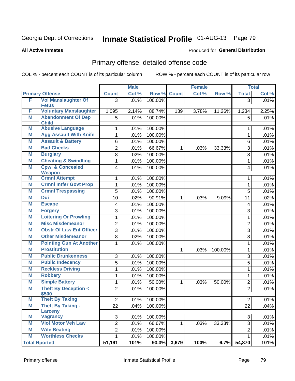**All Active Inmates**

#### Produced for **General Distribution**

### Primary offense, detailed offense code

|   |                                               | <b>Male</b>    |       |         | <b>Female</b> |       |         | <b>Total</b>   |       |
|---|-----------------------------------------------|----------------|-------|---------|---------------|-------|---------|----------------|-------|
|   | <b>Primary Offense</b>                        | <b>Count</b>   | Col % | Row %   | <b>Count</b>  | Col % | Row %   | <b>Total</b>   | Col % |
| F | <b>Vol Manslaughter Of</b>                    | $\overline{3}$ | .01%  | 100.00% |               |       |         | $\overline{3}$ | .01%  |
|   | <b>Fetus</b><br><b>Voluntary Manslaughter</b> |                |       |         |               |       |         |                |       |
| F |                                               | 1,095          | 2.14% | 88.74%  | 139           | 3.78% | 11.26%  | 1,234          | 2.25% |
| Μ | <b>Abandonment Of Dep</b><br><b>Child</b>     | 5              | .01%  | 100.00% |               |       |         | 5              | .01%  |
| Μ | <b>Abusive Language</b>                       | 1              | .01%  | 100.00% |               |       |         | 1              | .01%  |
| Μ | <b>Agg Assault With Knife</b>                 | 1              | .01%  | 100.00% |               |       |         | 1              | .01%  |
| M | <b>Assault &amp; Battery</b>                  | 6              | .01%  | 100.00% |               |       |         | 6              | .01%  |
| M | <b>Bad Checks</b>                             | $\overline{2}$ | .01%  | 66.67%  | $\mathbf{1}$  | .03%  | 33.33%  | 3              | .01%  |
| M | <b>Burglary</b>                               | 8              | .02%  | 100.00% |               |       |         | 8              | .01%  |
| M | <b>Cheating &amp; Swindling</b>               | 1              | .01%  | 100.00% |               |       |         | 1              | .01%  |
| M | <b>Cpwl &amp; Concealed</b>                   | 4              | .01%  | 100.00% |               |       |         | $\overline{4}$ | .01%  |
|   | <b>Weapon</b>                                 |                |       |         |               |       |         |                |       |
| M | <b>Crmnl Attempt</b>                          | 1              | .01%  | 100.00% |               |       |         | 1              | .01%  |
| M | <b>Crmnl Intfer Govt Prop</b>                 | 1              | .01%  | 100.00% |               |       |         | $\mathbf{1}$   | .01%  |
| M | <b>Crmnl Trespassing</b>                      | 5              | .01%  | 100.00% |               |       |         | 5              | .01%  |
| Μ | Dui                                           | 10             | .02%  | 90.91%  | 1             | .03%  | 9.09%   | 11             | .02%  |
| Μ | <b>Escape</b>                                 | 4              | .01%  | 100.00% |               |       |         | 4              | .01%  |
| Μ | <b>Forgery</b>                                | 3              | .01%  | 100.00% |               |       |         | 3              | .01%  |
| M | <b>Loitering Or Prowling</b>                  | 1              | .01%  | 100.00% |               |       |         | $\mathbf{1}$   | .01%  |
| M | <b>Misc Misdemeanor</b>                       | $\overline{c}$ | .01%  | 100.00% |               |       |         | $\overline{2}$ | .01%  |
| Μ | <b>Obstr Of Law Enf Officer</b>               | $\overline{3}$ | .01%  | 100.00% |               |       |         | 3              | .01%  |
| M | <b>Other Misdemeanor</b>                      | 8              | .02%  | 100.00% |               |       |         | 8              | .01%  |
| M | <b>Pointing Gun At Another</b>                | 1              | .01%  | 100.00% |               |       |         | 1              | .01%  |
| M | <b>Prostitution</b>                           |                |       |         | $\mathbf{1}$  | .03%  | 100.00% | 1              | .01%  |
| M | <b>Public Drunkenness</b>                     | 3              | .01%  | 100.00% |               |       |         | 3              | .01%  |
| Μ | <b>Public Indecency</b>                       | 5              | .01%  | 100.00% |               |       |         | 5              | .01%  |
| M | <b>Reckless Driving</b>                       | 1              | .01%  | 100.00% |               |       |         | 1              | .01%  |
| Μ | <b>Robbery</b>                                | 1              | .01%  | 100.00% |               |       |         | 1              | .01%  |
| M | <b>Simple Battery</b>                         | 1              | .01%  | 50.00%  | $\mathbf{1}$  | .03%  | 50.00%  | $\overline{2}$ | .01%  |
| M | <b>Theft By Deception &lt;</b><br>\$500       | $\overline{2}$ | .01%  | 100.00% |               |       |         | $\overline{2}$ | .01%  |
| Μ | <b>Theft By Taking</b>                        | $\overline{c}$ | .01%  | 100.00% |               |       |         | $\overline{2}$ | .01%  |
| M | <b>Theft By Taking -</b>                      | 22             | .04%  | 100.00% |               |       |         | 22             | .04%  |
|   | Larceny                                       |                |       |         |               |       |         |                |       |
| M | <b>Vagrancy</b>                               | 3              | .01%  | 100.00% |               |       |         | 3              | .01%  |
| M | <b>Viol Motor Veh Law</b>                     | 2              | .01%  | 66.67%  | $\mathbf{1}$  | .03%  | 33.33%  | 3              | .01%  |
| M | <b>Wife Beating</b>                           | $\overline{2}$ | .01%  | 100.00% |               |       |         | $\overline{2}$ | .01%  |
| M | <b>Worthless Checks</b>                       | $\mathbf{1}$   | .01%  | 100.00% |               |       |         | $\mathbf 1$    | .01%  |
|   | <b>Total Rported</b>                          | 51,191         | 101%  | 93.3%   | 3,679         | 100%  | 6.7%    | 54,870         | 101%  |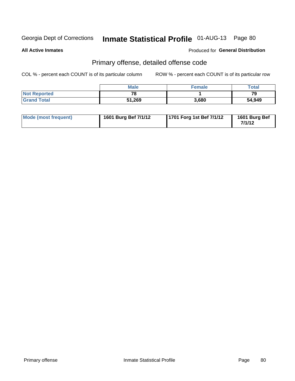**All Active Inmates**

#### Produced for **General Distribution**

### Primary offense, detailed offense code

|                     | <b>Male</b> | <b>Female</b> | Total  |
|---------------------|-------------|---------------|--------|
| <b>Not Reported</b> | 78          |               | 79     |
| <b>Grand Total</b>  | 51,269      | 3,680         | 54,949 |

| Mode (most frequent) | 1601 Burg Bef 7/1/12 | 1701 Forg 1st Bef 7/1/12 | 1601 Burg Bef<br>7/1/12 |
|----------------------|----------------------|--------------------------|-------------------------|
|----------------------|----------------------|--------------------------|-------------------------|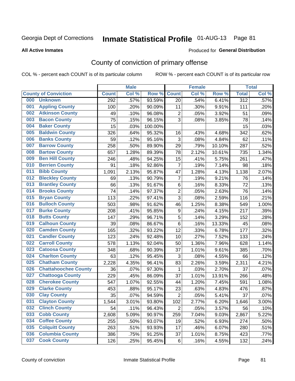#### **All Active Inmates**

#### Produced for **General Distribution**

### County of conviction of primary offense

|     |                             | <b>Male</b>  |       |         |                  | <b>Female</b> | <b>Total</b> |                  |       |
|-----|-----------------------------|--------------|-------|---------|------------------|---------------|--------------|------------------|-------|
|     | <b>County of Conviction</b> | <b>Count</b> | Col % | Row %   | <b>Count</b>     | Col %         | Row %        | <b>Total</b>     | Col % |
| 000 | <b>Unknown</b>              | 292          | .57%  | 93.59%  | 20               | .54%          | 6.41%        | $\overline{312}$ | .57%  |
| 001 | <b>Appling County</b>       | 100          | .20%  | 90.09%  | 11               | .30%          | 9.91%        | 111              | .20%  |
| 002 | <b>Atkinson County</b>      | 49           | .10%  | 96.08%  | $\overline{2}$   | .05%          | 3.92%        | 51               | .09%  |
| 003 | <b>Bacon County</b>         | 75           | .15%  | 96.15%  | 3                | .08%          | 3.85%        | 78               | .14%  |
| 004 | <b>Baker County</b>         | 15           | .03%  | 100.00% |                  |               |              | 15               | .03%  |
| 005 | <b>Baldwin County</b>       | 326          | .64%  | 95.32%  | 16               | .43%          | 4.68%        | 342              | .62%  |
| 006 | <b>Banks County</b>         | 59           | .12%  | 95.16%  | $\mathfrak{S}$   | .08%          | 4.84%        | 62               | .11%  |
| 007 | <b>Barrow County</b>        | 258          | .50%  | 89.90%  | 29               | .79%          | 10.10%       | 287              | .52%  |
| 008 | <b>Bartow County</b>        | 657          | 1.28% | 89.39%  | 78               | 2.12%         | 10.61%       | 735              | 1.34% |
| 009 | <b>Ben Hill County</b>      | 246          | .48%  | 94.25%  | 15               | .41%          | 5.75%        | 261              | .47%  |
| 010 | <b>Berrien County</b>       | 91           | .18%  | 92.86%  | $\overline{7}$   | .19%          | 7.14%        | 98               | .18%  |
| 011 | <b>Bibb County</b>          | 1,091        | 2.13% | 95.87%  | 47               | 1.28%         | 4.13%        | 1,138            | 2.07% |
| 012 | <b>Bleckley County</b>      | 69           | .13%  | 90.79%  | $\overline{7}$   | .19%          | 9.21%        | 76               | .14%  |
| 013 | <b>Brantley County</b>      | 66           | .13%  | 91.67%  | 6                | .16%          | 8.33%        | 72               | .13%  |
| 014 | <b>Brooks County</b>        | 74           | .14%  | 97.37%  | $\overline{2}$   | .05%          | 2.63%        | 76               | .14%  |
| 015 | <b>Bryan County</b>         | 113          | .22%  | 97.41%  | 3                | .08%          | 2.59%        | 116              | .21%  |
| 016 | <b>Bulloch County</b>       | 503          | .98%  | 91.62%  | 46               | 1.25%         | 8.38%        | 549              | 1.00% |
| 017 | <b>Burke County</b>         | 208          | .41%  | 95.85%  | $\boldsymbol{9}$ | .24%          | 4.15%        | 217              | .39%  |
| 018 | <b>Butts County</b>         | 147          | .29%  | 96.71%  | $\sqrt{5}$       | .14%          | 3.29%        | 152              | .28%  |
| 019 | <b>Calhoun County</b>       | 39           | .08%  | 86.67%  | 6                | .16%          | 13.33%       | 45               | .08%  |
| 020 | <b>Camden County</b>        | 165          | .32%  | 93.22%  | 12               | .33%          | 6.78%        | 177              | .32%  |
| 021 | <b>Candler County</b>       | 123          | .24%  | 92.48%  | 10               | .27%          | 7.52%        | 133              | .24%  |
| 022 | <b>Carroll County</b>       | 578          | 1.13% | 92.04%  | 50               | 1.36%         | 7.96%        | 628              | 1.14% |
| 023 | <b>Catoosa County</b>       | 348          | .68%  | 90.39%  | 37               | 1.01%         | 9.61%        | 385              | .70%  |
| 024 | <b>Charlton County</b>      | 63           | .12%  | 95.45%  | 3                | .08%          | 4.55%        | 66               | .12%  |
| 025 | <b>Chatham County</b>       | 2,228        | 4.35% | 96.41%  | 83               | 2.26%         | 3.59%        | 2,311            | 4.21% |
| 026 | <b>Chattahoochee County</b> | 36           | .07%  | 97.30%  | 1                | .03%          | 2.70%        | 37               | .07%  |
| 027 | <b>Chattooga County</b>     | 229          | .45%  | 86.09%  | 37               | 1.01%         | 13.91%       | 266              | .48%  |
| 028 | <b>Cherokee County</b>      | 547          | 1.07% | 92.55%  | 44               | 1.20%         | 7.45%        | 591              | 1.08% |
| 029 | <b>Clarke County</b>        | 453          | .88%  | 95.17%  | 23               | .63%          | 4.83%        | 476              | .87%  |
| 030 | <b>Clay County</b>          | 35           | .07%  | 94.59%  | $\overline{2}$   | .05%          | 5.41%        | 37               | .07%  |
| 031 | <b>Clayton County</b>       | 1,544        | 3.01% | 93.80%  | 102              | 2.77%         | 6.20%        | 1,646            | 3.00% |
| 032 | <b>Clinch County</b>        | 54           | .11%  | 96.43%  | $\overline{2}$   | .05%          | 3.57%        | 56               | .10%  |
| 033 | <b>Cobb County</b>          | 2,608        | 5.09% | 90.97%  | 259              | 7.04%         | 9.03%        | 2,867            | 5.22% |
| 034 | <b>Coffee County</b>        | 255          | .50%  | 93.07%  | 19               | .52%          | 6.93%        | 274              | .50%  |
| 035 | <b>Colquitt County</b>      | 263          | .51%  | 93.93%  | 17               | .46%          | 6.07%        | 280              | .51%  |
| 036 | <b>Columbia County</b>      | 386          | .75%  | 91.25%  | 37               | 1.01%         | 8.75%        | 423              | .77%  |
| 037 | <b>Cook County</b>          | 126          | .25%  | 95.45%  | 6                | .16%          | 4.55%        | 132              | .24%  |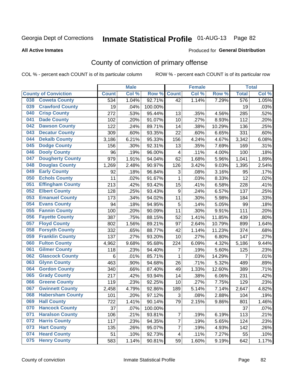#### **All Active Inmates**

#### Produced for **General Distribution**

### County of conviction of primary offense

|                                | <b>Male</b>  |       |         |                         | <b>Female</b> | <b>Total</b> |                |       |
|--------------------------------|--------------|-------|---------|-------------------------|---------------|--------------|----------------|-------|
| <b>County of Conviction</b>    | <b>Count</b> | Col % | Row %   | <b>Count</b>            | Col %         | Row %        | <b>Total</b>   | Col % |
| <b>Coweta County</b><br>038    | 534          | 1.04% | 92.71%  | 42                      | 1.14%         | 7.29%        | 576            | 1.05% |
| <b>Crawford County</b><br>039  | 19           | .04%  | 100.00% |                         |               |              | 19             | .03%  |
| <b>Crisp County</b><br>040     | 272          | .53%  | 95.44%  | 13                      | .35%          | 4.56%        | 285            | .52%  |
| <b>Dade County</b><br>041      | 102          | .20%  | 91.07%  | 10                      | .27%          | 8.93%        | 112            | .20%  |
| <b>Dawson County</b><br>042    | 122          | .24%  | 89.71%  | 14                      | .38%          | 10.29%       | 136            | .25%  |
| 043<br><b>Decatur County</b>   | 309          | .60%  | 93.35%  | 22                      | .60%          | 6.65%        | 331            | .60%  |
| <b>Dekalb County</b><br>044    | 3,186        | 6.21% | 95.33%  | 156                     | 4.24%         | 4.67%        | 3,342          | 6.08% |
| <b>Dodge County</b><br>045     | 156          | .30%  | 92.31%  | 13                      | .35%          | 7.69%        | 169            | .31%  |
| <b>Dooly County</b><br>046     | 96           | .19%  | 96.00%  | $\overline{\mathbf{4}}$ | .11%          | 4.00%        | 100            | .18%  |
| <b>Dougherty County</b><br>047 | 979          | 1.91% | 94.04%  | 62                      | 1.68%         | 5.96%        | 1,041          | 1.89% |
| <b>Douglas County</b><br>048   | 1,269        | 2.48% | 90.97%  | 126                     | 3.42%         | 9.03%        | 1,395          | 2.54% |
| <b>Early County</b><br>049     | 92           | .18%  | 96.84%  | 3                       | .08%          | 3.16%        | 95             | .17%  |
| <b>Echols County</b><br>050    | 11           | .02%  | 91.67%  | 1                       | .03%          | 8.33%        | 12             | .02%  |
| <b>Effingham County</b><br>051 | 213          | .42%  | 93.42%  | 15                      | .41%          | 6.58%        | 228            | .41%  |
| <b>Elbert County</b><br>052    | 128          | .25%  | 93.43%  | 9                       | .24%          | 6.57%        | 137            | .25%  |
| <b>Emanuel County</b><br>053   | 173          | .34%  | 94.02%  | 11                      | .30%          | 5.98%        | 184            | .33%  |
| <b>Evans County</b><br>054     | 94           | .18%  | 94.95%  | 5                       | .14%          | 5.05%        | 99             | .18%  |
| <b>Fannin County</b><br>055    | 100          | .20%  | 90.09%  | 11                      | .30%          | 9.91%        | 111            | .20%  |
| <b>Fayette County</b><br>056   | 387          | .75%  | 88.15%  | 52                      | 1.41%         | 11.85%       | 439            | .80%  |
| <b>Floyd County</b><br>057     | 802          | 1.56% | 89.21%  | 97                      | 2.64%         | 10.79%       | 899            | 1.64% |
| <b>Forsyth County</b><br>058   | 332          | .65%  | 88.77%  | 42                      | 1.14%         | 11.23%       | 374            | .68%  |
| <b>Franklin County</b><br>059  | 137          | .27%  | 93.20%  | 10                      | .27%          | 6.80%        | 147            | .27%  |
| <b>Fulton County</b><br>060    | 4,962        | 9.68% | 95.68%  | 224                     | 6.09%         | 4.32%        | 5,186          | 9.44% |
| <b>Gilmer County</b><br>061    | 118          | .23%  | 94.40%  | $\overline{7}$          | .19%          | 5.60%        | 125            | .23%  |
| <b>Glascock County</b><br>062  | 6            | .01%  | 85.71%  | $\mathbf{1}$            | .03%          | 14.29%       | $\overline{7}$ | .01%  |
| 063<br><b>Glynn County</b>     | 463          | .90%  | 94.68%  | 26                      | .71%          | 5.32%        | 489            | .89%  |
| <b>Gordon County</b><br>064    | 340          | .66%  | 87.40%  | 49                      | 1.33%         | 12.60%       | 389            | .71%  |
| 065<br><b>Grady County</b>     | 217          | .42%  | 93.94%  | 14                      | .38%          | 6.06%        | 231            | .42%  |
| <b>Greene County</b><br>066    | 119          | .23%  | 92.25%  | 10                      | .27%          | 7.75%        | 129            | .23%  |
| <b>Gwinnett County</b><br>067  | 2,458        | 4.79% | 92.86%  | 189                     | 5.14%         | 7.14%        | 2,647          | 4.82% |
| <b>Habersham County</b><br>068 | 101          | .20%  | 97.12%  | 3                       | .08%          | 2.88%        | 104            | .19%  |
| 069<br><b>Hall County</b>      | 722          | 1.41% | 90.14%  | 79                      | 2.15%         | 9.86%        | 801            | 1.46% |
| <b>Hancock County</b><br>070   | 37           | .07%  | 100.00% |                         |               |              | 37             | .07%  |
| 071<br><b>Haralson County</b>  | 106          | .21%  | 93.81%  | $\overline{7}$          | .19%          | 6.19%        | 113            | .21%  |
| <b>Harris County</b><br>072    | 117          | .23%  | 94.35%  | $\overline{7}$          | .19%          | 5.65%        | 124            | .23%  |
| <b>Hart County</b><br>073      | 135          | .26%  | 95.07%  | $\overline{7}$          | .19%          | 4.93%        | 142            | .26%  |
| <b>Heard County</b><br>074     | 51           | .10%  | 92.73%  | 4                       | .11%          | 7.27%        | 55             | .10%  |
| <b>Henry County</b><br>075     | 583          | 1.14% | 90.81%  | 59                      | 1.60%         | 9.19%        | 642            | 1.17% |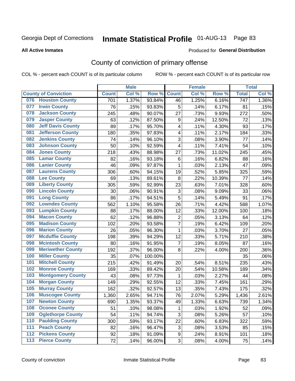#### **All Active Inmates**

#### Produced for **General Distribution**

### County of conviction of primary offense

|     |                             |              | <b>Male</b> |         |                           | <b>Female</b> |        | <b>Total</b>     |       |
|-----|-----------------------------|--------------|-------------|---------|---------------------------|---------------|--------|------------------|-------|
|     | <b>County of Conviction</b> | <b>Count</b> | Col %       | Row %   | <b>Count</b>              | Col%          | Row %  | <b>Total</b>     | Col % |
| 076 | <b>Houston County</b>       | 701          | 1.37%       | 93.84%  | 46                        | 1.25%         | 6.16%  | $\overline{747}$ | 1.36% |
| 077 | <b>Irwin County</b>         | 76           | .15%        | 93.83%  | 5                         | .14%          | 6.17%  | 81               | .15%  |
| 078 | <b>Jackson County</b>       | 245          | .48%        | 90.07%  | 27                        | .73%          | 9.93%  | 272              | .50%  |
| 079 | <b>Jasper County</b>        | 63           | .12%        | 87.50%  | 9                         | .24%          | 12.50% | 72               | .13%  |
| 080 | <b>Jeff Davis County</b>    | 89           | .17%        | 95.70%  | 4                         | .11%          | 4.30%  | 93               | .17%  |
| 081 | <b>Jefferson County</b>     | 180          | .35%        | 97.83%  | 4                         | .11%          | 2.17%  | 184              | .33%  |
| 082 | <b>Jenkins County</b>       | 74           | .14%        | 96.10%  | 3                         | .08%          | 3.90%  | 77               | .14%  |
| 083 | <b>Johnson County</b>       | 50           | .10%        | 92.59%  | 4                         | .11%          | 7.41%  | 54               | .10%  |
| 084 | <b>Jones County</b>         | 218          | .43%        | 88.98%  | 27                        | .73%          | 11.02% | 245              | .45%  |
| 085 | <b>Lamar County</b>         | 82           | .16%        | 93.18%  | 6                         | .16%          | 6.82%  | 88               | .16%  |
| 086 | <b>Lanier County</b>        | 46           | .09%        | 97.87%  | $\mathbf{1}$              | .03%          | 2.13%  | 47               | .09%  |
| 087 | <b>Laurens County</b>       | 306          | .60%        | 94.15%  | 19                        | .52%          | 5.85%  | 325              | .59%  |
| 088 | <b>Lee County</b>           | 69           | .13%        | 89.61%  | 8                         | .22%          | 10.39% | 77               | .14%  |
| 089 | <b>Liberty County</b>       | 305          | .59%        | 92.99%  | 23                        | .63%          | 7.01%  | 328              | .60%  |
| 090 | <b>Lincoln County</b>       | 30           | .06%        | 90.91%  | $\ensuremath{\mathsf{3}}$ | .08%          | 9.09%  | 33               | .06%  |
| 091 | <b>Long County</b>          | 86           | .17%        | 94.51%  | 5                         | .14%          | 5.49%  | 91               | .17%  |
| 092 | <b>Lowndes County</b>       | 562          | 1.10%       | 95.58%  | 26                        | .71%          | 4.42%  | 588              | 1.07% |
| 093 | <b>Lumpkin County</b>       | 88           | .17%        | 88.00%  | 12                        | .33%          | 12.00% | 100              | .18%  |
| 094 | <b>Macon County</b>         | 62           | .12%        | 96.88%  | $\overline{2}$            | .05%          | 3.13%  | 64               | .12%  |
| 095 | <b>Madison County</b>       | 102          | .20%        | 93.58%  | $\overline{7}$            | .19%          | 6.42%  | 109              | .20%  |
| 096 | <b>Marion County</b>        | 26           | .05%        | 96.30%  | $\mathbf{1}$              | .03%          | 3.70%  | 27               | .05%  |
| 097 | <b>Mcduffie County</b>      | 198          | .39%        | 94.29%  | 12                        | .33%          | 5.71%  | 210              | .38%  |
| 098 | <b>Mcintosh County</b>      | 80           | .16%        | 91.95%  | $\overline{7}$            | .19%          | 8.05%  | 87               | .16%  |
| 099 | <b>Meriwether County</b>    | 192          | .37%        | 96.00%  | 8                         | .22%          | 4.00%  | 200              | .36%  |
| 100 | <b>Miller County</b>        | 35           | .07%        | 100.00% |                           |               |        | 35               | .06%  |
| 101 | <b>Mitchell County</b>      | 215          | .42%        | 91.49%  | 20                        | .54%          | 8.51%  | 235              | .43%  |
| 102 | <b>Monroe County</b>        | 169          | .33%        | 89.42%  | 20                        | .54%          | 10.58% | 189              | .34%  |
| 103 | <b>Montgomery County</b>    | 43           | .08%        | 97.73%  | 1                         | .03%          | 2.27%  | 44               | .08%  |
| 104 | <b>Morgan County</b>        | 149          | .29%        | 92.55%  | 12                        | .33%          | 7.45%  | 161              | .29%  |
| 105 | <b>Murray County</b>        | 162          | .32%        | 92.57%  | 13                        | .35%          | 7.43%  | 175              | .32%  |
| 106 | <b>Muscogee County</b>      | 1,360        | 2.65%       | 94.71%  | 76                        | 2.07%         | 5.29%  | 1,436            | 2.61% |
| 107 | <b>Newton County</b>        | 690          | 1.35%       | 93.37%  | 49                        | 1.33%         | 6.63%  | 739              | 1.34% |
| 108 | <b>Oconee County</b>        | 51           | .10%        | 98.08%  | 1                         | .03%          | 1.92%  | 52               | .09%  |
| 109 | <b>Oglethorpe County</b>    | 54           | .11%        | 94.74%  | 3                         | .08%          | 5.26%  | 57               | .10%  |
| 110 | <b>Paulding County</b>      | 300          | .59%        | 93.17%  | 22                        | .60%          | 6.83%  | 322              | .59%  |
| 111 | <b>Peach County</b>         | 82           | .16%        | 96.47%  | 3                         | .08%          | 3.53%  | 85               | .15%  |
| 112 | <b>Pickens County</b>       | 92           | .18%        | 91.09%  | 9                         | .24%          | 8.91%  | 101              | .18%  |
| 113 | <b>Pierce County</b>        | 72           | .14%        | 96.00%  | 3                         | .08%          | 4.00%  | 75               | .14%  |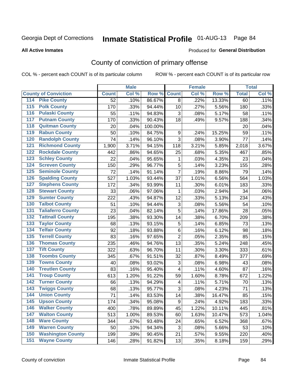#### **All Active Inmates**

#### Produced for **General Distribution**

### County of conviction of primary offense

|                                          |                 | <b>Male</b> |         |                  | <b>Female</b> |        |              | <b>Total</b> |
|------------------------------------------|-----------------|-------------|---------|------------------|---------------|--------|--------------|--------------|
| <b>County of Conviction</b>              | <b>Count</b>    | Col %       | Row %   | <b>Count</b>     | Col %         | Row %  | <b>Total</b> | Col %        |
| <b>Pike County</b><br>114                | $\overline{52}$ | .10%        | 86.67%  | 8                | .22%          | 13.33% | 60           | .11%         |
| <b>Polk County</b><br>$\overline{115}$   | 170             | .33%        | 94.44%  | 10               | .27%          | 5.56%  | 180          | .33%         |
| <b>Pulaski County</b><br>116             | 55              | .11%        | 94.83%  | 3                | .08%          | 5.17%  | 58           | .11%         |
| <b>Putnam County</b><br>117              | 170             | .33%        | 90.43%  | 18               | .49%          | 9.57%  | 188          | .34%         |
| <b>Quitman County</b><br>118             | 20              | .04%        | 100.00% |                  |               |        | 20           | .04%         |
| <b>Rabun County</b><br>119               | 50              | .10%        | 84.75%  | $\boldsymbol{9}$ | .24%          | 15.25% | 59           | .11%         |
| <b>Randolph County</b><br>120            | 74              | .14%        | 96.10%  | $\overline{3}$   | .08%          | 3.90%  | 77           | .14%         |
| <b>Richmond County</b><br>121            | 1,900           | 3.71%       | 94.15%  | 118              | 3.21%         | 5.85%  | 2,018        | 3.67%        |
| <b>Rockdale County</b><br>122            | 442             | .86%        | 94.65%  | 25               | .68%          | 5.35%  | 467          | .85%         |
| <b>Schley County</b><br>123              | 22              | .04%        | 95.65%  | 1                | .03%          | 4.35%  | 23           | .04%         |
| <b>Screven County</b><br>124             | 150             | .29%        | 96.77%  | 5                | .14%          | 3.23%  | 155          | .28%         |
| <b>Seminole County</b><br>125            | 72              | .14%        | 91.14%  | $\overline{7}$   | .19%          | 8.86%  | 79           | .14%         |
| <b>Spalding County</b><br>126            | 527             | 1.03%       | 93.44%  | 37               | 1.01%         | 6.56%  | 564          | 1.03%        |
| <b>Stephens County</b><br>127            | 172             | .34%        | 93.99%  | 11               | .30%          | 6.01%  | 183          | .33%         |
| <b>Stewart County</b><br>128             | 33              | .06%        | 97.06%  | 1                | .03%          | 2.94%  | 34           | .06%         |
| <b>Sumter County</b><br>129              | 222             | .43%        | 94.87%  | 12               | .33%          | 5.13%  | 234          | .43%         |
| <b>Talbot County</b><br>130              | 51              | .10%        | 94.44%  | 3                | .08%          | 5.56%  | 54           | .10%         |
| <b>Taliaferro County</b><br>131          | 23              | .04%        | 82.14%  | 5                | .14%          | 17.86% | 28           | .05%         |
| <b>Tattnall County</b><br>132            | 195             | .38%        | 93.30%  | 14               | .38%          | 6.70%  | 209          | .38%         |
| <b>Taylor County</b><br>133              | 68              | .13%        | 93.15%  | 5                | .14%          | 6.85%  | 73           | .13%         |
| <b>Telfair County</b><br>134             | 92              | .18%        | 93.88%  | 6                | .16%          | 6.12%  | 98           | .18%         |
| <b>Terrell County</b><br>135             | 83              | .16%        | 97.65%  | $\overline{2}$   | .05%          | 2.35%  | 85           | .15%         |
| <b>Thomas County</b><br>136              | 235             | .46%        | 94.76%  | 13               | .35%          | 5.24%  | 248          | .45%         |
| <b>Tift County</b><br>137                | 322             | .63%        | 96.70%  | 11               | .30%          | 3.30%  | 333          | .61%         |
| <b>Toombs County</b><br>138              | 345             | .67%        | 91.51%  | 32               | .87%          | 8.49%  | 377          | .69%         |
| <b>Towns County</b><br>139               | 40              | .08%        | 93.02%  | 3                | .08%          | 6.98%  | 43           | .08%         |
| <b>Treutlen County</b><br>140            | 83              | .16%        | 95.40%  | 4                | .11%          | 4.60%  | 87           | .16%         |
| <b>Troup County</b><br>141               | 613             | 1.20%       | 91.22%  | 59               | 1.60%         | 8.78%  | 672          | 1.22%        |
| <b>Turner County</b><br>142              | 66              | .13%        | 94.29%  | 4                | .11%          | 5.71%  | 70           | .13%         |
| <b>Twiggs County</b><br>$\overline{143}$ | 68              | .13%        | 95.77%  | 3                | .08%          | 4.23%  | 71           | .13%         |
| <b>Union County</b><br>144               | $\overline{71}$ | .14%        | 83.53%  | 14               | .38%          | 16.47% | 85           | .15%         |
| 145<br><b>Upson County</b>               | 174             | .34%        | 95.08%  | 9                | .24%          | 4.92%  | 183          | .33%         |
| <b>Walker County</b><br>146              | 400             | .78%        | 89.89%  | 45               | 1.22%         | 10.11% | 445          | .81%         |
| <b>Walton County</b><br>147              | 513             | 1.00%       | 89.53%  | 60               | 1.63%         | 10.47% | 573          | 1.04%        |
| <b>Ware County</b><br>148                | 344             | .67%        | 93.48%  | 24               | .65%          | 6.52%  | 368          | .67%         |
| <b>Warren County</b><br>149              | 50              | .10%        | 94.34%  | 3                | .08%          | 5.66%  | 53           | .10%         |
| <b>Washington County</b><br>150          | 199             | .39%        | 90.45%  | 21               | .57%          | 9.55%  | 220          | .40%         |
| <b>Wayne County</b><br>151               | 146             | .28%        | 91.82%  | 13               | .35%          | 8.18%  | 159          | .29%         |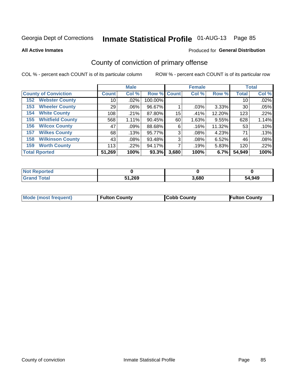**All Active Inmates**

#### Produced for **General Distribution**

### County of conviction of primary offense

|                                |              | <b>Male</b> |             |       | <b>Female</b> |        |              | <b>Total</b> |
|--------------------------------|--------------|-------------|-------------|-------|---------------|--------|--------------|--------------|
| <b>County of Conviction</b>    | <b>Count</b> | Col %       | Row % Count |       | Col %         | Row %  | <b>Total</b> | Col %        |
| <b>Webster County</b><br>152   | 10           | .02%        | 100.00%     |       |               |        | 10           | .02%         |
| <b>Wheeler County</b><br>153   | 29           | $.06\%$     | 96.67%      |       | .03%          | 3.33%  | 30           | .05%         |
| <b>White County</b><br>154     | 108          | .21%        | 87.80%      | 15    | .41%          | 12.20% | 123          | .22%         |
| <b>Whitfield County</b><br>155 | 568          | $1.11\%$    | 90.45%      | 60    | 1.63%         | 9.55%  | 628          | 1.14%        |
| <b>Wilcox County</b><br>156    | 47           | .09%        | 88.68%      | 6     | .16%          | 11.32% | 53           | .10%         |
| <b>Wilkes County</b><br>157    | 68           | .13%        | 95.77%      | 3     | .08%          | 4.23%  | 71           | .13%         |
| <b>Wilkinson County</b><br>158 | 43           | $.08\%$     | 93.48%      | 3     | .08%          | 6.52%  | 46           | .08%         |
| <b>Worth County</b><br>159     | 113          | .22%        | 94.17%      |       | .19%          | 5.83%  | 120          | .22%         |
| <b>Total Rported</b>           | 51,269       | 100%        | 93.3%       | 3,680 | 100%          | 6.7%   | 54,949       | 100%         |

| <b>Not Reported</b> |        |       |        |
|---------------------|--------|-------|--------|
| <b>Grand Total</b>  | 51,269 | 3,680 | 54,949 |

| Mode (most frequent) | <b>Fulton County</b> | <b>Cobb County</b> | <b>Fulton County</b> |
|----------------------|----------------------|--------------------|----------------------|
|                      |                      |                    |                      |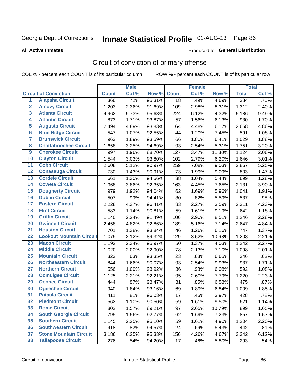#### **All Active Inmates**

#### Produced for **General Distribution**

### Circuit of conviction of primary offense

|                         |                                 |              | <b>Male</b> |        |              | <b>Female</b> |        |              | <b>Total</b> |
|-------------------------|---------------------------------|--------------|-------------|--------|--------------|---------------|--------|--------------|--------------|
|                         | <b>Circuit of Conviction</b>    | <b>Count</b> | Col %       | Row %  | <b>Count</b> | Col %         | Row %  | <b>Total</b> | Col %        |
| $\overline{1}$          | <b>Alapaha Circuit</b>          | 366          | .72%        | 95.31% | 18           | .49%          | 4.69%  | 384          | .70%         |
| $\overline{2}$          | <b>Alcovy Circuit</b>           | 1,203        | 2.36%       | 91.69% | 109          | 2.98%         | 8.31%  | 1,312        | 2.40%        |
| 3                       | <b>Atlanta Circuit</b>          | 4,962        | 9.73%       | 95.68% | 224          | 6.12%         | 4.32%  | 5,186        | 9.49%        |
| 4                       | <b>Atlantic Circuit</b>         | 873          | 1.71%       | 93.87% | 57           | 1.56%         | 6.13%  | 930          | 1.70%        |
| 5                       | <b>Augusta Circuit</b>          | 2,494        | 4.89%       | 93.83% | 164          | 4.48%         | 6.17%  | 2,658        | 4.86%        |
| $6\overline{6}$         | <b>Blue Ridge Circuit</b>       | 547          | 1.07%       | 92.55% | 44           | 1.20%         | 7.45%  | 591          | 1.08%        |
| $\overline{\mathbf{7}}$ | <b>Brunswick Circuit</b>        | 963          | 1.89%       | 93.59% | 66           | 1.80%         | 6.41%  | 1,029        | 1.88%        |
| 8                       | <b>Chattahoochee Circuit</b>    | 1,658        | 3.25%       | 94.69% | 93           | 2.54%         | 5.31%  | 1,751        | 3.20%        |
| $\overline{9}$          | <b>Cherokee Circuit</b>         | 997          | 1.96%       | 88.70% | 127          | 3.47%         | 11.30% | 1,124        | 2.06%        |
| 10                      | <b>Clayton Circuit</b>          | 1,544        | 3.03%       | 93.80% | 102          | 2.79%         | 6.20%  | 1,646        | 3.01%        |
| 11                      | <b>Cobb Circuit</b>             | 2,608        | 5.12%       | 90.97% | 259          | 7.08%         | 9.03%  | 2,867        | 5.25%        |
| 12                      | <b>Conasauga Circuit</b>        | 730          | 1.43%       | 90.91% | 73           | 1.99%         | 9.09%  | 803          | 1.47%        |
| 13                      | <b>Cordele Circuit</b>          | 661          | 1.30%       | 94.56% | 38           | 1.04%         | 5.44%  | 699          | 1.28%        |
| $\overline{14}$         | <b>Coweta Circuit</b>           | 1,968        | 3.86%       | 92.35% | 163          | 4.45%         | 7.65%  | 2,131        | 3.90%        |
| 15                      | <b>Dougherty Circuit</b>        | 979          | 1.92%       | 94.04% | 62           | 1.69%         | 5.96%  | 1,041        | 1.91%        |
| 16                      | <b>Dublin Circuit</b>           | 507          | .99%        | 94.41% | 30           | .82%          | 5.59%  | 537          | .98%         |
| 17                      | <b>Eastern Circuit</b>          | 2,228        | 4.37%       | 96.41% | 83           | 2.27%         | 3.59%  | 2,311        | 4.23%        |
| 18                      | <b>Flint Circuit</b>            | 583          | 1.14%       | 90.81% | 59           | 1.61%         | 9.19%  | 642          | 1.18%        |
| 19                      | <b>Griffin Circuit</b>          | 1,140        | 2.24%       | 91.49% | 106          | 2.90%         | 8.51%  | 1,246        | 2.28%        |
| 20                      | <b>Gwinnett Circuit</b>         | 2,458        | 4.82%       | 92.86% | 189          | 5.16%         | 7.14%  | 2,647        | 4.84%        |
| $\overline{21}$         | <b>Houston Circuit</b>          | 701          | 1.38%       | 93.84% | 46           | 1.26%         | 6.16%  | 747          | 1.37%        |
| $\overline{22}$         | <b>Lookout Mountain Circuit</b> | 1,079        | 2.12%       | 89.32% | 129          | 3.52%         | 10.68% | 1,208        | 2.21%        |
| 23                      | <b>Macon Circuit</b>            | 1,192        | 2.34%       | 95.97% | 50           | 1.37%         | 4.03%  | 1,242        | 2.27%        |
| 24                      | <b>Middle Circuit</b>           | 1,020        | 2.00%       | 92.90% | 78           | 2.13%         | 7.10%  | 1,098        | 2.01%        |
| 25                      | <b>Mountain Circuit</b>         | 323          | .63%        | 93.35% | 23           | .63%          | 6.65%  | 346          | .63%         |
| 26                      | <b>Northeastern Circuit</b>     | 844          | 1.66%       | 90.07% | 93           | 2.54%         | 9.93%  | 937          | 1.71%        |
| $\overline{27}$         | <b>Northern Circuit</b>         | 556          | 1.09%       | 93.92% | 36           | .98%          | 6.08%  | 592          | 1.08%        |
| 28                      | <b>Ocmulgee Circuit</b>         | 1,125        | 2.21%       | 92.21% | 95           | 2.60%         | 7.79%  | 1,220        | 2.23%        |
| 29                      | <b>Oconee Circuit</b>           | 444          | .87%        | 93.47% | 31           | .85%          | 6.53%  | 475          | .87%         |
| 30                      | <b>Ogeechee Circuit</b>         | 940          | 1.84%       | 93.16% | 69           | 1.89%         | 6.84%  | 1,009        | 1.85%        |
| $\overline{31}$         | <b>Pataula Circuit</b>          | 411          | .81%        | 96.03% | 17           | .46%          | 3.97%  | 428          | .78%         |
| 32                      | <b>Piedmont Circuit</b>         | 562          | 1.10%       | 90.50% | 59           | 1.61%         | 9.50%  | 621          | 1.14%        |
| 33                      | <b>Rome Circuit</b>             | 802          | 1.57%       | 89.21% | 97           | 2.65%         | 10.79% | 899          | 1.65%        |
| 34                      | <b>South Georgia Circuit</b>    | 795          | 1.56%       | 92.77% | 62           | 1.69%         | 7.23%  | 857          | 1.57%        |
| 35                      | <b>Southern Circuit</b>         | 1,145        | 2.25%       | 95.10% | 59           | 1.61%         | 4.90%  | 1,204        | 2.20%        |
| 36                      | <b>Southwestern Circuit</b>     | 418          | .82%        | 94.57% | 24           | .66%          | 5.43%  | 442          | .81%         |
| 37                      | <b>Stone Mountain Circuit</b>   | 3,186        | 6.25%       | 95.33% | 156          | 4.26%         | 4.67%  | 3,342        | 6.12%        |
| 38                      | <b>Tallapoosa Circuit</b>       | 276          | .54%        | 94.20% | 17           | .46%          | 5.80%  | 293          | .54%         |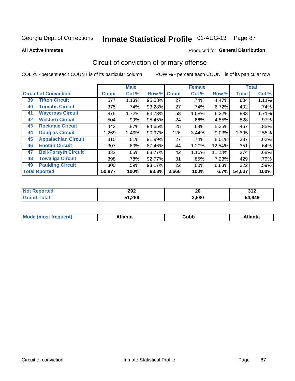**All Active Inmates**

#### Produced for **General Distribution**

### Circuit of conviction of primary offense

|                      |                              |              | <b>Male</b> |        |              | <b>Female</b> |        |              | <b>Total</b> |
|----------------------|------------------------------|--------------|-------------|--------|--------------|---------------|--------|--------------|--------------|
|                      | <b>Circuit of Conviction</b> | <b>Count</b> | Col %       | Row %  | <b>Count</b> | Col %         | Row %  | <b>Total</b> | Col %        |
| 39                   | <b>Tifton Circuit</b>        | 577          | 1.13%       | 95.53% | 27           | .74%          | 4.47%  | 604          | 1.11%        |
| 40                   | <b>Toombs Circuit</b>        | 375          | .74%        | 93.28% | 27           | .74%          | 6.72%  | 402          | .74%         |
| 41                   | <b>Waycross Circuit</b>      | 875          | 1.72%       | 93.78% | 58           | 1.58%         | 6.22%  | 933          | 1.71%        |
| 42                   | <b>Western Circuit</b>       | 504          | .99%        | 95.45% | 24           | .66%          | 4.55%  | 528          | $.97\%$      |
| 43                   | <b>Rockdale Circuit</b>      | 442          | $.87\%$     | 94.65% | 25           | .68%          | 5.35%  | 467          | .85%         |
| 44                   | <b>Douglas Circuit</b>       | 1,269        | 2.49%       | 90.97% | 126          | 3.44%         | 9.03%  | 1,395        | 2.55%        |
| 45                   | <b>Appalachian Circuit</b>   | 310          | .61%        | 91.99% | 27           | .74%          | 8.01%  | 337          | .62%         |
| 46                   | <b>Enotah Circuit</b>        | 307          | .60%        | 87.46% | 44           | 1.20%         | 12.54% | 351          | .64%         |
| 47                   | <b>Bell-Forsyth Circuit</b>  | 332          | .65%        | 88.77% | 42           | 1.15%         | 11.23% | 374          | .68%         |
| 48                   | <b>Towaliga Circuit</b>      | 398          | .78%        | 92.77% | 31           | .85%          | 7.23%  | 429          | .79%         |
| 49                   | <b>Paulding Circuit</b>      | 300          | .59%        | 93.17% | 22           | $.60\%$       | 6.83%  | 322          | .59%         |
| <b>Total Rported</b> |                              | 50,977       | 100%        | 93.3%  | 3,660        | 100%          | 6.7%   | 54,637       | 100%         |

| N   | 292           | ״     | 24c        |
|-----|---------------|-------|------------|
| тет | $\sim$ $\sim$ | Zu    | <b>VIA</b> |
|     | 51,269        | 3,680 | 1,949      |

| M | . | -----<br>oг | ----<br>пLс |
|---|---|-------------|-------------|
|   |   | <b>OUNN</b> |             |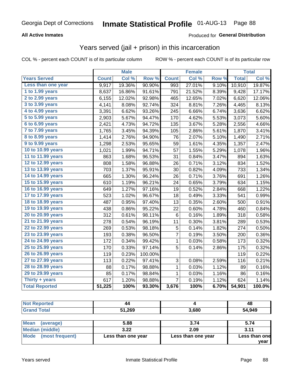#### **All Active Inmates**

### Produced for **General Distribution**

### Years served (jail + prison) in this incarceration

|                              |              | <b>Male</b> |         |              | <b>Female</b> |                  |              | <b>Total</b> |
|------------------------------|--------------|-------------|---------|--------------|---------------|------------------|--------------|--------------|
| <b>Years Served</b>          | <b>Count</b> | Col %       | Row %   | <b>Count</b> | Col %         | Row <sub>%</sub> | <b>Total</b> | Col%         |
| Less than one year           | 9,917        | 19.36%      | 90.90%  | 993          | 27.01%        | 9.10%            | 10,910       | 19.87%       |
| 1 to 1.99 years              | 8,637        | 16.86%      | 91.61%  | 791          | 21.52%        | 8.39%            | 9,428        | 17.17%       |
| $2$ to 2.99 years            | 6,155        | 12.02%      | 92.98%  | 465          | 12.65%        | 7.02%            | 6,620        | 12.06%       |
| $3$ to $3.99$ years          | 4,141        | 8.08%       | 92.74%  | 324          | 8.81%         | 7.26%            | 4,465        | 8.13%        |
| $\overline{4}$ to 4.99 years | 3,391        | 6.62%       | 93.26%  | 245          | 6.66%         | 6.74%            | 3,636        | 6.62%        |
| 5 to 5.99 years              | 2,903        | 5.67%       | 94.47%  | 170          | 4.62%         | 5.53%            | 3,073        | 5.60%        |
| 6 to 6.99 years              | 2,421        | 4.73%       | 94.72%  | 135          | 3.67%         | 5.28%            | 2,556        | 4.66%        |
| 7 to 7.99 years              | 1,765        | 3.45%       | 94.39%  | 105          | 2.86%         | 5.61%            | 1,870        | 3.41%        |
| <b>8 to 8.99 years</b>       | 1,414        | 2.76%       | 94.90%  | 76           | 2.07%         | 5.10%            | 1,490        | 2.71%        |
| 9 to 9.99 years              | 1,298        | 2.53%       | 95.65%  | 59           | 1.61%         | 4.35%            | 1,357        | 2.47%        |
| 10 to 10.99 years            | 1,021        | 1.99%       | 94.71%  | 57           | 1.55%         | 5.29%            | 1,078        | 1.96%        |
| 11 to 11.99 years            | 863          | 1.68%       | 96.53%  | 31           | 0.84%         | 3.47%            | 894          | 1.63%        |
| 12 to 12.99 years            | 808          | 1.58%       | 96.88%  | 26           | 0.71%         | 3.12%            | 834          | 1.52%        |
| 13 to 13.99 years            | 703          | 1.37%       | 95.91%  | 30           | 0.82%         | 4.09%            | 733          | 1.34%        |
| 14 to 14.99 years            | 665          | 1.30%       | 96.24%  | 26           | 0.71%         | 3.76%            | 691          | 1.26%        |
| 15 to 15.99 years            | 610          | 1.19%       | 96.21%  | 24           | 0.65%         | 3.79%            | 634          | 1.15%        |
| 16 to 16.99 years            | 649          | 1.27%       | 97.16%  | 19           | 0.52%         | 2.84%            | 668          | 1.22%        |
| 17 to 17.99 years            | 523          | 1.02%       | 96.67%  | 18           | 0.49%         | 3.33%            | 541          | 0.99%        |
| 18 to 18.99 years            | 487          | 0.95%       | 97.40%  | 13           | 0.35%         | 2.60%            | 500          | 0.91%        |
| 19 to 19.99 years            | 438          | 0.86%       | 95.22%  | 22           | 0.60%         | 4.78%            | 460          | 0.84%        |
| 20 to 20.99 years            | 312          | 0.61%       | 98.11%  | 6            | 0.16%         | 1.89%            | 318          | 0.58%        |
| 21 to 21.99 years            | 278          | 0.54%       | 96.19%  | 11           | 0.30%         | 3.81%            | 289          | 0.53%        |
| 22 to 22.99 years            | 269          | 0.53%       | 98.18%  | 5            | 0.14%         | 1.82%            | 274          | 0.50%        |
| 23 to 23.99 years            | 193          | 0.38%       | 96.50%  | 7            | 0.19%         | 3.50%            | 200          | 0.36%        |
| 24 to 24.99 years            | 172          | 0.34%       | 99.42%  | 1            | 0.03%         | 0.58%            | 173          | 0.32%        |
| 25 to 25.99 years            | 170          | 0.33%       | 97.14%  | 5            | 0.14%         | 2.86%            | 175          | 0.32%        |
| 26 to 26.99 years            | 119          | 0.23%       | 100.00% |              |               |                  | 119          | 0.22%        |
| 27 to 27.99 years            | 113          | 0.22%       | 97.41%  | 3            | 0.08%         | 2.59%            | 116          | 0.21%        |
| 28 to 28.99 years            | 88           | 0.17%       | 98.88%  | 1            | 0.03%         | 1.12%            | 89           | 0.16%        |
| 29 to 29.99 years            | 85           | 0.17%       | 98.84%  | $\mathbf{1}$ | 0.03%         | 1.16%            | 86           | 0.16%        |
| Thirty + years               | 617          | 1.20%       | 98.88%  | 7            | 0.19%         | 1.12%            | 624          | 1.14%        |
| <b>Total Reported</b>        | 51,225       | 100%        | 93.30%  | 3,676        | 100%          | 6.70%            | 54,901       | 100.0%       |

| <b>Not</b><br><b>Reported</b> | 44     |       | 48     |
|-------------------------------|--------|-------|--------|
| <b>Total</b><br>Grand         | 51,269 | 3,680 | 54,949 |
|                               |        |       |        |

| Mean<br>(average)    | 5.88               | 3.74               | 5.74          |
|----------------------|--------------------|--------------------|---------------|
| Median (middle)      | 3.22               | 2.09               | 3.11          |
| Mode (most frequent) | Less than one year | Less than one year | Less than one |
|                      |                    |                    | vear          |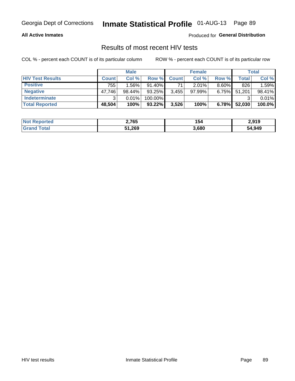#### **All Active Inmates**

Produced for **General Distribution**

### Results of most recent HIV tests

|                         |              | <b>Male</b> |           |              | <b>Female</b> |          |        | Total  |
|-------------------------|--------------|-------------|-----------|--------------|---------------|----------|--------|--------|
| <b>HIV Test Results</b> | <b>Count</b> | Col%        | Row %I    | <b>Count</b> | Col %         | Row %    | Total  | Col %  |
| <b>Positive</b>         | 755          | 1.56%       | $91.40\%$ | 71           | $2.01\%$      | $8.60\%$ | 826    | 1.59%  |
| <b>Negative</b>         | 47,746       | 98.44%      | 93.25%    | 3,455        | $97.99\%$     | 6.75%    | 51,201 | 98.41% |
| Indeterminate           | ີ            | 0.01%       | 100.00%   |              |               |          |        | 0.01%  |
| <b>Total Reported</b>   | 48,504       | 100%        | $93.22\%$ | 3,526        | 100%          | 6.78%    | 52,030 | 100.0% |

| <b>Not Reported</b> | 2,765  | 154   | 2,919  |
|---------------------|--------|-------|--------|
| Total<br>Gran       | 51,269 | 3,680 | 54,949 |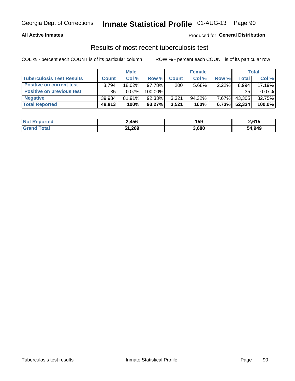#### **All Active Inmates**

#### Produced for **General Distribution**

### Results of most recent tuberculosis test

|                                  | <b>Male</b>  |           |           | <b>Female</b> |           |          | Total  |        |
|----------------------------------|--------------|-----------|-----------|---------------|-----------|----------|--------|--------|
| <b>Tuberculosis Test Results</b> | <b>Count</b> | Col%      | Row %     | <b>Count</b>  | Col %     | Row %    | Total  | Col %  |
| <b>Positive on current test</b>  | 8.794        | $18.02\%$ | 97.78%I   | 200           | 5.68%     | 2.22%    | 8,994  | 17.19% |
| <b>Positive on previous test</b> | 35           | $0.07\%$  | 100.00%   |               |           |          | 35     | 0.07%  |
| <b>Negative</b>                  | 39.984       | $81.91\%$ | $92.33\%$ | 3,321         | $94.32\%$ | $7.67\%$ | 43,305 | 82.75% |
| <b>Total Reported</b>            | 48,813       | 100%      | $93.27\%$ | 3,521         | 100%      | 6.73%    | 52,334 | 100.0% |

| <b>Not Reported</b> | 2,456  | 159   | 2,615  |
|---------------------|--------|-------|--------|
| <b>Grand Total</b>  | 51,269 | 3,680 | 54,949 |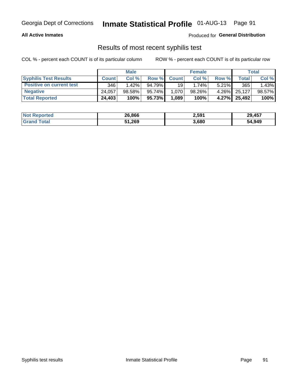#### **All Active Inmates**

Produced for **General Distribution**

### Results of most recent syphilis test

|                                 | <b>Male</b>  |           |        | <b>Female</b>   |        |          | Total  |        |
|---------------------------------|--------------|-----------|--------|-----------------|--------|----------|--------|--------|
| <b>Syphilis Test Results</b>    | <b>Count</b> | Col%      |        | Row % Count     | Col %  | Row %    | Total  | Col %  |
| <b>Positive on current test</b> | 346          | $1.42\%$  | 94.79% | 19 <sup>1</sup> | 1.74%  | $5.21\%$ | 365    | 1.43%  |
| <b>Negative</b>                 | 24.057       | $98.58\%$ | 95.74% | 1.070           | 98.26% | $4.26\%$ | 25.127 | 98.57% |
| <b>Total Reported</b>           | 24,403       | 100%      | 95.73% | 1,089           | 100%   | 4.27%    | 25,492 | 100%   |

| <b>Not Reported</b> | 26,866 | 2,591 | 29,457 |
|---------------------|--------|-------|--------|
| <b>Grand Total</b>  | 51,269 | 3,680 | 54,949 |